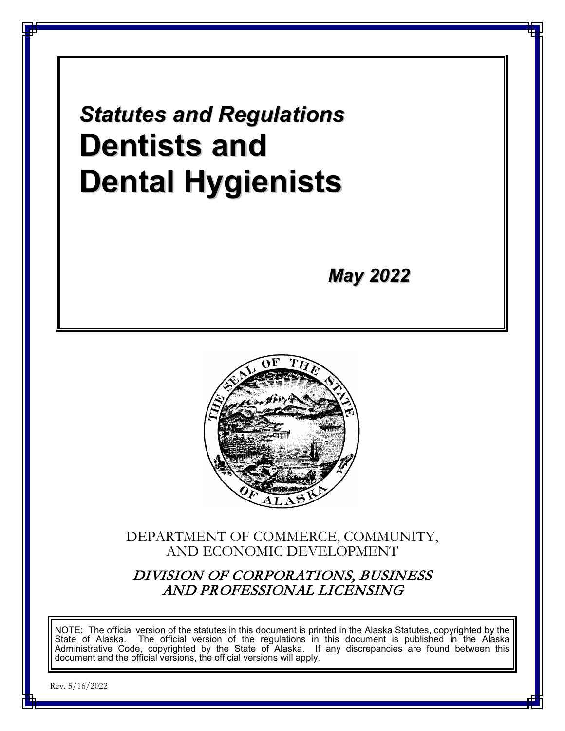*Statutes and Regulations* **Dentists and Dental Hygienists**

*May 2022*



DEPARTMENT OF COMMERCE, COMMUNITY, AND ECONOMIC DEVELOPMENT

DIVISION OF CORPORATIONS, BUSINESS AND PROFESSIONAL LICENSING

NOTE: The official version of the statutes in this document is printed in the Alaska Statutes, copyrighted by the State of Alaska. The official version of the regulations in this document is published in the Alaska Administrative Code, copyrighted by the State of Alaska. If any discrepancies are found between this document and the official versions, the official versions will apply.

Rev. 5/16/2022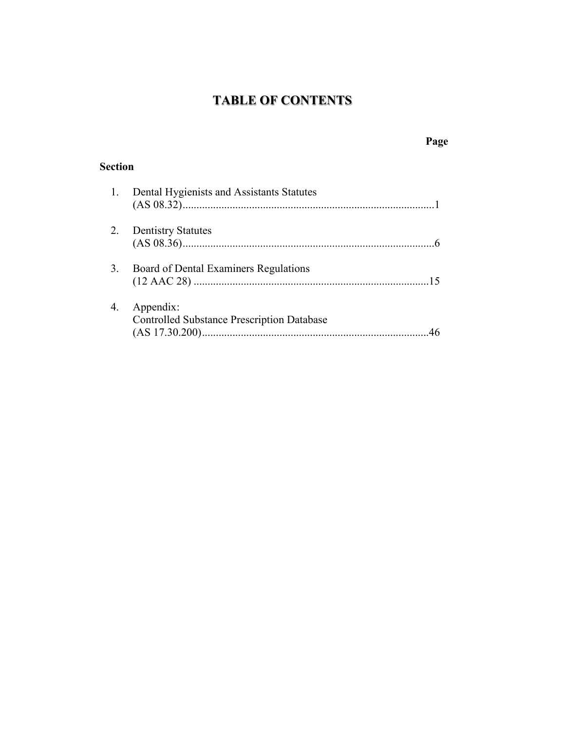# **TABLE OF CONTENTS**

# **Page**

# **Section**

|    | 1. Dental Hygienists and Assistants Statutes                   |
|----|----------------------------------------------------------------|
| 2. | <b>Dentistry Statutes</b>                                      |
| 3. | Board of Dental Examiners Regulations                          |
| 4. | Appendix:<br><b>Controlled Substance Prescription Database</b> |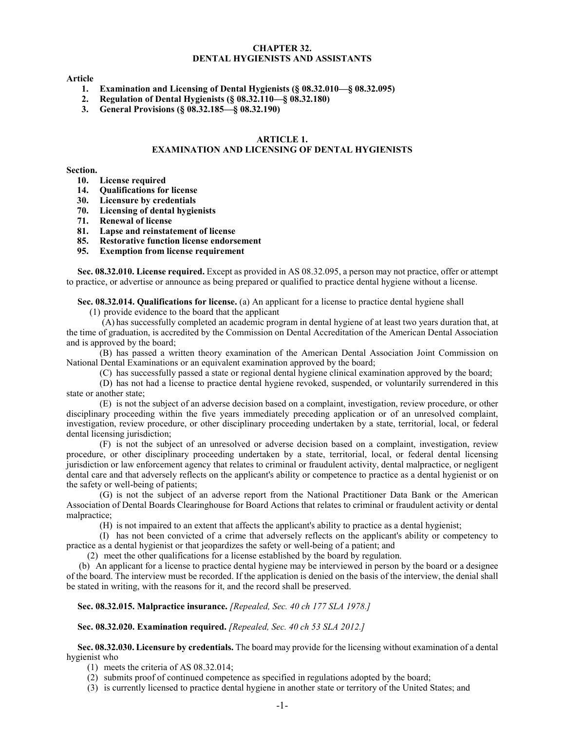# **CHAPTER 32. DENTAL HYGIENISTS AND ASSISTANTS**

#### **Article**

- **1. Examination and Licensing of Dental Hygienists (§ 08.32.010—§ 08.32.095)**
- **2. Regulation of Dental Hygienists (§ 08.32.110—§ 08.32.180)**
- **3. General Provisions (§ 08.32.185—§ 08.32.190)**

# **ARTICLE 1.**

# **EXAMINATION AND LICENSING OF DENTAL HYGIENISTS**

#### **Section.**

- **10. License required**
- **14. Qualifications for license**
- **30. Licensure by credentials**
- **70. Licensing of dental hygienists**
- **71. Renewal of license**
- **81. Lapse and reinstatement of license**
- **85. Restorative function license endorsement**
- **95. Exemption from license requirement**

**Sec. 08.32.010. License required.** Except as provided in AS 08.32.095, a person may not practice, offer or attempt to practice, or advertise or announce as being prepared or qualified to practice dental hygiene without a license.

**Sec. 08.32.014. Qualifications for license.** (a) An applicant for a license to practice dental hygiene shall

(1) provide evidence to the board that the applicant

(A) has successfully completed an academic program in dental hygiene of at least two years duration that, at the time of graduation, is accredited by the Commission on Dental Accreditation of the American Dental Association and is approved by the board;

(B) has passed a written theory examination of the American Dental Association Joint Commission on National Dental Examinations or an equivalent examination approved by the board;

(C) has successfully passed a state or regional dental hygiene clinical examination approved by the board;

(D) has not had a license to practice dental hygiene revoked, suspended, or voluntarily surrendered in this state or another state;

(E) is not the subject of an adverse decision based on a complaint, investigation, review procedure, or other disciplinary proceeding within the five years immediately preceding application or of an unresolved complaint, investigation, review procedure, or other disciplinary proceeding undertaken by a state, territorial, local, or federal dental licensing jurisdiction;

(F) is not the subject of an unresolved or adverse decision based on a complaint, investigation, review procedure, or other disciplinary proceeding undertaken by a state, territorial, local, or federal dental licensing jurisdiction or law enforcement agency that relates to criminal or fraudulent activity, dental malpractice, or negligent dental care and that adversely reflects on the applicant's ability or competence to practice as a dental hygienist or on the safety or well-being of patients;

(G) is not the subject of an adverse report from the National Practitioner Data Bank or the American Association of Dental Boards Clearinghouse for Board Actions that relates to criminal or fraudulent activity or dental malpractice;

(H) is not impaired to an extent that affects the applicant's ability to practice as a dental hygienist;

(I) has not been convicted of a crime that adversely reflects on the applicant's ability or competency to practice as a dental hygienist or that jeopardizes the safety or well-being of a patient; and

(2) meet the other qualifications for a license established by the board by regulation.

(b) An applicant for a license to practice dental hygiene may be interviewed in person by the board or a designee of the board. The interview must be recorded. If the application is denied on the basis of the interview, the denial shall be stated in writing, with the reasons for it, and the record shall be preserved.

**Sec. 08.32.015. Malpractice insurance.** *[Repealed, Sec. 40 ch 177 SLA 1978.]*

# **Sec. 08.32.020. Examination required.** *[Repealed, Sec. 40 ch 53 SLA 2012.]*

**Sec. 08.32.030. Licensure by credentials.** The board may provide for the licensing without examination of a dental hygienist who

- (1) meets the criteria of AS 08.32.014;
- (2) submits proof of continued competence as specified in regulations adopted by the board;
- (3) is currently licensed to practice dental hygiene in another state or territory of the United States; and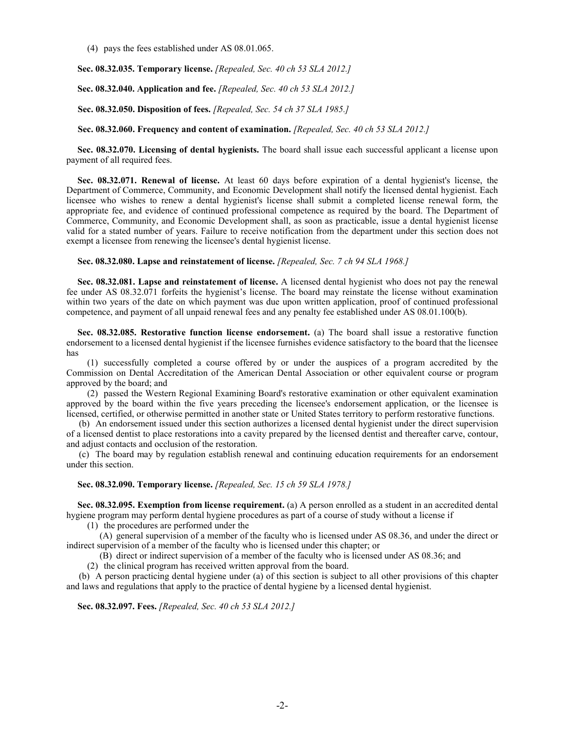(4) pays the fees established under AS 08.01.065.

**Sec. 08.32.035. Temporary license.** *[Repealed, Sec. 40 ch 53 SLA 2012.]*

**Sec. 08.32.040. Application and fee.** *[Repealed, Sec. 40 ch 53 SLA 2012.]*

**Sec. 08.32.050. Disposition of fees.** *[Repealed, Sec. 54 ch 37 SLA 1985.]*

**Sec. 08.32.060. Frequency and content of examination.** *[Repealed, Sec. 40 ch 53 SLA 2012.]*

**Sec. 08.32.070. Licensing of dental hygienists.** The board shall issue each successful applicant a license upon payment of all required fees.

**Sec. 08.32.071. Renewal of license.** At least 60 days before expiration of a dental hygienist's license, the Department of Commerce, Community, and Economic Development shall notify the licensed dental hygienist. Each licensee who wishes to renew a dental hygienist's license shall submit a completed license renewal form, the appropriate fee, and evidence of continued professional competence as required by the board. The Department of Commerce, Community, and Economic Development shall, as soon as practicable, issue a dental hygienist license valid for a stated number of years. Failure to receive notification from the department under this section does not exempt a licensee from renewing the licensee's dental hygienist license.

#### **Sec. 08.32.080. Lapse and reinstatement of license.** *[Repealed, Sec. 7 ch 94 SLA 1968.]*

**Sec. 08.32.081. Lapse and reinstatement of license.** A licensed dental hygienist who does not pay the renewal fee under AS 08.32.071 forfeits the hygienist's license. The board may reinstate the license without examination within two years of the date on which payment was due upon written application, proof of continued professional competence, and payment of all unpaid renewal fees and any penalty fee established under AS 08.01.100(b).

**Sec. 08.32.085. Restorative function license endorsement.** (a) The board shall issue a restorative function endorsement to a licensed dental hygienist if the licensee furnishes evidence satisfactory to the board that the licensee has

(1) successfully completed a course offered by or under the auspices of a program accredited by the Commission on Dental Accreditation of the American Dental Association or other equivalent course or program approved by the board; and

(2) passed the Western Regional Examining Board's restorative examination or other equivalent examination approved by the board within the five years preceding the licensee's endorsement application, or the licensee is licensed, certified, or otherwise permitted in another state or United States territory to perform restorative functions.

(b) An endorsement issued under this section authorizes a licensed dental hygienist under the direct supervision of a licensed dentist to place restorations into a cavity prepared by the licensed dentist and thereafter carve, contour, and adjust contacts and occlusion of the restoration.

(c) The board may by regulation establish renewal and continuing education requirements for an endorsement under this section.

#### **Sec. 08.32.090. Temporary license.** *[Repealed, Sec. 15 ch 59 SLA 1978.]*

**Sec. 08.32.095. Exemption from license requirement.** (a) A person enrolled as a student in an accredited dental hygiene program may perform dental hygiene procedures as part of a course of study without a license if

(1) the procedures are performed under the

(A) general supervision of a member of the faculty who is licensed under AS 08.36, and under the direct or indirect supervision of a member of the faculty who is licensed under this chapter; or

(B) direct or indirect supervision of a member of the faculty who is licensed under AS 08.36; and

(2) the clinical program has received written approval from the board.

(b) A person practicing dental hygiene under (a) of this section is subject to all other provisions of this chapter and laws and regulations that apply to the practice of dental hygiene by a licensed dental hygienist.

**Sec. 08.32.097. Fees.** *[Repealed, Sec. 40 ch 53 SLA 2012.]*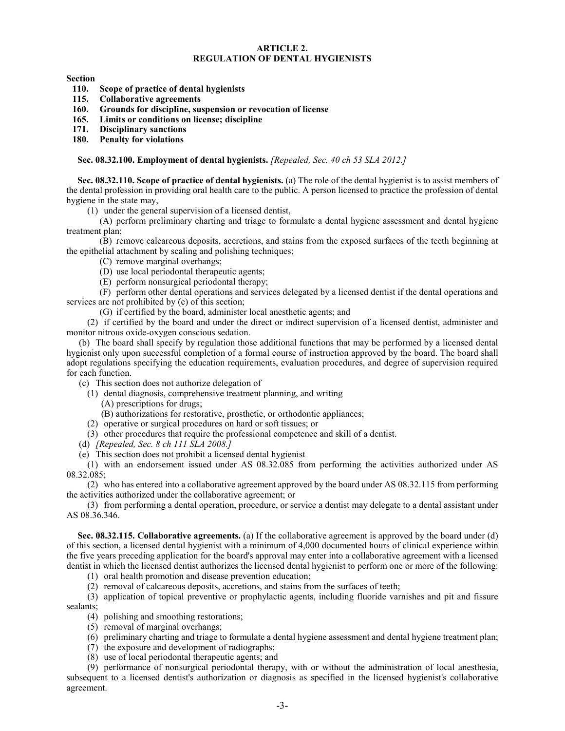# **ARTICLE 2. REGULATION OF DENTAL HYGIENISTS**

**Section**

- **110. Scope of practice of dental hygienists**
- **115. Collaborative agreements**
- **160. Grounds for discipline, suspension or revocation of license**
- **165. Limits or conditions on license; discipline**
- **171. Disciplinary sanctions**
- **180. Penalty for violations**

#### **Sec. 08.32.100. Employment of dental hygienists.** *[Repealed, Sec. 40 ch 53 SLA 2012.]*

**Sec. 08.32.110. Scope of practice of dental hygienists.** (a) The role of the dental hygienist is to assist members of the dental profession in providing oral health care to the public. A person licensed to practice the profession of dental hygiene in the state may,

(1) under the general supervision of a licensed dentist,

(A) perform preliminary charting and triage to formulate a dental hygiene assessment and dental hygiene treatment plan;

(B) remove calcareous deposits, accretions, and stains from the exposed surfaces of the teeth beginning at the epithelial attachment by scaling and polishing techniques;

- (C) remove marginal overhangs;
- (D) use local periodontal therapeutic agents;
- (E) perform nonsurgical periodontal therapy;

(F) perform other dental operations and services delegated by a licensed dentist if the dental operations and services are not prohibited by (c) of this section;

(G) if certified by the board, administer local anesthetic agents; and

(2) if certified by the board and under the direct or indirect supervision of a licensed dentist, administer and monitor nitrous oxide-oxygen conscious sedation.

(b) The board shall specify by regulation those additional functions that may be performed by a licensed dental hygienist only upon successful completion of a formal course of instruction approved by the board. The board shall adopt regulations specifying the education requirements, evaluation procedures, and degree of supervision required for each function.

(c) This section does not authorize delegation of

- (1) dental diagnosis, comprehensive treatment planning, and writing
	- (A) prescriptions for drugs;
	- (B) authorizations for restorative, prosthetic, or orthodontic appliances;
- (2) operative or surgical procedures on hard or soft tissues; or
- (3) other procedures that require the professional competence and skill of a dentist.
- (d) *[Repealed, Sec. 8 ch 111 SLA 2008.]*
- (e) This section does not prohibit a licensed dental hygienist

(1) with an endorsement issued under AS 08.32.085 from performing the activities authorized under AS 08.32.085;

(2) who has entered into a collaborative agreement approved by the board under AS 08.32.115 from performing the activities authorized under the collaborative agreement; or

(3) from performing a dental operation, procedure, or service a dentist may delegate to a dental assistant under AS 08.36.346.

**Sec. 08.32.115. Collaborative agreements.** (a) If the collaborative agreement is approved by the board under (d) of this section, a licensed dental hygienist with a minimum of 4,000 documented hours of clinical experience within the five years preceding application for the board's approval may enter into a collaborative agreement with a licensed dentist in which the licensed dentist authorizes the licensed dental hygienist to perform one or more of the following:

- (1) oral health promotion and disease prevention education;
- (2) removal of calcareous deposits, accretions, and stains from the surfaces of teeth;

(3) application of topical preventive or prophylactic agents, including fluoride varnishes and pit and fissure sealants;

- (4) polishing and smoothing restorations;
- (5) removal of marginal overhangs;
- (6) preliminary charting and triage to formulate a dental hygiene assessment and dental hygiene treatment plan;
- (7) the exposure and development of radiographs;
- (8) use of local periodontal therapeutic agents; and

(9) performance of nonsurgical periodontal therapy, with or without the administration of local anesthesia, subsequent to a licensed dentist's authorization or diagnosis as specified in the licensed hygienist's collaborative agreement.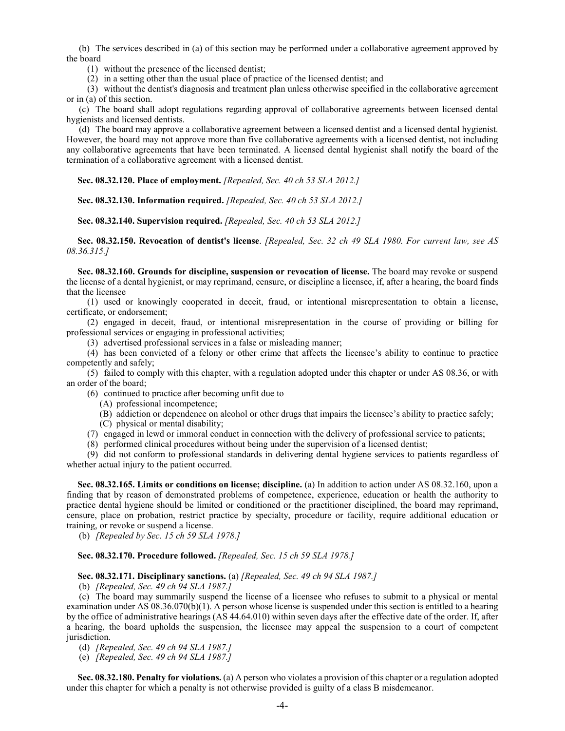(b) The services described in (a) of this section may be performed under a collaborative agreement approved by the board

(1) without the presence of the licensed dentist;

(2) in a setting other than the usual place of practice of the licensed dentist; and

(3) without the dentist's diagnosis and treatment plan unless otherwise specified in the collaborative agreement or in (a) of this section.

(c) The board shall adopt regulations regarding approval of collaborative agreements between licensed dental hygienists and licensed dentists.

(d) The board may approve a collaborative agreement between a licensed dentist and a licensed dental hygienist. However, the board may not approve more than five collaborative agreements with a licensed dentist, not including any collaborative agreements that have been terminated. A licensed dental hygienist shall notify the board of the termination of a collaborative agreement with a licensed dentist.

**Sec. 08.32.120. Place of employment.** *[Repealed, Sec. 40 ch 53 SLA 2012.]*

**Sec. 08.32.130. Information required.** *[Repealed, Sec. 40 ch 53 SLA 2012.]*

**Sec. 08.32.140. Supervision required.** *[Repealed, Sec. 40 ch 53 SLA 2012.]*

**Sec. 08.32.150. Revocation of dentist's license**. *[Repealed, Sec. 32 ch 49 SLA 1980. For current law, see AS 08.36.315.]*

**Sec. 08.32.160. Grounds for discipline, suspension or revocation of license.** The board may revoke or suspend the license of a dental hygienist, or may reprimand, censure, or discipline a licensee, if, after a hearing, the board finds that the licensee

(1) used or knowingly cooperated in deceit, fraud, or intentional misrepresentation to obtain a license, certificate, or endorsement;

(2) engaged in deceit, fraud, or intentional misrepresentation in the course of providing or billing for professional services or engaging in professional activities;

(3) advertised professional services in a false or misleading manner;

(4) has been convicted of a felony or other crime that affects the licensee's ability to continue to practice competently and safely;

(5) failed to comply with this chapter, with a regulation adopted under this chapter or under AS 08.36, or with an order of the board;

(6) continued to practice after becoming unfit due to

(A) professional incompetence;

(B) addiction or dependence on alcohol or other drugs that impairs the licensee's ability to practice safely;

(C) physical or mental disability;

(7) engaged in lewd or immoral conduct in connection with the delivery of professional service to patients;

(8) performed clinical procedures without being under the supervision of a licensed dentist;

(9) did not conform to professional standards in delivering dental hygiene services to patients regardless of whether actual injury to the patient occurred.

**Sec. 08.32.165. Limits or conditions on license; discipline.** (a) In addition to action under AS 08.32.160, upon a finding that by reason of demonstrated problems of competence, experience, education or health the authority to practice dental hygiene should be limited or conditioned or the practitioner disciplined, the board may reprimand, censure, place on probation, restrict practice by specialty, procedure or facility, require additional education or training, or revoke or suspend a license.

(b) *[Repealed by Sec. 15 ch 59 SLA 1978.]*

#### **Sec. 08.32.170. Procedure followed.** *[Repealed, Sec. 15 ch 59 SLA 1978.]*

#### **Sec. 08.32.171. Disciplinary sanctions.** (a) *[Repealed, Sec. 49 ch 94 SLA 1987.]*

(b) *[Repealed, Sec. 49 ch 94 SLA 1987.]*

(c) The board may summarily suspend the license of a licensee who refuses to submit to a physical or mental examination under AS  $(0.36.070(b)(1)$ . A person whose license is suspended under this section is entitled to a hearing by the office of administrative hearings (AS 44.64.010) within seven days after the effective date of the order. If, after a hearing, the board upholds the suspension, the licensee may appeal the suspension to a court of competent jurisdiction.

(d) *[Repealed, Sec. 49 ch 94 SLA 1987.]*

(e) *[Repealed, Sec. 49 ch 94 SLA 1987.]*

**Sec. 08.32.180. Penalty for violations.** (a) A person who violates a provision of this chapter or a regulation adopted under this chapter for which a penalty is not otherwise provided is guilty of a class B misdemeanor.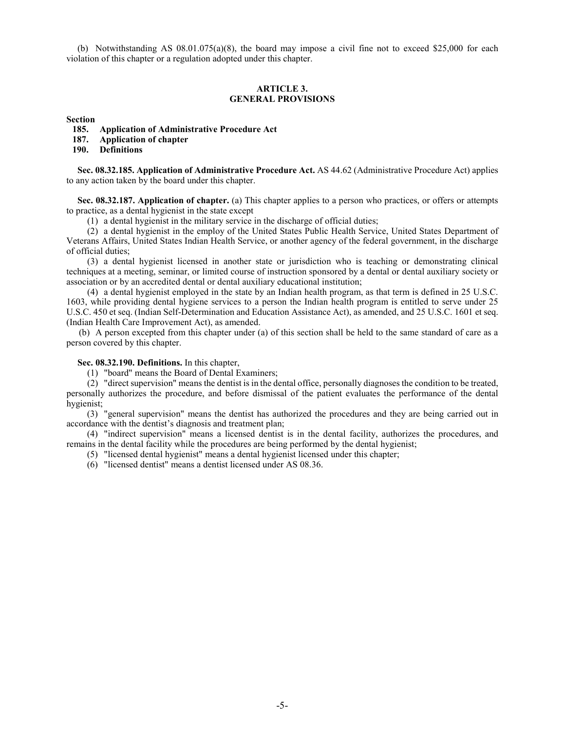(b) Notwithstanding AS  $08.01.075(a)(8)$ , the board may impose a civil fine not to exceed \$25,000 for each violation of this chapter or a regulation adopted under this chapter.

### **ARTICLE 3. GENERAL PROVISIONS**

**Section**

- **185. Application of Administrative Procedure Act**
- **187. Application of chapter**
- **190. Definitions**

**Sec. 08.32.185. Application of Administrative Procedure Act.** AS 44.62 (Administrative Procedure Act) applies to any action taken by the board under this chapter.

**Sec. 08.32.187. Application of chapter.** (a) This chapter applies to a person who practices, or offers or attempts to practice, as a dental hygienist in the state except

(1) a dental hygienist in the military service in the discharge of official duties;

(2) a dental hygienist in the employ of the United States Public Health Service, United States Department of Veterans Affairs, United States Indian Health Service, or another agency of the federal government, in the discharge of official duties;

(3) a dental hygienist licensed in another state or jurisdiction who is teaching or demonstrating clinical techniques at a meeting, seminar, or limited course of instruction sponsored by a dental or dental auxiliary society or association or by an accredited dental or dental auxiliary educational institution;

(4) a dental hygienist employed in the state by an Indian health program, as that term is defined in 25 U.S.C. 1603, while providing dental hygiene services to a person the Indian health program is entitled to serve under 25 U.S.C. 450 et seq. (Indian Self-Determination and Education Assistance Act), as amended, and 25 U.S.C. 1601 et seq. (Indian Health Care Improvement Act), as amended.

(b) A person excepted from this chapter under (a) of this section shall be held to the same standard of care as a person covered by this chapter.

# **Sec. 08.32.190. Definitions.** In this chapter,

(1) "board" means the Board of Dental Examiners;

 $(2)$  "direct supervision" means the dentist is in the dental office, personally diagnoses the condition to be treated, personally authorizes the procedure, and before dismissal of the patient evaluates the performance of the dental hygienist;

(3) "general supervision" means the dentist has authorized the procedures and they are being carried out in accordance with the dentist's diagnosis and treatment plan;

(4) "indirect supervision" means a licensed dentist is in the dental facility, authorizes the procedures, and remains in the dental facility while the procedures are being performed by the dental hygienist;

(5) "licensed dental hygienist" means a dental hygienist licensed under this chapter;

(6) "licensed dentist" means a dentist licensed under AS 08.36.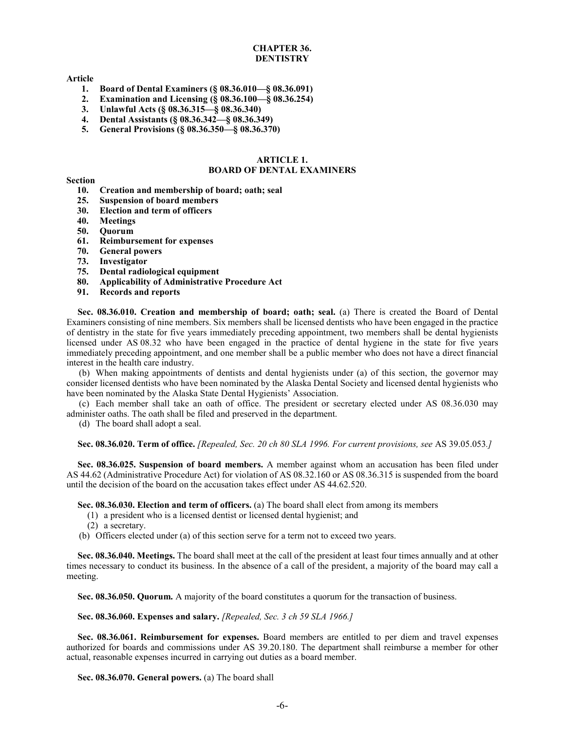# **CHAPTER 36. DENTISTRY**

## **Article**

- **1. Board of Dental Examiners (§ 08.36.010—§ 08.36.091)**
- **2. Examination and Licensing (§ 08.36.100—§ 08.36.254)**
- **3. Unlawful Acts (§ 08.36.315—§ 08.36.340)**
- **4. Dental Assistants (§ 08.36.342—§ 08.36.349)**
- **5. General Provisions (§ 08.36.350—§ 08.36.370)**

### **ARTICLE 1. BOARD OF DENTAL EXAMINERS**

#### **Section**

- **10. Creation and membership of board; oath; seal**
- **25. Suspension of board members**
- **30. Election and term of officers**
- **40. Meetings**
- **50. Quorum**
- **61. Reimbursement for expenses**
- **70. General powers**
- **73. Investigator**
- **75. Dental radiological equipment**
- **80. Applicability of Administrative Procedure Act**
- **91. Records and reports**

Sec. 08.36.010. Creation and membership of board; oath; seal. (a) There is created the Board of Dental Examiners consisting of nine members. Six members shall be licensed dentists who have been engaged in the practice of dentistry in the state for five years immediately preceding appointment, two members shall be dental hygienists licensed under AS 08.32 who have been engaged in the practice of dental hygiene in the state for five years immediately preceding appointment, and one member shall be a public member who does not have a direct financial interest in the health care industry.

(b) When making appointments of dentists and dental hygienists under (a) of this section, the governor may consider licensed dentists who have been nominated by the Alaska Dental Society and licensed dental hygienists who have been nominated by the Alaska State Dental Hygienists' Association.

(c) Each member shall take an oath of office. The president or secretary elected under AS 08.36.030 may administer oaths. The oath shall be filed and preserved in the department.

(d) The board shall adopt a seal.

**Sec. 08.36.020. Term of office.** *[Repealed, Sec. 20 ch 80 SLA 1996. For current provisions, see* AS 39.05.053*.]*

**Sec. 08.36.025. Suspension of board members.** A member against whom an accusation has been filed under AS 44.62 (Administrative Procedure Act) for violation of AS 08.32.160 or AS 08.36.315 is suspended from the board until the decision of the board on the accusation takes effect under AS 44.62.520.

**Sec. 08.36.030. Election and term of officers.** (a) The board shall elect from among its members

- (1) a president who is a licensed dentist or licensed dental hygienist; and
- (2) a secretary.

(b) Officers elected under (a) of this section serve for a term not to exceed two years.

**Sec. 08.36.040. Meetings.** The board shall meet at the call of the president at least four times annually and at other times necessary to conduct its business. In the absence of a call of the president, a majority of the board may call a meeting.

**Sec. 08.36.050. Quorum.** A majority of the board constitutes a quorum for the transaction of business.

**Sec. 08.36.060. Expenses and salary.** *[Repealed, Sec. 3 ch 59 SLA 1966.]*

**Sec. 08.36.061. Reimbursement for expenses.** Board members are entitled to per diem and travel expenses authorized for boards and commissions under AS 39.20.180. The department shall reimburse a member for other actual, reasonable expenses incurred in carrying out duties as a board member.

**Sec. 08.36.070. General powers.** (a) The board shall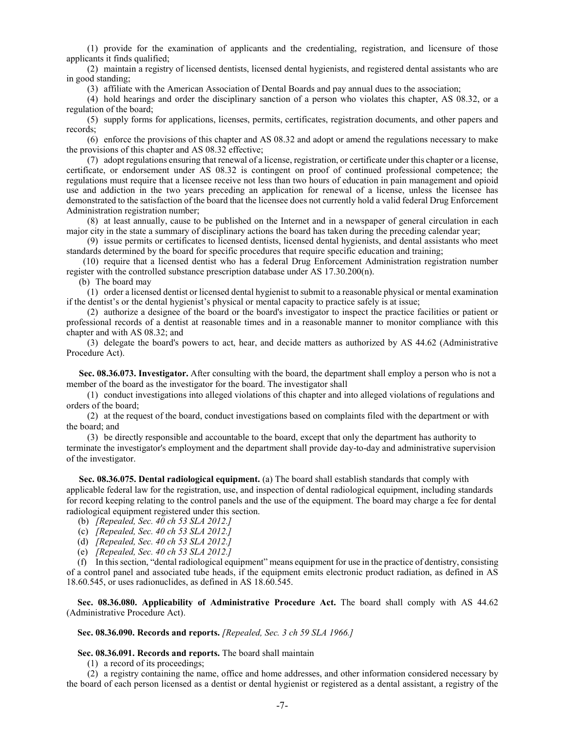(1) provide for the examination of applicants and the credentialing, registration, and licensure of those applicants it finds qualified;

(2) maintain a registry of licensed dentists, licensed dental hygienists, and registered dental assistants who are in good standing;

(3) affiliate with the American Association of Dental Boards and pay annual dues to the association;

(4) hold hearings and order the disciplinary sanction of a person who violates this chapter, AS 08.32, or a regulation of the board;

(5) supply forms for applications, licenses, permits, certificates, registration documents, and other papers and records;

(6) enforce the provisions of this chapter and AS 08.32 and adopt or amend the regulations necessary to make the provisions of this chapter and AS 08.32 effective;

(7) adopt regulations ensuring that renewal of a license, registration, or certificate under this chapter or a license, certificate, or endorsement under AS 08.32 is contingent on proof of continued professional competence; the regulations must require that a licensee receive not less than two hours of education in pain management and opioid use and addiction in the two years preceding an application for renewal of a license, unless the licensee has demonstrated to the satisfaction of the board that the licensee does not currently hold a valid federal Drug Enforcement Administration registration number;

(8) at least annually, cause to be published on the Internet and in a newspaper of general circulation in each major city in the state a summary of disciplinary actions the board has taken during the preceding calendar year;

(9) issue permits or certificates to licensed dentists, licensed dental hygienists, and dental assistants who meet standards determined by the board for specific procedures that require specific education and training;

(10) require that a licensed dentist who has a federal Drug Enforcement Administration registration number register with the controlled substance prescription database under AS 17.30.200(n).

(b) The board may

(1) order a licensed dentist or licensed dental hygienist to submit to a reasonable physical or mental examination if the dentist's or the dental hygienist's physical or mental capacity to practice safely is at issue;

(2) authorize a designee of the board or the board's investigator to inspect the practice facilities or patient or professional records of a dentist at reasonable times and in a reasonable manner to monitor compliance with this chapter and with AS 08.32; and

(3) delegate the board's powers to act, hear, and decide matters as authorized by AS 44.62 (Administrative Procedure Act).

**Sec. 08.36.073. Investigator.** After consulting with the board, the department shall employ a person who is not a member of the board as the investigator for the board. The investigator shall

(1) conduct investigations into alleged violations of this chapter and into alleged violations of regulations and orders of the board;

(2) at the request of the board, conduct investigations based on complaints filed with the department or with the board; and

(3) be directly responsible and accountable to the board, except that only the department has authority to terminate the investigator's employment and the department shall provide day-to-day and administrative supervision of the investigator.

**Sec. 08.36.075. Dental radiological equipment.** (a) The board shall establish standards that comply with applicable federal law for the registration, use, and inspection of dental radiological equipment, including standards for record keeping relating to the control panels and the use of the equipment. The board may charge a fee for dental radiological equipment registered under this section.

- (b) *[Repealed, Sec. 40 ch 53 SLA 2012.]*
- (c) *[Repealed, Sec. 40 ch 53 SLA 2012.]*
- (d) *[Repealed, Sec. 40 ch 53 SLA 2012.]*
- (e) *[Repealed, Sec. 40 ch 53 SLA 2012.]*

(f) In this section, "dental radiological equipment" means equipment for use in the practice of dentistry, consisting of a control panel and associated tube heads, if the equipment emits electronic product radiation, as defined in AS 18.60.545, or uses radionuclides, as defined in AS 18.60.545.

**Sec. 08.36.080. Applicability of Administrative Procedure Act.** The board shall comply with AS 44.62 (Administrative Procedure Act).

#### **Sec. 08.36.090. Records and reports.** *[Repealed, Sec. 3 ch 59 SLA 1966.]*

#### **Sec. 08.36.091. Records and reports.** The board shall maintain

(1) a record of its proceedings;

(2) a registry containing the name, office and home addresses, and other information considered necessary by the board of each person licensed as a dentist or dental hygienist or registered as a dental assistant, a registry of the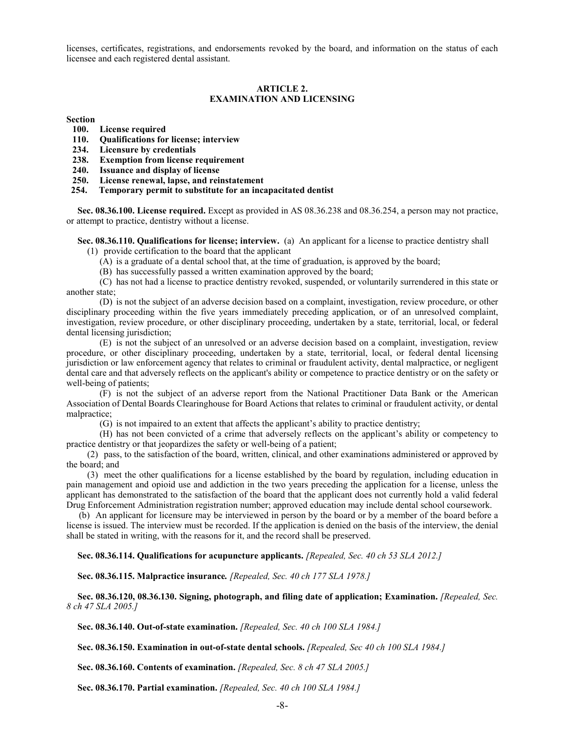licenses, certificates, registrations, and endorsements revoked by the board, and information on the status of each licensee and each registered dental assistant.

# **ARTICLE 2. EXAMINATION AND LICENSING**

**Section**

- **100. License required**
- **110. Qualifications for license; interview**
- **234. Licensure by credentials**
- **238. Exemption from license requirement**
- **240. Issuance and display of license**
- **250. License renewal, lapse, and reinstatement**
- **254. Temporary permit to substitute for an incapacitated dentist**

**Sec. 08.36.100. License required.** Except as provided in AS 08.36.238 and 08.36.254, a person may not practice, or attempt to practice, dentistry without a license.

**Sec. 08.36.110. Qualifications for license; interview.** (a) An applicant for a license to practice dentistry shall

(1) provide certification to the board that the applicant

(A) is a graduate of a dental school that, at the time of graduation, is approved by the board;

(B) has successfully passed a written examination approved by the board;

(C) has not had a license to practice dentistry revoked, suspended, or voluntarily surrendered in this state or another state;

(D) is not the subject of an adverse decision based on a complaint, investigation, review procedure, or other disciplinary proceeding within the five years immediately preceding application, or of an unresolved complaint, investigation, review procedure, or other disciplinary proceeding, undertaken by a state, territorial, local, or federal dental licensing jurisdiction;

(E) is not the subject of an unresolved or an adverse decision based on a complaint, investigation, review procedure, or other disciplinary proceeding, undertaken by a state, territorial, local, or federal dental licensing jurisdiction or law enforcement agency that relates to criminal or fraudulent activity, dental malpractice, or negligent dental care and that adversely reflects on the applicant's ability or competence to practice dentistry or on the safety or well-being of patients;

(F) is not the subject of an adverse report from the National Practitioner Data Bank or the American Association of Dental Boards Clearinghouse for Board Actions that relates to criminal or fraudulent activity, or dental malpractice;

(G) is not impaired to an extent that affects the applicant's ability to practice dentistry;

(H) has not been convicted of a crime that adversely reflects on the applicant's ability or competency to practice dentistry or that jeopardizes the safety or well-being of a patient;

(2) pass, to the satisfaction of the board, written, clinical, and other examinations administered or approved by the board; and

(3) meet the other qualifications for a license established by the board by regulation, including education in pain management and opioid use and addiction in the two years preceding the application for a license, unless the applicant has demonstrated to the satisfaction of the board that the applicant does not currently hold a valid federal Drug Enforcement Administration registration number; approved education may include dental school coursework.

(b) An applicant for licensure may be interviewed in person by the board or by a member of the board before a license is issued. The interview must be recorded. If the application is denied on the basis of the interview, the denial shall be stated in writing, with the reasons for it, and the record shall be preserved.

**Sec. 08.36.114. Qualifications for acupuncture applicants.** *[Repealed, Sec. 40 ch 53 SLA 2012.]*

**Sec. 08.36.115. Malpractice insurance***. [Repealed, Sec. 40 ch 177 SLA 1978.]*

**Sec. 08.36.120, 08.36.130. Signing, photograph, and filing date of application; Examination.** *[Repealed, Sec. 8 ch 47 SLA 2005.]*

**Sec. 08.36.140. Out-of-state examination.** *[Repealed, Sec. 40 ch 100 SLA 1984.]*

**Sec. 08.36.150. Examination in out-of-state dental schools.** *[Repealed, Sec 40 ch 100 SLA 1984.]*

**Sec. 08.36.160. Contents of examination.** *[Repealed, Sec. 8 ch 47 SLA 2005.]*

**Sec. 08.36.170. Partial examination.** *[Repealed, Sec. 40 ch 100 SLA 1984.]*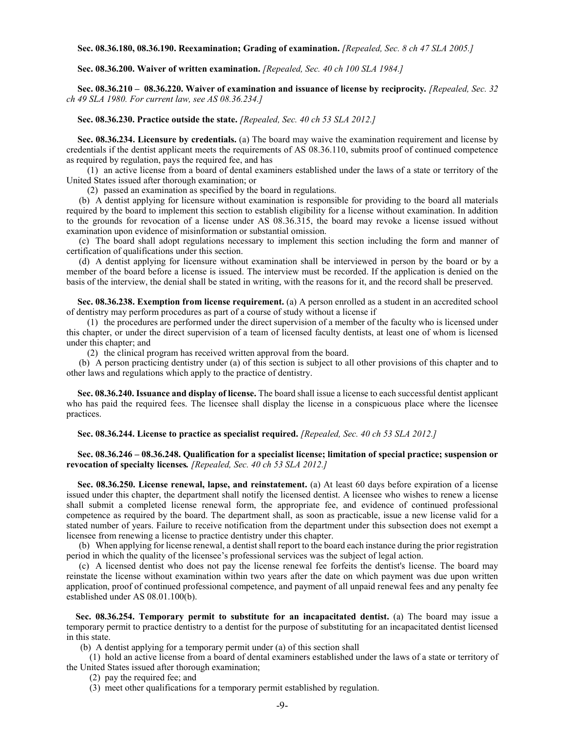**Sec. 08.36.180, 08.36.190. Reexamination; Grading of examination.** *[Repealed, Sec. 8 ch 47 SLA 2005.]*

#### **Sec. 08.36.200. Waiver of written examination.** *[Repealed, Sec. 40 ch 100 SLA 1984.]*

**Sec. 08.36.210 – 08.36.220. Waiver of examination and issuance of license by reciprocity***. [Repealed, Sec. 32 ch 49 SLA 1980. For current law, see AS 08.36.234.]*

**Sec. 08.36.230. Practice outside the state.** *[Repealed, Sec. 40 ch 53 SLA 2012.]*

**Sec. 08.36.234. Licensure by credentials.** (a) The board may waive the examination requirement and license by credentials if the dentist applicant meets the requirements of AS 08.36.110, submits proof of continued competence as required by regulation, pays the required fee, and has

(1) an active license from a board of dental examiners established under the laws of a state or territory of the United States issued after thorough examination; or

(2) passed an examination as specified by the board in regulations.

(b) A dentist applying for licensure without examination is responsible for providing to the board all materials required by the board to implement this section to establish eligibility for a license without examination. In addition to the grounds for revocation of a license under AS 08.36.315, the board may revoke a license issued without examination upon evidence of misinformation or substantial omission.

(c) The board shall adopt regulations necessary to implement this section including the form and manner of certification of qualifications under this section.

(d) A dentist applying for licensure without examination shall be interviewed in person by the board or by a member of the board before a license is issued. The interview must be recorded. If the application is denied on the basis of the interview, the denial shall be stated in writing, with the reasons for it, and the record shall be preserved.

**Sec. 08.36.238. Exemption from license requirement.** (a) A person enrolled as a student in an accredited school of dentistry may perform procedures as part of a course of study without a license if

(1) the procedures are performed under the direct supervision of a member of the faculty who is licensed under this chapter, or under the direct supervision of a team of licensed faculty dentists, at least one of whom is licensed under this chapter; and

(2) the clinical program has received written approval from the board.

(b) A person practicing dentistry under (a) of this section is subject to all other provisions of this chapter and to other laws and regulations which apply to the practice of dentistry.

**Sec. 08.36.240. Issuance and display of license.** The board shall issue a license to each successful dentist applicant who has paid the required fees. The licensee shall display the license in a conspicuous place where the licensee practices.

**Sec. 08.36.244. License to practice as specialist required.** *[Repealed, Sec. 40 ch 53 SLA 2012.]*

# **Sec. 08.36.246 – 08.36.248. Qualification for a specialist license; limitation of special practice; suspension or revocation of specialty licenses***. [Repealed, Sec. 40 ch 53 SLA 2012.]*

**Sec. 08.36.250. License renewal, lapse, and reinstatement.** (a) At least 60 days before expiration of a license issued under this chapter, the department shall notify the licensed dentist. A licensee who wishes to renew a license shall submit a completed license renewal form, the appropriate fee, and evidence of continued professional competence as required by the board. The department shall, as soon as practicable, issue a new license valid for a stated number of years. Failure to receive notification from the department under this subsection does not exempt a licensee from renewing a license to practice dentistry under this chapter.

(b) When applying for license renewal, a dentist shall report to the board each instance during the prior registration period in which the quality of the licensee's professional services was the subject of legal action.

(c) A licensed dentist who does not pay the license renewal fee forfeits the dentist's license. The board may reinstate the license without examination within two years after the date on which payment was due upon written application, proof of continued professional competence, and payment of all unpaid renewal fees and any penalty fee established under AS 08.01.100(b).

 **Sec. 08.36.254. Temporary permit to substitute for an incapacitated dentist.** (a) The board may issue a temporary permit to practice dentistry to a dentist for the purpose of substituting for an incapacitated dentist licensed in this state.

(b) A dentist applying for a temporary permit under (a) of this section shall

 (1) hold an active license from a board of dental examiners established under the laws of a state or territory of the United States issued after thorough examination;

(2) pay the required fee; and

(3) meet other qualifications for a temporary permit established by regulation.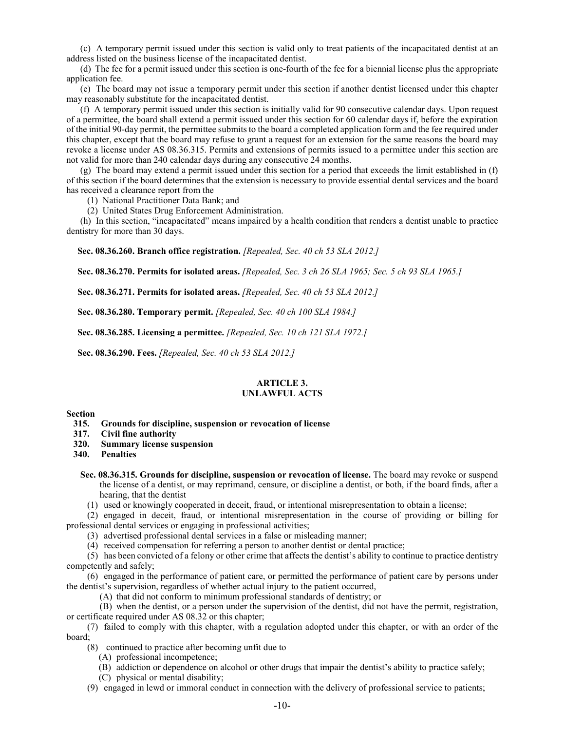(c) A temporary permit issued under this section is valid only to treat patients of the incapacitated dentist at an address listed on the business license of the incapacitated dentist.

 (d) The fee for a permit issued under this section is one-fourth of the fee for a biennial license plus the appropriate application fee.

 (e) The board may not issue a temporary permit under this section if another dentist licensed under this chapter may reasonably substitute for the incapacitated dentist.

 (f) A temporary permit issued under this section is initially valid for 90 consecutive calendar days. Upon request of a permittee, the board shall extend a permit issued under this section for 60 calendar days if, before the expiration of the initial 90-day permit, the permittee submits to the board a completed application form and the fee required under this chapter, except that the board may refuse to grant a request for an extension for the same reasons the board may revoke a license under AS 08.36.315. Permits and extensions of permits issued to a permittee under this section are not valid for more than 240 calendar days during any consecutive 24 months.

 (g) The board may extend a permit issued under this section for a period that exceeds the limit established in (f) of this section if the board determines that the extension is necessary to provide essential dental services and the board has received a clearance report from the

(1) National Practitioner Data Bank; and

(2) United States Drug Enforcement Administration.

 (h) In this section, "incapacitated" means impaired by a health condition that renders a dentist unable to practice dentistry for more than 30 days.

**Sec. 08.36.260. Branch office registration.** *[Repealed, Sec. 40 ch 53 SLA 2012.]*

**Sec. 08.36.270. Permits for isolated areas.** *[Repealed, Sec. 3 ch 26 SLA 1965; Sec. 5 ch 93 SLA 1965.]*

**Sec. 08.36.271. Permits for isolated areas.** *[Repealed, Sec. 40 ch 53 SLA 2012.]*

**Sec. 08.36.280. Temporary permit.** *[Repealed, Sec. 40 ch 100 SLA 1984.]*

**Sec. 08.36.285. Licensing a permittee.** *[Repealed, Sec. 10 ch 121 SLA 1972.]*

**Sec. 08.36.290. Fees.** *[Repealed, Sec. 40 ch 53 SLA 2012.]*

# **ARTICLE 3. UNLAWFUL ACTS**

#### **Section**

 **315. Grounds for discipline, suspension or revocation of license**

 **317. Civil fine authority**

 **320. Summary license suspension**

**Penalties** 

- **Sec. 08.36.315. Grounds for discipline, suspension or revocation of license.** The board may revoke or suspend the license of a dentist, or may reprimand, censure, or discipline a dentist, or both, if the board finds, after a hearing, that the dentist
	- (1) used or knowingly cooperated in deceit, fraud, or intentional misrepresentation to obtain a license;

(2) engaged in deceit, fraud, or intentional misrepresentation in the course of providing or billing for professional dental services or engaging in professional activities;

(3) advertised professional dental services in a false or misleading manner;

(4) received compensation for referring a person to another dentist or dental practice;

(5) has been convicted of a felony or other crime that affects the dentist's ability to continue to practice dentistry competently and safely;

(6) engaged in the performance of patient care, or permitted the performance of patient care by persons under the dentist's supervision, regardless of whether actual injury to the patient occurred,

(A) that did not conform to minimum professional standards of dentistry; or

(B) when the dentist, or a person under the supervision of the dentist, did not have the permit, registration, or certificate required under AS 08.32 or this chapter;

(7) failed to comply with this chapter, with a regulation adopted under this chapter, or with an order of the board;

(8) continued to practice after becoming unfit due to

- (A) professional incompetence;
- (B) addiction or dependence on alcohol or other drugs that impair the dentist's ability to practice safely;
- (C) physical or mental disability;
- (9) engaged in lewd or immoral conduct in connection with the delivery of professional service to patients;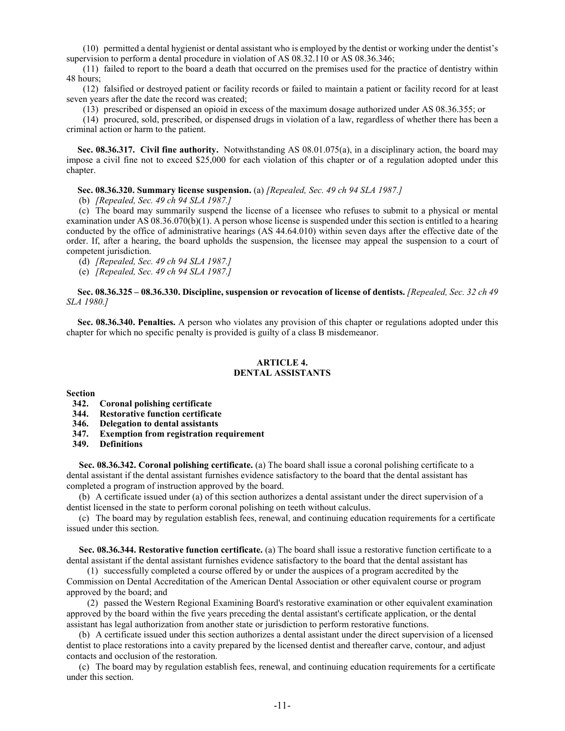(10) permitted a dental hygienist or dental assistant who is employed by the dentist or working under the dentist's supervision to perform a dental procedure in violation of AS 08.32.110 or AS 08.36.346;

(11) failed to report to the board a death that occurred on the premises used for the practice of dentistry within 48 hours;

(12) falsified or destroyed patient or facility records or failed to maintain a patient or facility record for at least seven years after the date the record was created;

(13) prescribed or dispensed an opioid in excess of the maximum dosage authorized under AS 08.36.355; or

(14) procured, sold, prescribed, or dispensed drugs in violation of a law, regardless of whether there has been a criminal action or harm to the patient.

**Sec. 08.36.317. Civil fine authority.** Notwithstanding AS 08.01.075(a), in a disciplinary action, the board may impose a civil fine not to exceed \$25,000 for each violation of this chapter or of a regulation adopted under this chapter.

#### **Sec. 08.36.320. Summary license suspension.** (a) *[Repealed, Sec. 49 ch 94 SLA 1987.]*

(b) *[Repealed, Sec. 49 ch 94 SLA 1987.]*

(c) The board may summarily suspend the license of a licensee who refuses to submit to a physical or mental examination under AS 08.36.070(b)(1). A person whose license is suspended under this section is entitled to a hearing conducted by the office of administrative hearings (AS 44.64.010) within seven days after the effective date of the order. If, after a hearing, the board upholds the suspension, the licensee may appeal the suspension to a court of competent jurisdiction.

(d) *[Repealed, Sec. 49 ch 94 SLA 1987.]*

(e) *[Repealed, Sec. 49 ch 94 SLA 1987.]*

**Sec. 08.36.325 – 08.36.330. Discipline, suspension or revocation of license of dentists.** *[Repealed, Sec. 32 ch 49 SLA 1980.]*

**Sec. 08.36.340. Penalties.** A person who violates any provision of this chapter or regulations adopted under this chapter for which no specific penalty is provided is guilty of a class B misdemeanor.

## **ARTICLE 4. DENTAL ASSISTANTS**

**Section**

- **342. Coronal polishing certificate**
- **344. Restorative function certificate**
- **346. Delegation to dental assistants**
- **347. Exemption from registration requirement**
- **349. Definitions**

**Sec. 08.36.342. Coronal polishing certificate.** (a) The board shall issue a coronal polishing certificate to a dental assistant if the dental assistant furnishes evidence satisfactory to the board that the dental assistant has completed a program of instruction approved by the board.

(b) A certificate issued under (a) of this section authorizes a dental assistant under the direct supervision of a dentist licensed in the state to perform coronal polishing on teeth without calculus.

(c) The board may by regulation establish fees, renewal, and continuing education requirements for a certificate issued under this section.

**Sec. 08.36.344. Restorative function certificate.** (a) The board shall issue a restorative function certificate to a dental assistant if the dental assistant furnishes evidence satisfactory to the board that the dental assistant has

(1) successfully completed a course offered by or under the auspices of a program accredited by the Commission on Dental Accreditation of the American Dental Association or other equivalent course or program approved by the board; and

(2) passed the Western Regional Examining Board's restorative examination or other equivalent examination approved by the board within the five years preceding the dental assistant's certificate application, or the dental assistant has legal authorization from another state or jurisdiction to perform restorative functions.

(b) A certificate issued under this section authorizes a dental assistant under the direct supervision of a licensed dentist to place restorations into a cavity prepared by the licensed dentist and thereafter carve, contour, and adjust contacts and occlusion of the restoration.

(c) The board may by regulation establish fees, renewal, and continuing education requirements for a certificate under this section.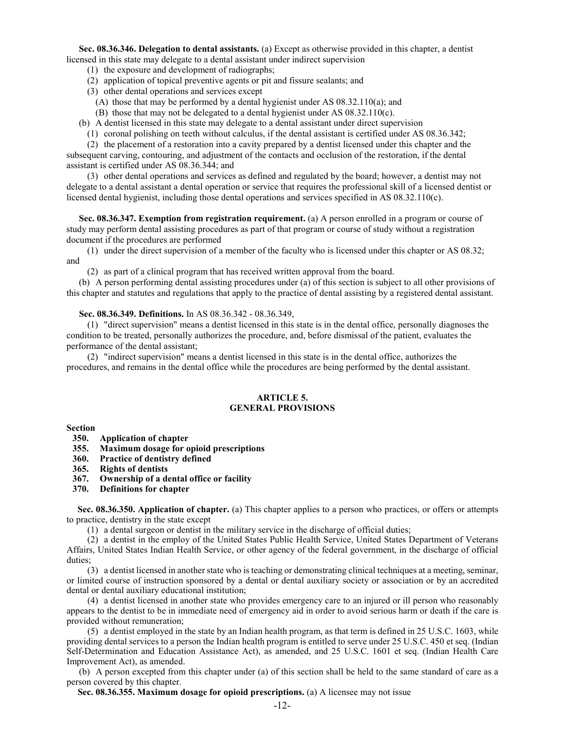**Sec. 08.36.346. Delegation to dental assistants.** (a) Except as otherwise provided in this chapter, a dentist licensed in this state may delegate to a dental assistant under indirect supervision

- (1) the exposure and development of radiographs;
- (2) application of topical preventive agents or pit and fissure sealants; and
- (3) other dental operations and services except
	- (A) those that may be performed by a dental hygienist under AS 08.32.110(a); and
	- (B) those that may not be delegated to a dental hygienist under AS 08.32.110(c).
- (b) A dentist licensed in this state may delegate to a dental assistant under direct supervision
	- (1) coronal polishing on teeth without calculus, if the dental assistant is certified under AS 08.36.342;

(2) the placement of a restoration into a cavity prepared by a dentist licensed under this chapter and the subsequent carving, contouring, and adjustment of the contacts and occlusion of the restoration, if the dental assistant is certified under AS 08.36.344; and

(3) other dental operations and services as defined and regulated by the board; however, a dentist may not delegate to a dental assistant a dental operation or service that requires the professional skill of a licensed dentist or licensed dental hygienist, including those dental operations and services specified in AS 08.32.110(c).

**Sec. 08.36.347. Exemption from registration requirement.** (a) A person enrolled in a program or course of study may perform dental assisting procedures as part of that program or course of study without a registration document if the procedures are performed

(1) under the direct supervision of a member of the faculty who is licensed under this chapter or AS 08.32; and

(2) as part of a clinical program that has received written approval from the board.

(b) A person performing dental assisting procedures under (a) of this section is subject to all other provisions of this chapter and statutes and regulations that apply to the practice of dental assisting by a registered dental assistant.

#### **Sec. 08.36.349. Definitions.** In AS 08.36.342 - 08.36.349,

(1) "direct supervision" means a dentist licensed in this state is in the dental office, personally diagnoses the condition to be treated, personally authorizes the procedure, and, before dismissal of the patient, evaluates the performance of the dental assistant;

(2) "indirect supervision" means a dentist licensed in this state is in the dental office, authorizes the procedures, and remains in the dental office while the procedures are being performed by the dental assistant.

#### **ARTICLE 5. GENERAL PROVISIONS**

**Section**

**350. Application of chapter**

- **355. Maximum dosage for opioid prescriptions**
- **360. Practice of dentistry defined**
- **365. Rights of dentists**
- **367. Ownership of a dental office or facility**
- **370. Definitions for chapter**

**Sec. 08.36.350. Application of chapter.** (a) This chapter applies to a person who practices, or offers or attempts to practice, dentistry in the state except

(1) a dental surgeon or dentist in the military service in the discharge of official duties;

(2) a dentist in the employ of the United States Public Health Service, United States Department of Veterans Affairs, United States Indian Health Service, or other agency of the federal government, in the discharge of official duties;

(3) a dentist licensed in another state who is teaching or demonstrating clinical techniques at a meeting, seminar, or limited course of instruction sponsored by a dental or dental auxiliary society or association or by an accredited dental or dental auxiliary educational institution;

(4) a dentist licensed in another state who provides emergency care to an injured or ill person who reasonably appears to the dentist to be in immediate need of emergency aid in order to avoid serious harm or death if the care is provided without remuneration;

(5) a dentist employed in the state by an Indian health program, as that term is defined in 25 U.S.C. 1603, while providing dental services to a person the Indian health program is entitled to serve under 25 U.S.C. 450 et seq. (Indian Self-Determination and Education Assistance Act), as amended, and 25 U.S.C. 1601 et seq. (Indian Health Care Improvement Act), as amended.

(b) A person excepted from this chapter under (a) of this section shall be held to the same standard of care as a person covered by this chapter.

**Sec. 08.36.355. Maximum dosage for opioid prescriptions.** (a) A licensee may not issue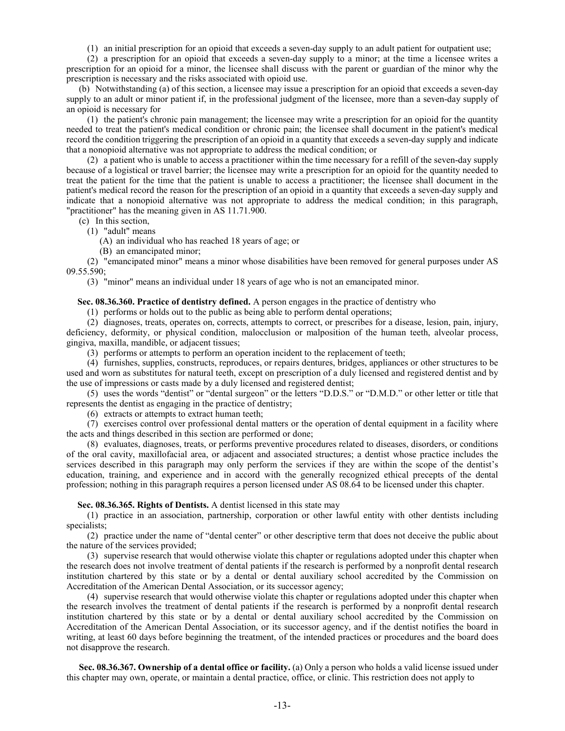(1) an initial prescription for an opioid that exceeds a seven-day supply to an adult patient for outpatient use;

(2) a prescription for an opioid that exceeds a seven-day supply to a minor; at the time a licensee writes a prescription for an opioid for a minor, the licensee shall discuss with the parent or guardian of the minor why the prescription is necessary and the risks associated with opioid use.

(b) Notwithstanding (a) of this section, a licensee may issue a prescription for an opioid that exceeds a seven-day supply to an adult or minor patient if, in the professional judgment of the licensee, more than a seven-day supply of an opioid is necessary for

(1) the patient's chronic pain management; the licensee may write a prescription for an opioid for the quantity needed to treat the patient's medical condition or chronic pain; the licensee shall document in the patient's medical record the condition triggering the prescription of an opioid in a quantity that exceeds a seven-day supply and indicate that a nonopioid alternative was not appropriate to address the medical condition; or

(2) a patient who is unable to access a practitioner within the time necessary for a refill of the seven-day supply because of a logistical or travel barrier; the licensee may write a prescription for an opioid for the quantity needed to treat the patient for the time that the patient is unable to access a practitioner; the licensee shall document in the patient's medical record the reason for the prescription of an opioid in a quantity that exceeds a seven-day supply and indicate that a nonopioid alternative was not appropriate to address the medical condition; in this paragraph, "practitioner" has the meaning given in AS 11.71.900.

(c) In this section,

(1) "adult" means

(A) an individual who has reached 18 years of age; or

(B) an emancipated minor;

(2) "emancipated minor" means a minor whose disabilities have been removed for general purposes under AS 09.55.590;

(3) "minor" means an individual under 18 years of age who is not an emancipated minor.

**Sec. 08.36.360. Practice of dentistry defined.** A person engages in the practice of dentistry who

(1) performs or holds out to the public as being able to perform dental operations;

(2) diagnoses, treats, operates on, corrects, attempts to correct, or prescribes for a disease, lesion, pain, injury, deficiency, deformity, or physical condition, malocclusion or malposition of the human teeth, alveolar process, gingiva, maxilla, mandible, or adjacent tissues;

(3) performs or attempts to perform an operation incident to the replacement of teeth;

(4) furnishes, supplies, constructs, reproduces, or repairs dentures, bridges, appliances or other structures to be used and worn as substitutes for natural teeth, except on prescription of a duly licensed and registered dentist and by the use of impressions or casts made by a duly licensed and registered dentist;

(5) uses the words "dentist" or "dental surgeon" or the letters "D.D.S." or "D.M.D." or other letter or title that represents the dentist as engaging in the practice of dentistry;

(6) extracts or attempts to extract human teeth;

(7) exercises control over professional dental matters or the operation of dental equipment in a facility where the acts and things described in this section are performed or done;

(8) evaluates, diagnoses, treats, or performs preventive procedures related to diseases, disorders, or conditions of the oral cavity, maxillofacial area, or adjacent and associated structures; a dentist whose practice includes the services described in this paragraph may only perform the services if they are within the scope of the dentist's education, training, and experience and in accord with the generally recognized ethical precepts of the dental profession; nothing in this paragraph requires a person licensed under AS 08.64 to be licensed under this chapter.

**Sec. 08.36.365. Rights of Dentists.** A dentist licensed in this state may

(1) practice in an association, partnership, corporation or other lawful entity with other dentists including specialists;

(2) practice under the name of "dental center" or other descriptive term that does not deceive the public about the nature of the services provided;

(3) supervise research that would otherwise violate this chapter or regulations adopted under this chapter when the research does not involve treatment of dental patients if the research is performed by a nonprofit dental research institution chartered by this state or by a dental or dental auxiliary school accredited by the Commission on Accreditation of the American Dental Association, or its successor agency;

(4) supervise research that would otherwise violate this chapter or regulations adopted under this chapter when the research involves the treatment of dental patients if the research is performed by a nonprofit dental research institution chartered by this state or by a dental or dental auxiliary school accredited by the Commission on Accreditation of the American Dental Association, or its successor agency, and if the dentist notifies the board in writing, at least 60 days before beginning the treatment, of the intended practices or procedures and the board does not disapprove the research.

**Sec. 08.36.367. Ownership of a dental office or facility.** (a) Only a person who holds a valid license issued under this chapter may own, operate, or maintain a dental practice, office, or clinic. This restriction does not apply to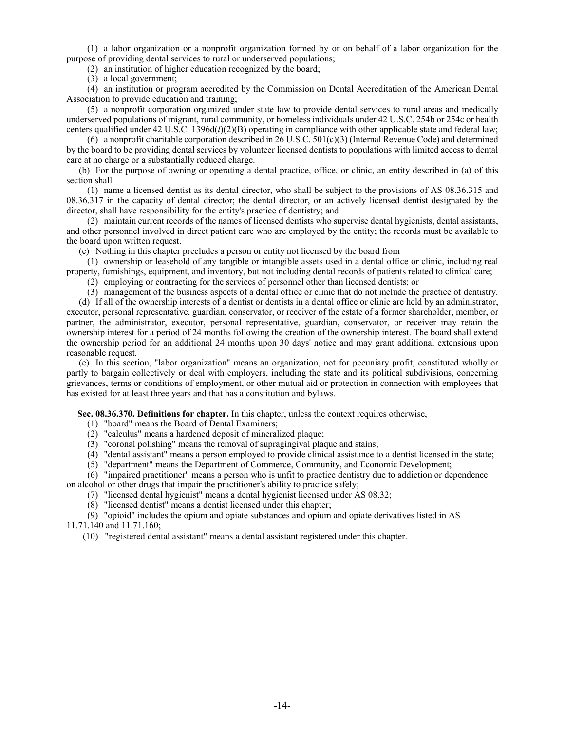(1) a labor organization or a nonprofit organization formed by or on behalf of a labor organization for the purpose of providing dental services to rural or underserved populations;

(2) an institution of higher education recognized by the board;

(3) a local government;

(4) an institution or program accredited by the Commission on Dental Accreditation of the American Dental Association to provide education and training;

(5) a nonprofit corporation organized under state law to provide dental services to rural areas and medically underserved populations of migrant, rural community, or homeless individuals under 42 U.S.C. 254b or 254c or health centers qualified under 42 U.S.C. 1396d(*l*)(2)(B) operating in compliance with other applicable state and federal law;

(6) a nonprofit charitable corporation described in 26 U.S.C.  $501(c)(3)$  (Internal Revenue Code) and determined by the board to be providing dental services by volunteer licensed dentists to populations with limited access to dental care at no charge or a substantially reduced charge.

(b) For the purpose of owning or operating a dental practice, office, or clinic, an entity described in (a) of this section shall

(1) name a licensed dentist as its dental director, who shall be subject to the provisions of AS 08.36.315 and 08.36.317 in the capacity of dental director; the dental director, or an actively licensed dentist designated by the director, shall have responsibility for the entity's practice of dentistry; and

(2) maintain current records of the names of licensed dentists who supervise dental hygienists, dental assistants, and other personnel involved in direct patient care who are employed by the entity; the records must be available to the board upon written request.

(c) Nothing in this chapter precludes a person or entity not licensed by the board from

(1) ownership or leasehold of any tangible or intangible assets used in a dental office or clinic, including real property, furnishings, equipment, and inventory, but not including dental records of patients related to clinical care;

(2) employing or contracting for the services of personnel other than licensed dentists; or

(3) management of the business aspects of a dental office or clinic that do not include the practice of dentistry.

(d) If all of the ownership interests of a dentist or dentists in a dental office or clinic are held by an administrator, executor, personal representative, guardian, conservator, or receiver of the estate of a former shareholder, member, or partner, the administrator, executor, personal representative, guardian, conservator, or receiver may retain the ownership interest for a period of 24 months following the creation of the ownership interest. The board shall extend the ownership period for an additional 24 months upon 30 days' notice and may grant additional extensions upon reasonable request.

(e) In this section, "labor organization" means an organization, not for pecuniary profit, constituted wholly or partly to bargain collectively or deal with employers, including the state and its political subdivisions, concerning grievances, terms or conditions of employment, or other mutual aid or protection in connection with employees that has existed for at least three years and that has a constitution and bylaws.

**Sec. 08.36.370. Definitions for chapter.** In this chapter, unless the context requires otherwise,

(1) "board" means the Board of Dental Examiners;

- (2) "calculus" means a hardened deposit of mineralized plaque;
- (3) "coronal polishing" means the removal of supragingival plaque and stains;
- (4) "dental assistant" means a person employed to provide clinical assistance to a dentist licensed in the state;

(5) "department" means the Department of Commerce, Community, and Economic Development;

(6) "impaired practitioner" means a person who is unfit to practice dentistry due to addiction or dependence on alcohol or other drugs that impair the practitioner's ability to practice safely;

(7) "licensed dental hygienist" means a dental hygienist licensed under AS 08.32;

(8) "licensed dentist" means a dentist licensed under this chapter;

(9) "opioid" includes the opium and opiate substances and opium and opiate derivatives listed in AS 11.71.140 and 11.71.160;

(10) "registered dental assistant" means a dental assistant registered under this chapter.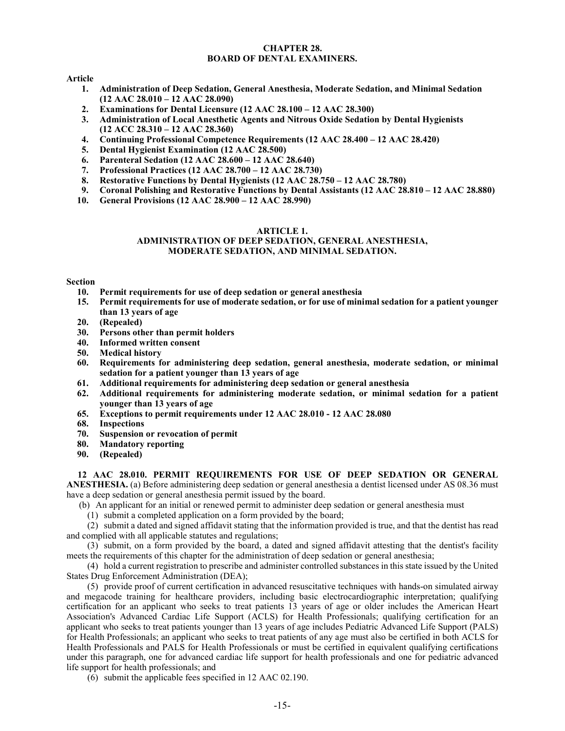## **CHAPTER 28. BOARD OF DENTAL EXAMINERS.**

# **Article**

- **1. Administration of Deep Sedation, General Anesthesia, Moderate Sedation, and Minimal Sedation (12 AAC 28.010 – 12 AAC 28.090)**
- **2. Examinations for Dental Licensure (12 AAC 28.100 – 12 AAC 28.300)**
- **3. Administration of Local Anesthetic Agents and Nitrous Oxide Sedation by Dental Hygienists (12 ACC 28.310 – 12 AAC 28.360)**
- **4. Continuing Professional Competence Requirements (12 AAC 28.400 – 12 AAC 28.420)**
- **5. Dental Hygienist Examination (12 AAC 28.500)**
- **6. Parenteral Sedation (12 AAC 28.600 – 12 AAC 28.640)**
- **7. Professional Practices (12 AAC 28.700 – 12 AAC 28.730)**
- **8. Restorative Functions by Dental Hygienists (12 AAC 28.750 – 12 AAC 28.780)**
- **9. Coronal Polishing and Restorative Functions by Dental Assistants (12 AAC 28.810 – 12 AAC 28.880)**
- **10. General Provisions (12 AAC 28.900 – 12 AAC 28.990)**

#### **ARTICLE 1.**

#### **ADMINISTRATION OF DEEP SEDATION, GENERAL ANESTHESIA, MODERATE SEDATION, AND MINIMAL SEDATION.**

# **Section**

- **10. Permit requirements for use of deep sedation or general anesthesia**
- **15. Permit requirements for use of moderate sedation, or for use of minimal sedation for a patient younger than 13 years of age**
- **20. (Repealed)**
- **30. Persons other than permit holders**
- **40. Informed written consent**
- **50. Medical history**
- **60. Requirements for administering deep sedation, general anesthesia, moderate sedation, or minimal sedation for a patient younger than 13 years of age**
- **61. Additional requirements for administering deep sedation or general anesthesia**
- **62. Additional requirements for administering moderate sedation, or minimal sedation for a patient younger than 13 years of age**
- **65. Exceptions to permit requirements under 12 AAC 28.010 - 12 AAC 28.080**
- **68. Inspections**
- **70. Suspension or revocation of permit**
- **80. Mandatory reporting**
- **90. (Repealed)**

**12 AAC 28.010. PERMIT REQUIREMENTS FOR USE OF DEEP SEDATION OR GENERAL ANESTHESIA.** (a) Before administering deep sedation or general anesthesia a dentist licensed under AS 08.36 must have a deep sedation or general anesthesia permit issued by the board.

- (b) An applicant for an initial or renewed permit to administer deep sedation or general anesthesia must
	- (1) submit a completed application on a form provided by the board;

(2) submit a dated and signed affidavit stating that the information provided is true, and that the dentist has read and complied with all applicable statutes and regulations;

(3) submit, on a form provided by the board, a dated and signed affidavit attesting that the dentist's facility meets the requirements of this chapter for the administration of deep sedation or general anesthesia;

(4) hold a current registration to prescribe and administer controlled substances in this state issued by the United States Drug Enforcement Administration (DEA);

(5) provide proof of current certification in advanced resuscitative techniques with hands-on simulated airway and megacode training for healthcare providers, including basic electrocardiographic interpretation; qualifying certification for an applicant who seeks to treat patients 13 years of age or older includes the American Heart Association's Advanced Cardiac Life Support (ACLS) for Health Professionals; qualifying certification for an applicant who seeks to treat patients younger than 13 years of age includes Pediatric Advanced Life Support (PALS) for Health Professionals; an applicant who seeks to treat patients of any age must also be certified in both ACLS for Health Professionals and PALS for Health Professionals or must be certified in equivalent qualifying certifications under this paragraph, one for advanced cardiac life support for health professionals and one for pediatric advanced life support for health professionals; and

(6) submit the applicable fees specified in 12 AAC 02.190.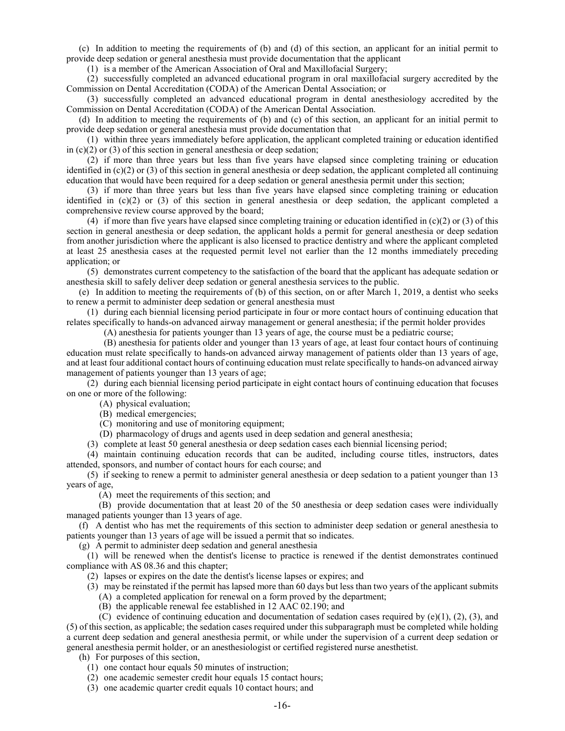(c) In addition to meeting the requirements of (b) and (d) of this section, an applicant for an initial permit to provide deep sedation or general anesthesia must provide documentation that the applicant

(1) is a member of the American Association of Oral and Maxillofacial Surgery;

(2) successfully completed an advanced educational program in oral maxillofacial surgery accredited by the Commission on Dental Accreditation (CODA) of the American Dental Association; or

(3) successfully completed an advanced educational program in dental anesthesiology accredited by the Commission on Dental Accreditation (CODA) of the American Dental Association.

(d) In addition to meeting the requirements of (b) and (c) of this section, an applicant for an initial permit to provide deep sedation or general anesthesia must provide documentation that

(1) within three years immediately before application, the applicant completed training or education identified in  $(c)(2)$  or  $(3)$  of this section in general anesthesia or deep sedation;

(2) if more than three years but less than five years have elapsed since completing training or education identified in  $(c)(2)$  or (3) of this section in general anesthesia or deep sedation, the applicant completed all continuing education that would have been required for a deep sedation or general anesthesia permit under this section;

(3) if more than three years but less than five years have elapsed since completing training or education identified in  $(c)(2)$  or  $(3)$  of this section in general anesthesia or deep sedation, the applicant completed a comprehensive review course approved by the board;

(4) if more than five years have elapsed since completing training or education identified in  $(c)(2)$  or (3) of this section in general anesthesia or deep sedation, the applicant holds a permit for general anesthesia or deep sedation from another jurisdiction where the applicant is also licensed to practice dentistry and where the applicant completed at least 25 anesthesia cases at the requested permit level not earlier than the 12 months immediately preceding application; or

(5) demonstrates current competency to the satisfaction of the board that the applicant has adequate sedation or anesthesia skill to safely deliver deep sedation or general anesthesia services to the public.

(e) In addition to meeting the requirements of (b) of this section, on or after March 1, 2019, a dentist who seeks to renew a permit to administer deep sedation or general anesthesia must

(1) during each biennial licensing period participate in four or more contact hours of continuing education that relates specifically to hands-on advanced airway management or general anesthesia; if the permit holder provides

(A) anesthesia for patients younger than 13 years of age, the course must be a pediatric course;

(B) anesthesia for patients older and younger than 13 years of age, at least four contact hours of continuing education must relate specifically to hands-on advanced airway management of patients older than 13 years of age, and at least four additional contact hours of continuing education must relate specifically to hands-on advanced airway management of patients younger than 13 years of age;

(2) during each biennial licensing period participate in eight contact hours of continuing education that focuses on one or more of the following:

(A) physical evaluation;

(B) medical emergencies;

(C) monitoring and use of monitoring equipment;

(D) pharmacology of drugs and agents used in deep sedation and general anesthesia;

(3) complete at least 50 general anesthesia or deep sedation cases each biennial licensing period;

(4) maintain continuing education records that can be audited, including course titles, instructors, dates attended, sponsors, and number of contact hours for each course; and

(5) if seeking to renew a permit to administer general anesthesia or deep sedation to a patient younger than 13 years of age,

(A) meet the requirements of this section; and

 (B) provide documentation that at least 20 of the 50 anesthesia or deep sedation cases were individually managed patients younger than 13 years of age.

(f) A dentist who has met the requirements of this section to administer deep sedation or general anesthesia to patients younger than 13 years of age will be issued a permit that so indicates.

(g) A permit to administer deep sedation and general anesthesia

(1) will be renewed when the dentist's license to practice is renewed if the dentist demonstrates continued compliance with AS 08.36 and this chapter;

(2) lapses or expires on the date the dentist's license lapses or expires; and

(3) may be reinstated if the permit has lapsed more than 60 days but less than two years of the applicant submits

(A) a completed application for renewal on a form proved by the department;

(B) the applicable renewal fee established in 12 AAC 02.190; and

(C) evidence of continuing education and documentation of sedation cases required by  $(e)(1)$ ,  $(2)$ ,  $(3)$ , and (5) of this section, as applicable; the sedation cases required under this subparagraph must be completed while holding a current deep sedation and general anesthesia permit, or while under the supervision of a current deep sedation or general anesthesia permit holder, or an anesthesiologist or certified registered nurse anesthetist.

(h) For purposes of this section,

(1) one contact hour equals 50 minutes of instruction;

(2) one academic semester credit hour equals 15 contact hours;

(3) one academic quarter credit equals 10 contact hours; and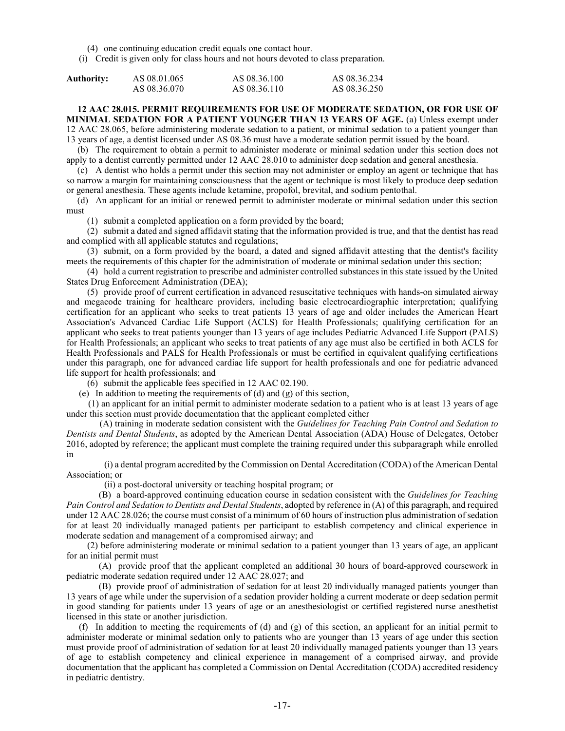(4) one continuing education credit equals one contact hour.

(i) Credit is given only for class hours and not hours devoted to class preparation.

| Authority: | AS 08.01.065 | AS 08.36.100 | AS 08.36.234 |
|------------|--------------|--------------|--------------|
|            | AS 08.36.070 | AS 08.36.110 | AS 08.36.250 |

# **12 AAC 28.015. PERMIT REQUIREMENTS FOR USE OF MODERATE SEDATION, OR FOR USE OF MINIMAL SEDATION FOR A PATIENT YOUNGER THAN 13 YEARS OF AGE.** (a) Unless exempt under

12 AAC 28.065, before administering moderate sedation to a patient, or minimal sedation to a patient younger than 13 years of age, a dentist licensed under AS 08.36 must have a moderate sedation permit issued by the board.

(b) The requirement to obtain a permit to administer moderate or minimal sedation under this section does not apply to a dentist currently permitted under 12 AAC 28.010 to administer deep sedation and general anesthesia.

(c) A dentist who holds a permit under this section may not administer or employ an agent or technique that has so narrow a margin for maintaining consciousness that the agent or technique is most likely to produce deep sedation or general anesthesia. These agents include ketamine, propofol, brevital, and sodium pentothal.

(d) An applicant for an initial or renewed permit to administer moderate or minimal sedation under this section must

(1) submit a completed application on a form provided by the board;

(2) submit a dated and signed affidavit stating that the information provided is true, and that the dentist has read and complied with all applicable statutes and regulations;

(3) submit, on a form provided by the board, a dated and signed affidavit attesting that the dentist's facility meets the requirements of this chapter for the administration of moderate or minimal sedation under this section;

(4) hold a current registration to prescribe and administer controlled substances in this state issued by the United States Drug Enforcement Administration (DEA);

(5) provide proof of current certification in advanced resuscitative techniques with hands-on simulated airway and megacode training for healthcare providers, including basic electrocardiographic interpretation; qualifying certification for an applicant who seeks to treat patients 13 years of age and older includes the American Heart Association's Advanced Cardiac Life Support (ACLS) for Health Professionals; qualifying certification for an applicant who seeks to treat patients younger than 13 years of age includes Pediatric Advanced Life Support (PALS) for Health Professionals; an applicant who seeks to treat patients of any age must also be certified in both ACLS for Health Professionals and PALS for Health Professionals or must be certified in equivalent qualifying certifications under this paragraph, one for advanced cardiac life support for health professionals and one for pediatric advanced life support for health professionals; and

(6) submit the applicable fees specified in 12 AAC 02.190.

(e) In addition to meeting the requirements of  $(d)$  and  $(g)$  of this section,

 (1) an applicant for an initial permit to administer moderate sedation to a patient who is at least 13 years of age under this section must provide documentation that the applicant completed either

 (A) training in moderate sedation consistent with the *Guidelines for Teaching Pain Control and Sedation to Dentists and Dental Students*, as adopted by the American Dental Association (ADA) House of Delegates, October 2016, adopted by reference; the applicant must complete the training required under this subparagraph while enrolled in

 (i) a dental program accredited by the Commission on Dental Accreditation (CODA) of the American Dental Association; or

(ii) a post-doctoral university or teaching hospital program; or

 (B) a board-approved continuing education course in sedation consistent with the *Guidelines for Teaching Pain Control and Sedation to Dentists and Dental Students*, adopted by reference in (A) of this paragraph, and required under 12 AAC 28.026; the course must consist of a minimum of 60 hours of instruction plus administration of sedation for at least 20 individually managed patients per participant to establish competency and clinical experience in moderate sedation and management of a compromised airway; and

(2) before administering moderate or minimal sedation to a patient younger than 13 years of age, an applicant for an initial permit must

 (A) provide proof that the applicant completed an additional 30 hours of board-approved coursework in pediatric moderate sedation required under 12 AAC 28.027; and

 (B) provide proof of administration of sedation for at least 20 individually managed patients younger than 13 years of age while under the supervision of a sedation provider holding a current moderate or deep sedation permit in good standing for patients under 13 years of age or an anesthesiologist or certified registered nurse anesthetist licensed in this state or another jurisdiction.

(f) In addition to meeting the requirements of (d) and (g) of this section, an applicant for an initial permit to administer moderate or minimal sedation only to patients who are younger than 13 years of age under this section must provide proof of administration of sedation for at least 20 individually managed patients younger than 13 years of age to establish competency and clinical experience in management of a comprised airway, and provide documentation that the applicant has completed a Commission on Dental Accreditation (CODA) accredited residency in pediatric dentistry.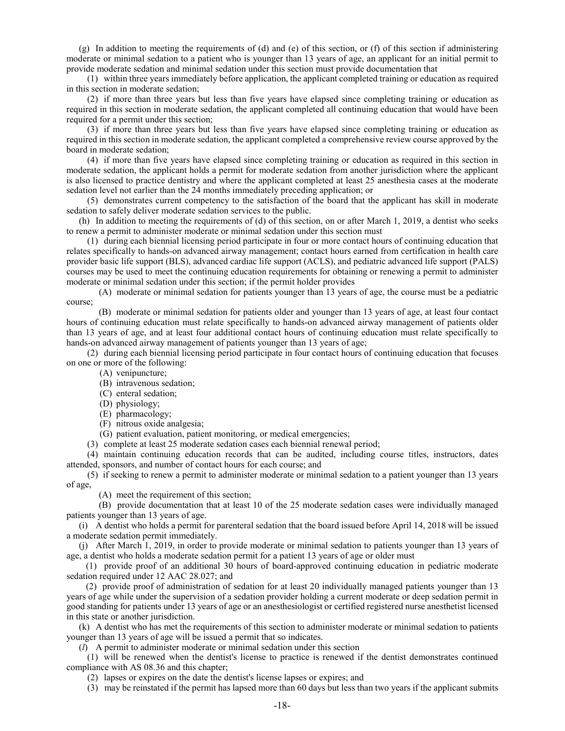(g) In addition to meeting the requirements of (d) and (e) of this section, or (f) of this section if administering moderate or minimal sedation to a patient who is younger than 13 years of age, an applicant for an initial permit to provide moderate sedation and minimal sedation under this section must provide documentation that

(1) within three years immediately before application, the applicant completed training or education as required in this section in moderate sedation;

(2) if more than three years but less than five years have elapsed since completing training or education as required in this section in moderate sedation, the applicant completed all continuing education that would have been required for a permit under this section;

(3) if more than three years but less than five years have elapsed since completing training or education as required in this section in moderate sedation, the applicant completed a comprehensive review course approved by the board in moderate sedation;

(4) if more than five years have elapsed since completing training or education as required in this section in moderate sedation, the applicant holds a permit for moderate sedation from another jurisdiction where the applicant is also licensed to practice dentistry and where the applicant completed at least 25 anesthesia cases at the moderate sedation level not earlier than the 24 months immediately preceding application; or

(5) demonstrates current competency to the satisfaction of the board that the applicant has skill in moderate sedation to safely deliver moderate sedation services to the public.

(h) In addition to meeting the requirements of (d) of this section, on or after March 1, 2019, a dentist who seeks to renew a permit to administer moderate or minimal sedation under this section must

(1) during each biennial licensing period participate in four or more contact hours of continuing education that relates specifically to hands-on advanced airway management; contact hours earned from certification in health care provider basic life support (BLS), advanced cardiac life support (ACLS), and pediatric advanced life support (PALS) courses may be used to meet the continuing education requirements for obtaining or renewing a permit to administer moderate or minimal sedation under this section; if the permit holder provides

 (A) moderate or minimal sedation for patients younger than 13 years of age, the course must be a pediatric course;

 (B) moderate or minimal sedation for patients older and younger than 13 years of age, at least four contact hours of continuing education must relate specifically to hands-on advanced airway management of patients older than 13 years of age, and at least four additional contact hours of continuing education must relate specifically to hands-on advanced airway management of patients younger than 13 years of age;

(2) during each biennial licensing period participate in four contact hours of continuing education that focuses on one or more of the following:

(A) venipuncture;

(B) intravenous sedation;

(C) enteral sedation;

(D) physiology;

(E) pharmacology;

(F) nitrous oxide analgesia;

(G) patient evaluation, patient monitoring, or medical emergencies;

(3) complete at least 25 moderate sedation cases each biennial renewal period;

(4) maintain continuing education records that can be audited, including course titles, instructors, dates attended, sponsors, and number of contact hours for each course; and

(5) if seeking to renew a permit to administer moderate or minimal sedation to a patient younger than 13 years of age,

(A) meet the requirement of this section;

 (B) provide documentation that at least 10 of the 25 moderate sedation cases were individually managed patients younger than 13 years of age.

(i) A dentist who holds a permit for parenteral sedation that the board issued before April 14, 2018 will be issued a moderate sedation permit immediately.

(j) After March 1, 2019, in order to provide moderate or minimal sedation to patients younger than 13 years of age, a dentist who holds a moderate sedation permit for a patient 13 years of age or older must

 (1) provide proof of an additional 30 hours of board-approved continuing education in pediatric moderate sedation required under 12 AAC 28.027; and

 (2) provide proof of administration of sedation for at least 20 individually managed patients younger than 13 years of age while under the supervision of a sedation provider holding a current moderate or deep sedation permit in good standing for patients under 13 years of age or an anesthesiologist or certified registered nurse anesthetist licensed in this state or another jurisdiction.

(k) A dentist who has met the requirements of this section to administer moderate or minimal sedation to patients younger than 13 years of age will be issued a permit that so indicates.

(*l*) A permit to administer moderate or minimal sedation under this section

(1) will be renewed when the dentist's license to practice is renewed if the dentist demonstrates continued compliance with AS 08.36 and this chapter;

(2) lapses or expires on the date the dentist's license lapses or expires; and

(3) may be reinstated if the permit has lapsed more than 60 days but less than two years if the applicant submits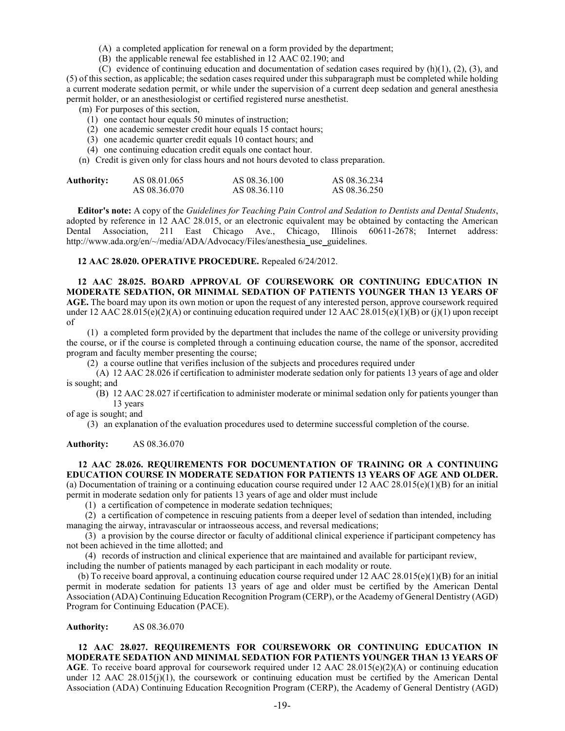- (A) a completed application for renewal on a form provided by the department;
- (B) the applicable renewal fee established in 12 AAC 02.190; and

(C) evidence of continuing education and documentation of sedation cases required by  $(h)(1)$ ,  $(2)$ ,  $(3)$ , and (5) of this section, as applicable; the sedation cases required under this subparagraph must be completed while holding a current moderate sedation permit, or while under the supervision of a current deep sedation and general anesthesia permit holder, or an anesthesiologist or certified registered nurse anesthetist.

(m) For purposes of this section,

- (1) one contact hour equals 50 minutes of instruction;
- (2) one academic semester credit hour equals 15 contact hours;
- (3) one academic quarter credit equals 10 contact hours; and
- (4) one continuing education credit equals one contact hour.
- (n) Credit is given only for class hours and not hours devoted to class preparation.

| Authority: | AS 08.01.065 | AS 08.36.100 | AS 08.36.234 |
|------------|--------------|--------------|--------------|
|            | AS 08.36.070 | AS 08.36.110 | AS 08.36.250 |

**Editor's note:** A copy of the *Guidelines for Teaching Pain Control and Sedation to Dentists and Dental Students*, adopted by reference in 12 AAC 28.015, or an electronic equivalent may be obtained by contacting the American Dental Association, 211 East Chicago Ave., Chicago, Illinois 60611-2678; Internet address: http://www.ada.org/en/~/media/ADA/Advocacy/Files/anesthesia\_use\_guidelines.

**12 AAC 28.020. OPERATIVE PROCEDURE.** Repealed 6/24/2012.

**12 AAC 28.025. BOARD APPROVAL OF COURSEWORK OR CONTINUING EDUCATION IN MODERATE SEDATION, OR MINIMAL SEDATION OF PATIENTS YOUNGER THAN 13 YEARS OF AGE.** The board may upon its own motion or upon the request of any interested person, approve coursework required under 12 AAC 28.015(e)(2)(A) or continuing education required under 12 AAC 28.015(e)(1)(B) or (j)(1) upon receipt of

(1) a completed form provided by the department that includes the name of the college or university providing the course, or if the course is completed through a continuing education course, the name of the sponsor, accredited program and faculty member presenting the course;

(2) a course outline that verifies inclusion of the subjects and procedures required under

(A) 12 AAC 28.026 if certification to administer moderate sedation only for patients 13 years of age and older is sought; and

(B) 12 AAC 28.027 if certification to administer moderate or minimal sedation only for patients younger than 13 years

of age is sought; and

(3) an explanation of the evaluation procedures used to determine successful completion of the course.

**Authority:** AS 08.36.070

# **12 AAC 28.026. REQUIREMENTS FOR DOCUMENTATION OF TRAINING OR A CONTINUING EDUCATION COURSE IN MODERATE SEDATION FOR PATIENTS 13 YEARS OF AGE AND OLDER.**

(a) Documentation of training or a continuing education course required under 12 AAC 28.015(e)(1)(B) for an initial permit in moderate sedation only for patients 13 years of age and older must include

(1) a certification of competence in moderate sedation techniques;

(2) a certification of competence in rescuing patients from a deeper level of sedation than intended, including managing the airway, intravascular or intraosseous access, and reversal medications;

(3) a provision by the course director or faculty of additional clinical experience if participant competency has not been achieved in the time allotted; and

(4) records of instruction and clinical experience that are maintained and available for participant review,

including the number of patients managed by each participant in each modality or route.

(b) To receive board approval, a continuing education course required under  $12$  AAC  $28.015(e)(1)(B)$  for an initial permit in moderate sedation for patients 13 years of age and older must be certified by the American Dental Association (ADA) Continuing Education Recognition Program (CERP), or the Academy of General Dentistry (AGD) Program for Continuing Education (PACE).

**Authority:** AS 08.36.070

# **12 AAC 28.027. REQUIREMENTS FOR COURSEWORK OR CONTINUING EDUCATION IN MODERATE SEDATION AND MINIMAL SEDATION FOR PATIENTS YOUNGER THAN 13 YEARS OF AGE**. To receive board approval for coursework required under 12 AAC 28.015(e)(2)(A) or continuing education under 12 AAC  $28.015(j)(1)$ , the coursework or continuing education must be certified by the American Dental Association (ADA) Continuing Education Recognition Program (CERP), the Academy of General Dentistry (AGD)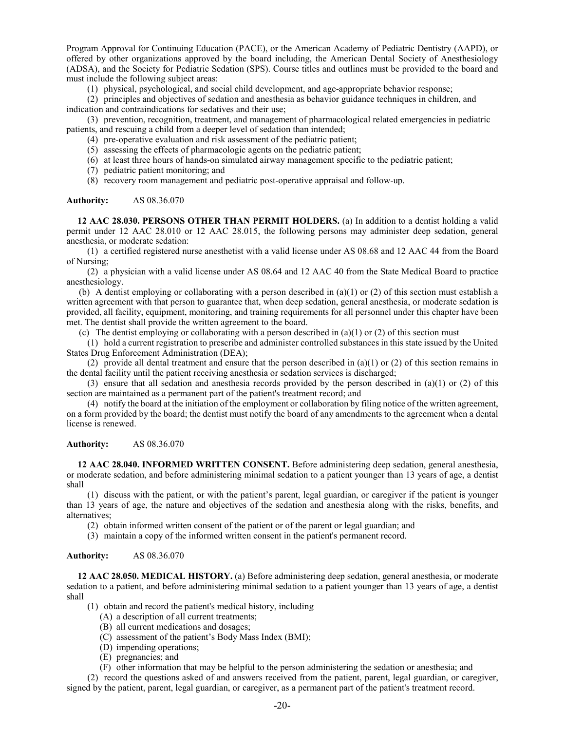Program Approval for Continuing Education (PACE), or the American Academy of Pediatric Dentistry (AAPD), or offered by other organizations approved by the board including, the American Dental Society of Anesthesiology (ADSA), and the Society for Pediatric Sedation (SPS). Course titles and outlines must be provided to the board and must include the following subject areas:

(1) physical, psychological, and social child development, and age-appropriate behavior response;

(2) principles and objectives of sedation and anesthesia as behavior guidance techniques in children, and indication and contraindications for sedatives and their use;

(3) prevention, recognition, treatment, and management of pharmacological related emergencies in pediatric patients, and rescuing a child from a deeper level of sedation than intended;

- (4) pre-operative evaluation and risk assessment of the pediatric patient;
- (5) assessing the effects of pharmacologic agents on the pediatric patient;
- (6) at least three hours of hands-on simulated airway management specific to the pediatric patient;
- (7) pediatric patient monitoring; and
- (8) recovery room management and pediatric post-operative appraisal and follow-up.

#### **Authority:** AS 08.36.070

**12 AAC 28.030. PERSONS OTHER THAN PERMIT HOLDERS.** (a) In addition to a dentist holding a valid permit under 12 AAC 28.010 or 12 AAC 28.015, the following persons may administer deep sedation, general anesthesia, or moderate sedation:

(1) a certified registered nurse anesthetist with a valid license under AS 08.68 and 12 AAC 44 from the Board of Nursing;

(2) a physician with a valid license under AS 08.64 and 12 AAC 40 from the State Medical Board to practice anesthesiology.

(b) A dentist employing or collaborating with a person described in (a)(1) or (2) of this section must establish a written agreement with that person to guarantee that, when deep sedation, general anesthesia, or moderate sedation is provided, all facility, equipment, monitoring, and training requirements for all personnel under this chapter have been met. The dentist shall provide the written agreement to the board.

(c) The dentist employing or collaborating with a person described in  $(a)(1)$  or (2) of this section must

(1) hold a current registration to prescribe and administer controlled substances in this state issued by the United States Drug Enforcement Administration (DEA);

(2) provide all dental treatment and ensure that the person described in (a)(1) or (2) of this section remains in the dental facility until the patient receiving anesthesia or sedation services is discharged;

(3) ensure that all sedation and anesthesia records provided by the person described in (a)(1) or (2) of this section are maintained as a permanent part of the patient's treatment record; and

(4) notify the board at the initiation of the employment or collaboration by filing notice of the written agreement, on a form provided by the board; the dentist must notify the board of any amendments to the agreement when a dental license is renewed.

#### **Authority:** AS 08.36.070

**12 AAC 28.040. INFORMED WRITTEN CONSENT.** Before administering deep sedation, general anesthesia, or moderate sedation, and before administering minimal sedation to a patient younger than 13 years of age, a dentist shall

(1) discuss with the patient, or with the patient's parent, legal guardian, or caregiver if the patient is younger than 13 years of age, the nature and objectives of the sedation and anesthesia along with the risks, benefits, and alternatives;

(2) obtain informed written consent of the patient or of the parent or legal guardian; and

(3) maintain a copy of the informed written consent in the patient's permanent record.

#### **Authority:** AS 08.36.070

**12 AAC 28.050. MEDICAL HISTORY.** (a) Before administering deep sedation, general anesthesia, or moderate sedation to a patient, and before administering minimal sedation to a patient younger than 13 years of age, a dentist shall

- (1) obtain and record the patient's medical history, including
	- (A) a description of all current treatments;
	- (B) all current medications and dosages;
	- (C) assessment of the patient's Body Mass Index (BMI);
	- (D) impending operations;
	- (E) pregnancies; and
	- (F) other information that may be helpful to the person administering the sedation or anesthesia; and

(2) record the questions asked of and answers received from the patient, parent, legal guardian, or caregiver, signed by the patient, parent, legal guardian, or caregiver, as a permanent part of the patient's treatment record.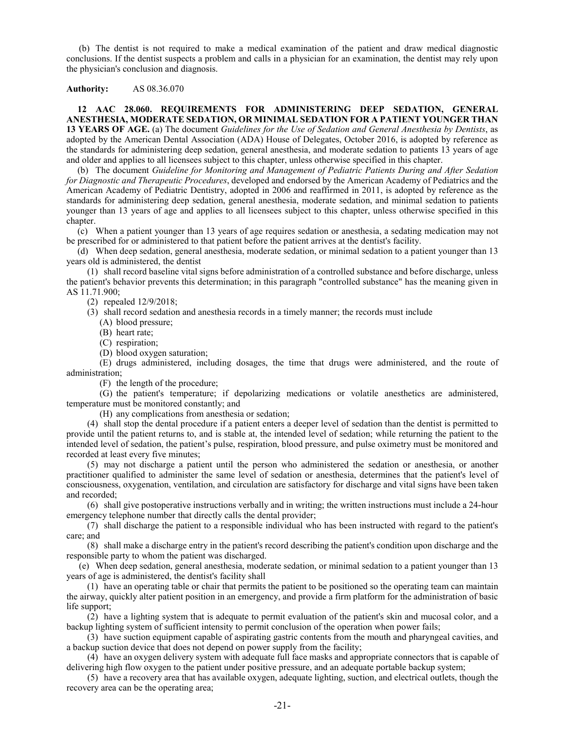(b) The dentist is not required to make a medical examination of the patient and draw medical diagnostic conclusions. If the dentist suspects a problem and calls in a physician for an examination, the dentist may rely upon the physician's conclusion and diagnosis.

## **Authority:** AS 08.36.070

**12 AAC 28.060. REQUIREMENTS FOR ADMINISTERING DEEP SEDATION, GENERAL ANESTHESIA, MODERATE SEDATION, OR MINIMAL SEDATION FOR A PATIENT YOUNGER THAN 13 YEARS OF AGE.** (a) The document *Guidelines for the Use of Sedation and General Anesthesia by Dentists*, as adopted by the American Dental Association (ADA) House of Delegates, October 2016, is adopted by reference as the standards for administering deep sedation, general anesthesia, and moderate sedation to patients 13 years of age and older and applies to all licensees subject to this chapter, unless otherwise specified in this chapter.

(b) The document *Guideline for Monitoring and Management of Pediatric Patients During and After Sedation for Diagnostic and Therapeutic Procedures*, developed and endorsed by the American Academy of Pediatrics and the American Academy of Pediatric Dentistry, adopted in 2006 and reaffirmed in 2011, is adopted by reference as the standards for administering deep sedation, general anesthesia, moderate sedation, and minimal sedation to patients younger than 13 years of age and applies to all licensees subject to this chapter, unless otherwise specified in this chapter.

(c) When a patient younger than 13 years of age requires sedation or anesthesia, a sedating medication may not be prescribed for or administered to that patient before the patient arrives at the dentist's facility.

(d) When deep sedation, general anesthesia, moderate sedation, or minimal sedation to a patient younger than 13 years old is administered, the dentist

(1) shall record baseline vital signs before administration of a controlled substance and before discharge, unless the patient's behavior prevents this determination; in this paragraph "controlled substance" has the meaning given in AS 11.71.900;

(2) repealed 12/9/2018;

(3) shall record sedation and anesthesia records in a timely manner; the records must include

(A) blood pressure;

- (B) heart rate;
- (C) respiration;
- (D) blood oxygen saturation;

(E) drugs administered, including dosages, the time that drugs were administered, and the route of administration;

(F) the length of the procedure;

(G) the patient's temperature; if depolarizing medications or volatile anesthetics are administered, temperature must be monitored constantly; and

(H) any complications from anesthesia or sedation;

(4) shall stop the dental procedure if a patient enters a deeper level of sedation than the dentist is permitted to provide until the patient returns to, and is stable at, the intended level of sedation; while returning the patient to the intended level of sedation, the patient's pulse, respiration, blood pressure, and pulse oximetry must be monitored and recorded at least every five minutes;

(5) may not discharge a patient until the person who administered the sedation or anesthesia, or another practitioner qualified to administer the same level of sedation or anesthesia, determines that the patient's level of consciousness, oxygenation, ventilation, and circulation are satisfactory for discharge and vital signs have been taken and recorded;

(6) shall give postoperative instructions verbally and in writing; the written instructions must include a 24-hour emergency telephone number that directly calls the dental provider;

(7) shall discharge the patient to a responsible individual who has been instructed with regard to the patient's care; and

(8) shall make a discharge entry in the patient's record describing the patient's condition upon discharge and the responsible party to whom the patient was discharged.

(e) When deep sedation, general anesthesia, moderate sedation, or minimal sedation to a patient younger than 13 years of age is administered, the dentist's facility shall

(1) have an operating table or chair that permits the patient to be positioned so the operating team can maintain the airway, quickly alter patient position in an emergency, and provide a firm platform for the administration of basic life support;

(2) have a lighting system that is adequate to permit evaluation of the patient's skin and mucosal color, and a backup lighting system of sufficient intensity to permit conclusion of the operation when power fails;

(3) have suction equipment capable of aspirating gastric contents from the mouth and pharyngeal cavities, and a backup suction device that does not depend on power supply from the facility;

(4) have an oxygen delivery system with adequate full face masks and appropriate connectors that is capable of delivering high flow oxygen to the patient under positive pressure, and an adequate portable backup system;

(5) have a recovery area that has available oxygen, adequate lighting, suction, and electrical outlets, though the recovery area can be the operating area;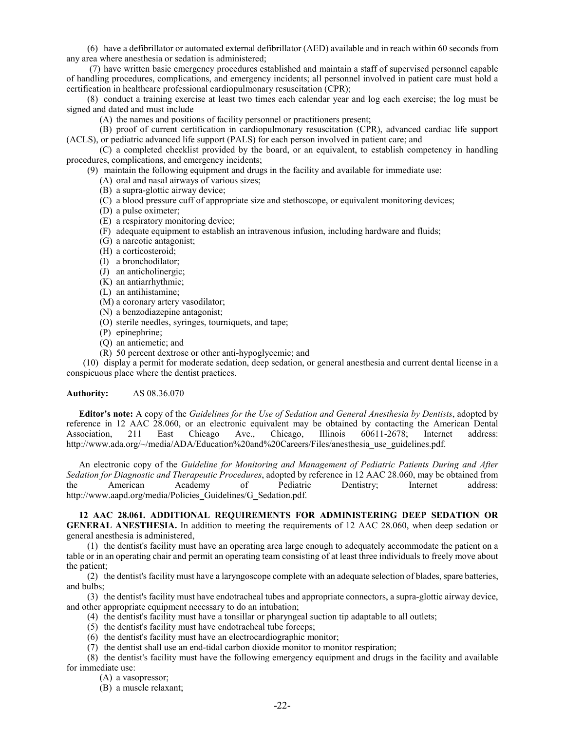(6) have a defibrillator or automated external defibrillator (AED) available and in reach within 60 seconds from any area where anesthesia or sedation is administered;

(7) have written basic emergency procedures established and maintain a staff of supervised personnel capable of handling procedures, complications, and emergency incidents; all personnel involved in patient care must hold a certification in healthcare professional cardiopulmonary resuscitation (CPR);

(8) conduct a training exercise at least two times each calendar year and log each exercise; the log must be signed and dated and must include

(A) the names and positions of facility personnel or practitioners present;

(B) proof of current certification in cardiopulmonary resuscitation (CPR), advanced cardiac life support (ACLS), or pediatric advanced life support (PALS) for each person involved in patient care; and

(C) a completed checklist provided by the board, or an equivalent, to establish competency in handling procedures, complications, and emergency incidents;

(9) maintain the following equipment and drugs in the facility and available for immediate use:

- (A) oral and nasal airways of various sizes;
- (B) a supra-glottic airway device;
- (C) a blood pressure cuff of appropriate size and stethoscope, or equivalent monitoring devices;
- (D) a pulse oximeter;
- (E) a respiratory monitoring device;
- (F) adequate equipment to establish an intravenous infusion, including hardware and fluids;
- (G) a narcotic antagonist;
- (H) a corticosteroid;
- (I) a bronchodilator;
- (J) an anticholinergic;
- (K) an antiarrhythmic;
- (L) an antihistamine;
- (M) a coronary artery vasodilator;
- (N) a benzodiazepine antagonist;
- (O) sterile needles, syringes, tourniquets, and tape;
- (P) epinephrine;
- (Q) an antiemetic; and
- (R) 50 percent dextrose or other anti-hypoglycemic; and

(10) display a permit for moderate sedation, deep sedation, or general anesthesia and current dental license in a conspicuous place where the dentist practices.

**Authority:** AS 08.36.070

**Editor's note:** A copy of the *Guidelines for the Use of Sedation and General Anesthesia by Dentists*, adopted by reference in 12 AAC 28.060, or an electronic equivalent may be obtained by contacting the American Dental Association, 211 East Chicago Ave., Chicago, Illinois 60611-2678; Internet address: http://www.ada.org/~/media/ADA/Education%20and%20Careers/Files/anesthesia\_use\_guidelines.pdf.

An electronic copy of the *Guideline for Monitoring and Management of Pediatric Patients During and After Sedation for Diagnostic and Therapeutic Procedures*, adopted by reference in 12 AAC 28.060, may be obtained from the American Academy of Pediatric Dentistry; Internet address: http://www.aapd.org/media/Policies\_Guidelines/G\_Sedation.pdf.

**12 AAC 28.061. ADDITIONAL REQUIREMENTS FOR ADMINISTERING DEEP SEDATION OR GENERAL ANESTHESIA.** In addition to meeting the requirements of 12 AAC 28.060, when deep sedation or general anesthesia is administered,

(1) the dentist's facility must have an operating area large enough to adequately accommodate the patient on a table or in an operating chair and permit an operating team consisting of at least three individuals to freely move about the patient;

(2) the dentist's facility must have a laryngoscope complete with an adequate selection of blades, spare batteries, and bulbs;

(3) the dentist's facility must have endotracheal tubes and appropriate connectors, a supra-glottic airway device, and other appropriate equipment necessary to do an intubation;

- (4) the dentist's facility must have a tonsillar or pharyngeal suction tip adaptable to all outlets;
- (5) the dentist's facility must have endotracheal tube forceps;
- (6) the dentist's facility must have an electrocardiographic monitor;
- (7) the dentist shall use an end-tidal carbon dioxide monitor to monitor respiration;

(8) the dentist's facility must have the following emergency equipment and drugs in the facility and available for immediate use:

(A) a vasopressor;

(B) a muscle relaxant;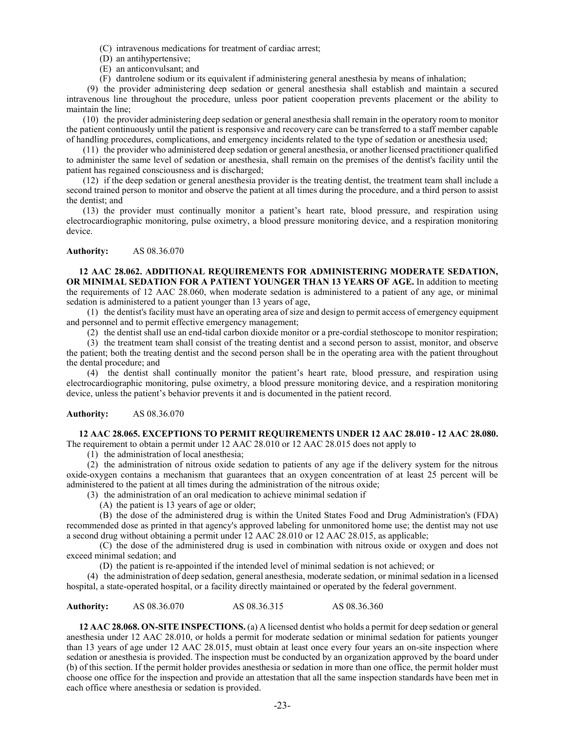(C) intravenous medications for treatment of cardiac arrest;

- (D) an antihypertensive;
- (E) an anticonvulsant; and
- (F) dantrolene sodium or its equivalent if administering general anesthesia by means of inhalation;

(9) the provider administering deep sedation or general anesthesia shall establish and maintain a secured intravenous line throughout the procedure, unless poor patient cooperation prevents placement or the ability to maintain the line;

(10) the provider administering deep sedation or general anesthesia shall remain in the operatory room to monitor the patient continuously until the patient is responsive and recovery care can be transferred to a staff member capable of handling procedures, complications, and emergency incidents related to the type of sedation or anesthesia used;

(11) the provider who administered deep sedation or general anesthesia, or another licensed practitioner qualified to administer the same level of sedation or anesthesia, shall remain on the premises of the dentist's facility until the patient has regained consciousness and is discharged;

(12) if the deep sedation or general anesthesia provider is the treating dentist, the treatment team shall include a second trained person to monitor and observe the patient at all times during the procedure, and a third person to assist the dentist; and

(13) the provider must continually monitor a patient's heart rate, blood pressure, and respiration using electrocardiographic monitoring, pulse oximetry, a blood pressure monitoring device, and a respiration monitoring device.

# **Authority:** AS 08.36.070

**12 AAC 28.062. ADDITIONAL REQUIREMENTS FOR ADMINISTERING MODERATE SEDATION, OR MINIMAL SEDATION FOR A PATIENT YOUNGER THAN 13 YEARS OF AGE.** In addition to meeting the requirements of 12 AAC 28.060, when moderate sedation is administered to a patient of any age, or minimal sedation is administered to a patient younger than 13 years of age,

(1) the dentist's facility must have an operating area of size and design to permit access of emergency equipment and personnel and to permit effective emergency management;

(2) the dentist shall use an end-tidal carbon dioxide monitor or a pre-cordial stethoscope to monitor respiration;

(3) the treatment team shall consist of the treating dentist and a second person to assist, monitor, and observe the patient; both the treating dentist and the second person shall be in the operating area with the patient throughout the dental procedure; and

(4) the dentist shall continually monitor the patient's heart rate, blood pressure, and respiration using electrocardiographic monitoring, pulse oximetry, a blood pressure monitoring device, and a respiration monitoring device, unless the patient's behavior prevents it and is documented in the patient record.

**Authority:** AS 08.36.070

**12 AAC 28.065. EXCEPTIONS TO PERMIT REQUIREMENTS UNDER 12 AAC 28.010 - 12 AAC 28.080.**  The requirement to obtain a permit under 12 AAC 28.010 or 12 AAC 28.015 does not apply to

(1) the administration of local anesthesia;

(2) the administration of nitrous oxide sedation to patients of any age if the delivery system for the nitrous oxide-oxygen contains a mechanism that guarantees that an oxygen concentration of at least 25 percent will be administered to the patient at all times during the administration of the nitrous oxide;

(3) the administration of an oral medication to achieve minimal sedation if

(A) the patient is 13 years of age or older;

(B) the dose of the administered drug is within the United States Food and Drug Administration's (FDA) recommended dose as printed in that agency's approved labeling for unmonitored home use; the dentist may not use a second drug without obtaining a permit under 12 AAC 28.010 or 12 AAC 28.015, as applicable;

(C) the dose of the administered drug is used in combination with nitrous oxide or oxygen and does not exceed minimal sedation; and

(D) the patient is re-appointed if the intended level of minimal sedation is not achieved; or

(4) the administration of deep sedation, general anesthesia, moderate sedation, or minimal sedation in a licensed hospital, a state-operated hospital, or a facility directly maintained or operated by the federal government.

**Authority:** AS 08.36.070 AS 08.36.315 AS 08.36.360

**12 AAC 28.068. ON-SITE INSPECTIONS.** (a) A licensed dentist who holds a permit for deep sedation or general anesthesia under 12 AAC 28.010, or holds a permit for moderate sedation or minimal sedation for patients younger than 13 years of age under 12 AAC 28.015, must obtain at least once every four years an on-site inspection where sedation or anesthesia is provided. The inspection must be conducted by an organization approved by the board under (b) of this section. If the permit holder provides anesthesia or sedation in more than one office, the permit holder must choose one office for the inspection and provide an attestation that all the same inspection standards have been met in each office where anesthesia or sedation is provided.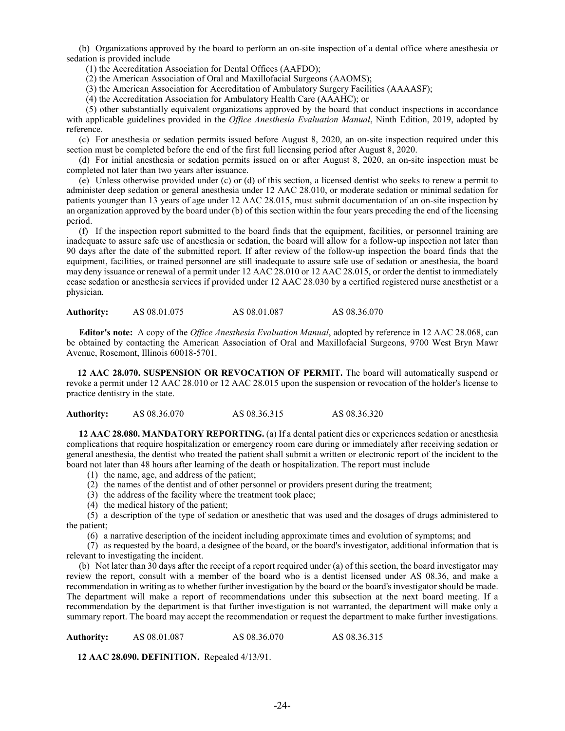(b) Organizations approved by the board to perform an on-site inspection of a dental office where anesthesia or sedation is provided include

(1) the Accreditation Association for Dental Offices (AAFDO);

(2) the American Association of Oral and Maxillofacial Surgeons (AAOMS);

(3) the American Association for Accreditation of Ambulatory Surgery Facilities (AAAASF);

(4) the Accreditation Association for Ambulatory Health Care (AAAHC); or

 (5) other substantially equivalent organizations approved by the board that conduct inspections in accordance with applicable guidelines provided in the *Office Anesthesia Evaluation Manual*, Ninth Edition, 2019, adopted by reference.

(c) For anesthesia or sedation permits issued before August 8, 2020, an on-site inspection required under this section must be completed before the end of the first full licensing period after August 8, 2020.

(d) For initial anesthesia or sedation permits issued on or after August 8, 2020, an on-site inspection must be completed not later than two years after issuance.

(e) Unless otherwise provided under (c) or (d) of this section, a licensed dentist who seeks to renew a permit to administer deep sedation or general anesthesia under 12 AAC 28.010, or moderate sedation or minimal sedation for patients younger than 13 years of age under 12 AAC 28.015, must submit documentation of an on-site inspection by an organization approved by the board under (b) of this section within the four years preceding the end of the licensing period.

(f) If the inspection report submitted to the board finds that the equipment, facilities, or personnel training are inadequate to assure safe use of anesthesia or sedation, the board will allow for a follow-up inspection not later than 90 days after the date of the submitted report. If after review of the follow-up inspection the board finds that the equipment, facilities, or trained personnel are still inadequate to assure safe use of sedation or anesthesia, the board may deny issuance or renewal of a permit under 12 AAC 28.010 or 12 AAC 28.015, or order the dentist to immediately cease sedation or anesthesia services if provided under 12 AAC 28.030 by a certified registered nurse anesthetist or a physician.

**Authority:** AS 08.01.075 AS 08.01.087 AS 08.36.070

**Editor's note:** A copy of the *Office Anesthesia Evaluation Manual*, adopted by reference in 12 AAC 28.068, can be obtained by contacting the American Association of Oral and Maxillofacial Surgeons, 9700 West Bryn Mawr Avenue, Rosemont, Illinois 60018-5701.

**12 AAC 28.070. SUSPENSION OR REVOCATION OF PERMIT.** The board will automatically suspend or revoke a permit under 12 AAC 28.010 or 12 AAC 28.015 upon the suspension or revocation of the holder's license to practice dentistry in the state.

**Authority:** AS 08.36.070 AS 08.36.315 AS 08.36.320

**12 AAC 28.080. MANDATORY REPORTING.** (a) If a dental patient dies or experiences sedation or anesthesia complications that require hospitalization or emergency room care during or immediately after receiving sedation or general anesthesia, the dentist who treated the patient shall submit a written or electronic report of the incident to the board not later than 48 hours after learning of the death or hospitalization. The report must include

- (1) the name, age, and address of the patient;
- (2) the names of the dentist and of other personnel or providers present during the treatment;
- (3) the address of the facility where the treatment took place;
- (4) the medical history of the patient;

(5) a description of the type of sedation or anesthetic that was used and the dosages of drugs administered to the patient;

(6) a narrative description of the incident including approximate times and evolution of symptoms; and

(7) as requested by the board, a designee of the board, or the board's investigator, additional information that is relevant to investigating the incident.

(b) Not later than 30 days after the receipt of a report required under (a) of this section, the board investigator may review the report, consult with a member of the board who is a dentist licensed under AS 08.36, and make a recommendation in writing as to whether further investigation by the board or the board's investigator should be made. The department will make a report of recommendations under this subsection at the next board meeting. If a recommendation by the department is that further investigation is not warranted, the department will make only a summary report. The board may accept the recommendation or request the department to make further investigations.

**Authority:** AS 08.01.087 AS 08.36.070 AS 08.36.315

**12 AAC 28.090. DEFINITION.** Repealed 4/13/91.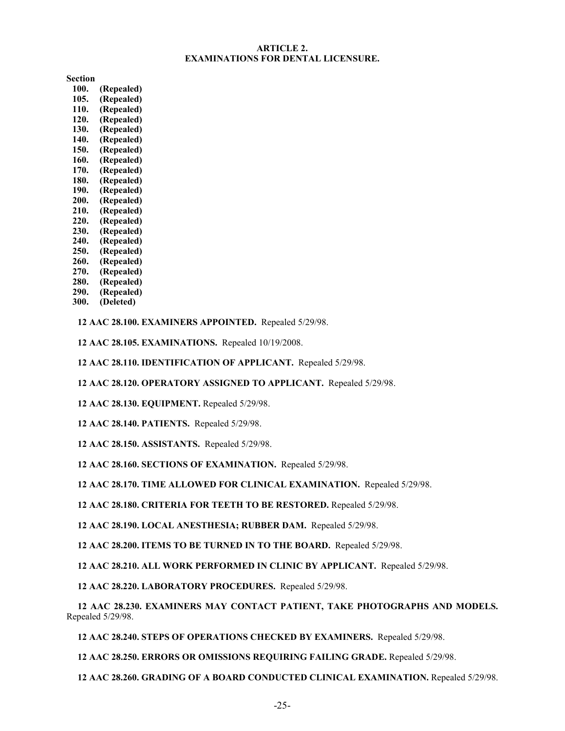# **ARTICLE 2. EXAMINATIONS FOR DENTAL LICENSURE.**

**Section**

- **100. (Repealed) 105. (Repealed) 110. (Repealed) 120. (Repealed) 130. (Repealed) 140. (Repealed) 150. (Repealed) 160. (Repealed) 170. (Repealed) 180. (Repealed) 190. (Repealed) 200. (Repealed) 210. (Repealed) 220. (Repealed) 230. (Repealed) 240. (Repealed) 250. (Repealed) 260. (Repealed) 270. (Repealed) 280. (Repealed)**
- **290. (Repealed)**
- **300. (Deleted)**

**12 AAC 28.100. EXAMINERS APPOINTED.** Repealed 5/29/98.

- **12 AAC 28.105. EXAMINATIONS.** Repealed 10/19/2008.
- **12 AAC 28.110. IDENTIFICATION OF APPLICANT.** Repealed 5/29/98.
- **12 AAC 28.120. OPERATORY ASSIGNED TO APPLICANT.** Repealed 5/29/98.
- **12 AAC 28.130. EQUIPMENT.** Repealed 5/29/98.
- **12 AAC 28.140. PATIENTS.** Repealed 5/29/98.
- **12 AAC 28.150. ASSISTANTS.** Repealed 5/29/98.
- **12 AAC 28.160. SECTIONS OF EXAMINATION.** Repealed 5/29/98.
- **12 AAC 28.170. TIME ALLOWED FOR CLINICAL EXAMINATION.** Repealed 5/29/98.
- **12 AAC 28.180. CRITERIA FOR TEETH TO BE RESTORED.** Repealed 5/29/98.
- **12 AAC 28.190. LOCAL ANESTHESIA; RUBBER DAM.** Repealed 5/29/98.
- **12 AAC 28.200. ITEMS TO BE TURNED IN TO THE BOARD.** Repealed 5/29/98.
- **12 AAC 28.210. ALL WORK PERFORMED IN CLINIC BY APPLICANT.** Repealed 5/29/98.
- **12 AAC 28.220. LABORATORY PROCEDURES.** Repealed 5/29/98.

**12 AAC 28.230. EXAMINERS MAY CONTACT PATIENT, TAKE PHOTOGRAPHS AND MODELS.**  Repealed 5/29/98.

**12 AAC 28.240. STEPS OF OPERATIONS CHECKED BY EXAMINERS.** Repealed 5/29/98.

**12 AAC 28.250. ERRORS OR OMISSIONS REQUIRING FAILING GRADE.** Repealed 5/29/98.

**12 AAC 28.260. GRADING OF A BOARD CONDUCTED CLINICAL EXAMINATION.** Repealed 5/29/98.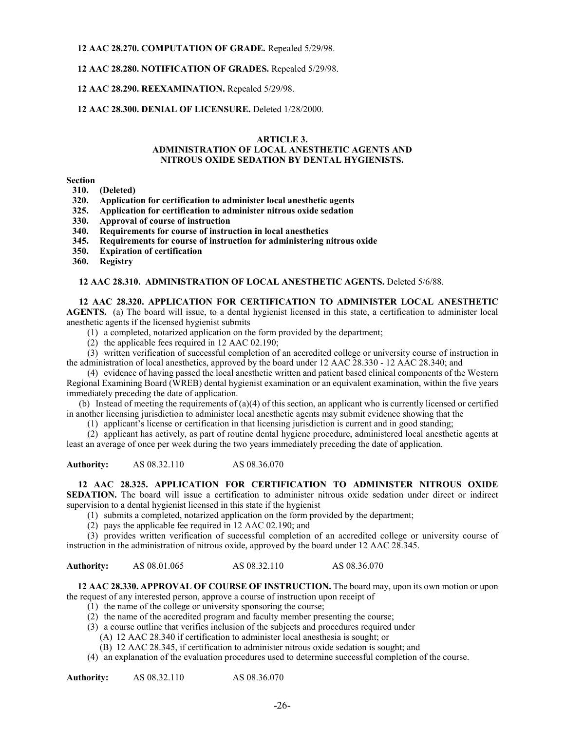**12 AAC 28.270. COMPUTATION OF GRADE.** Repealed 5/29/98.

**12 AAC 28.280. NOTIFICATION OF GRADES.** Repealed 5/29/98.

# **12 AAC 28.290. REEXAMINATION.** Repealed 5/29/98.

# **12 AAC 28.300. DENIAL OF LICENSURE.** Deleted 1/28/2000.

### **ARTICLE 3.**

#### **ADMINISTRATION OF LOCAL ANESTHETIC AGENTS AND NITROUS OXIDE SEDATION BY DENTAL HYGIENISTS.**

**Section**

- **310. (Deleted)**
- **320. Application for certification to administer local anesthetic agents**
- **325. Application for certification to administer nitrous oxide sedation**
- **330. Approval of course of instruction**
- **340. Requirements for course of instruction in local anesthetics**
- **345. Requirements for course of instruction for administering nitrous oxide**
- **350. Expiration of certification**
- **360. Registry**

**12 AAC 28.310. ADMINISTRATION OF LOCAL ANESTHETIC AGENTS.** Deleted 5/6/88.

# **12 AAC 28.320. APPLICATION FOR CERTIFICATION TO ADMINISTER LOCAL ANESTHETIC**

**AGENTS.** (a) The board will issue, to a dental hygienist licensed in this state, a certification to administer local anesthetic agents if the licensed hygienist submits

- (1) a completed, notarized application on the form provided by the department;
	- (2) the applicable fees required in 12 AAC 02.190;

(3) written verification of successful completion of an accredited college or university course of instruction in the administration of local anesthetics, approved by the board under 12 AAC 28.330 - 12 AAC 28.340; and

(4) evidence of having passed the local anesthetic written and patient based clinical components of the Western Regional Examining Board (WREB) dental hygienist examination or an equivalent examination, within the five years immediately preceding the date of application.

(b) Instead of meeting the requirements of  $(a)(4)$  of this section, an applicant who is currently licensed or certified in another licensing jurisdiction to administer local anesthetic agents may submit evidence showing that the

(1) applicant's license or certification in that licensing jurisdiction is current and in good standing;

(2) applicant has actively, as part of routine dental hygiene procedure, administered local anesthetic agents at least an average of once per week during the two years immediately preceding the date of application.

**Authority:** AS 08.32.110 AS 08.36.070

 **12 AAC 28.325. APPLICATION FOR CERTIFICATION TO ADMINISTER NITROUS OXIDE SEDATION.** The board will issue a certification to administer nitrous oxide sedation under direct or indirect supervision to a dental hygienist licensed in this state if the hygienist

- (1) submits a completed, notarized application on the form provided by the department;
- (2) pays the applicable fee required in 12 AAC 02.190; and

(3) provides written verification of successful completion of an accredited college or university course of instruction in the administration of nitrous oxide, approved by the board under 12 AAC 28.345.

**Authority:** AS 08.01.065 AS 08.32.110 AS 08.36.070

**12 AAC 28.330. APPROVAL OF COURSE OF INSTRUCTION.** The board may, upon its own motion or upon the request of any interested person, approve a course of instruction upon receipt of

- (1) the name of the college or university sponsoring the course;
- (2) the name of the accredited program and faculty member presenting the course;
- (3) a course outline that verifies inclusion of the subjects and procedures required under
	- (A) 12 AAC 28.340 if certification to administer local anesthesia is sought; or
	- (B) 12 AAC 28.345, if certification to administer nitrous oxide sedation is sought; and
- (4) an explanation of the evaluation procedures used to determine successful completion of the course.

**Authority:** AS 08.32.110 AS 08.36.070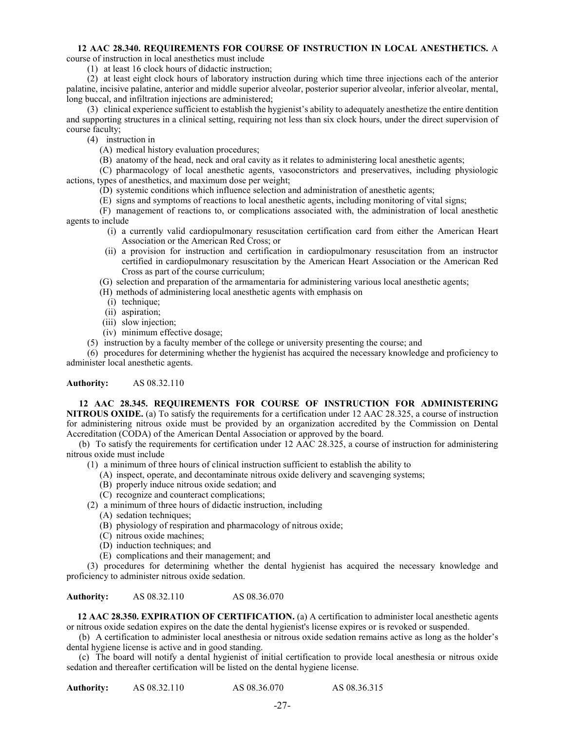# **12 AAC 28.340. REQUIREMENTS FOR COURSE OF INSTRUCTION IN LOCAL ANESTHETICS.** A

course of instruction in local anesthetics must include

(1) at least 16 clock hours of didactic instruction;

(2) at least eight clock hours of laboratory instruction during which time three injections each of the anterior palatine, incisive palatine, anterior and middle superior alveolar, posterior superior alveolar, inferior alveolar, mental, long buccal, and infiltration injections are administered;

(3) clinical experience sufficient to establish the hygienist's ability to adequately anesthetize the entire dentition and supporting structures in a clinical setting, requiring not less than six clock hours, under the direct supervision of course faculty;

(4) instruction in

- (A) medical history evaluation procedures;
- (B) anatomy of the head, neck and oral cavity as it relates to administering local anesthetic agents;
- (C) pharmacology of local anesthetic agents, vasoconstrictors and preservatives, including physiologic actions, types of anesthetics, and maximum dose per weight;
	- (D) systemic conditions which influence selection and administration of anesthetic agents;
	- (E) signs and symptoms of reactions to local anesthetic agents, including monitoring of vital signs;

(F) management of reactions to, or complications associated with, the administration of local anesthetic agents to include

- (i) a currently valid cardiopulmonary resuscitation certification card from either the American Heart Association or the American Red Cross; or
- (ii) a provision for instruction and certification in cardiopulmonary resuscitation from an instructor certified in cardiopulmonary resuscitation by the American Heart Association or the American Red Cross as part of the course curriculum;
- (G) selection and preparation of the armamentaria for administering various local anesthetic agents;

(H) methods of administering local anesthetic agents with emphasis on

- (i) technique;
- (ii) aspiration;
- (iii) slow injection;
- (iv) minimum effective dosage;
- (5) instruction by a faculty member of the college or university presenting the course; and

(6) procedures for determining whether the hygienist has acquired the necessary knowledge and proficiency to administer local anesthetic agents.

# **Authority:** AS 08.32.110

**12 AAC 28.345. REQUIREMENTS FOR COURSE OF INSTRUCTION FOR ADMINISTERING NITROUS OXIDE.** (a) To satisfy the requirements for a certification under 12 AAC 28.325, a course of instruction for administering nitrous oxide must be provided by an organization accredited by the Commission on Dental Accreditation (CODA) of the American Dental Association or approved by the board.

(b) To satisfy the requirements for certification under 12 AAC 28.325, a course of instruction for administering nitrous oxide must include

(1) a minimum of three hours of clinical instruction sufficient to establish the ability to

- (A) inspect, operate, and decontaminate nitrous oxide delivery and scavenging systems;
- (B) properly induce nitrous oxide sedation; and
- (C) recognize and counteract complications;
- (2) a minimum of three hours of didactic instruction, including
	- (A) sedation techniques;
	- (B) physiology of respiration and pharmacology of nitrous oxide;
	- (C) nitrous oxide machines;
	- (D) induction techniques; and
	- (E) complications and their management; and

(3) procedures for determining whether the dental hygienist has acquired the necessary knowledge and proficiency to administer nitrous oxide sedation.

**Authority:** AS 08.32.110 AS 08.36.070

**12 AAC 28.350. EXPIRATION OF CERTIFICATION.** (a) A certification to administer local anesthetic agents or nitrous oxide sedation expires on the date the dental hygienist's license expires or is revoked or suspended.

(b) A certification to administer local anesthesia or nitrous oxide sedation remains active as long as the holder's dental hygiene license is active and in good standing.

(c) The board will notify a dental hygienist of initial certification to provide local anesthesia or nitrous oxide sedation and thereafter certification will be listed on the dental hygiene license.

**Authority:** AS 08.32.110 AS 08.36.070 AS 08.36.315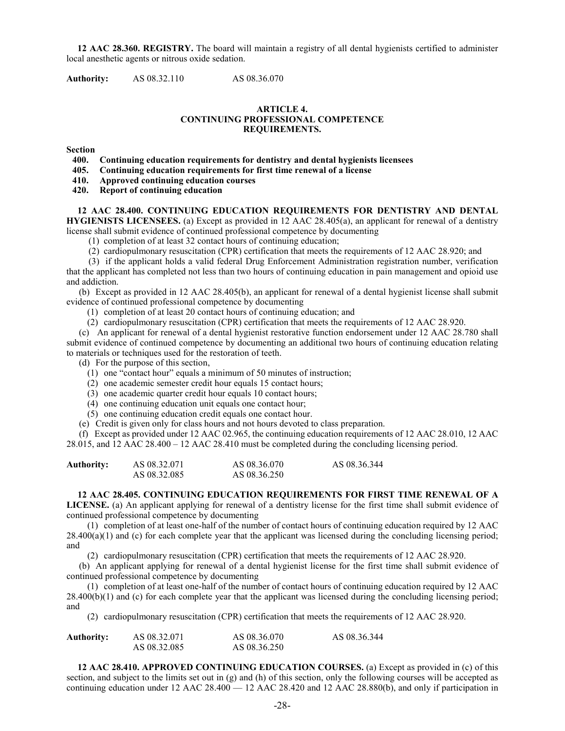**12 AAC 28.360. REGISTRY.** The board will maintain a registry of all dental hygienists certified to administer local anesthetic agents or nitrous oxide sedation.

**Authority:** AS 08.32.110 AS 08.36.070

#### **ARTICLE 4. CONTINUING PROFESSIONAL COMPETENCE REQUIREMENTS.**

Section<br>400.

**400. Continuing education requirements for dentistry and dental hygienists licensees**

**405. Continuing education requirements for first time renewal of a license**

**410. Approved continuing education courses**

**420. Report of continuing education**

#### **12 AAC 28.400. CONTINUING EDUCATION REQUIREMENTS FOR DENTISTRY AND DENTAL HYGIENISTS LICENSEES.** (a) Except as provided in 12 AAC 28.405(a), an applicant for renewal of a dentistry

license shall submit evidence of continued professional competence by documenting

(1) completion of at least 32 contact hours of continuing education;

(2) cardiopulmonary resuscitation (CPR) certification that meets the requirements of 12 AAC 28.920; and

(3) if the applicant holds a valid federal Drug Enforcement Administration registration number, verification that the applicant has completed not less than two hours of continuing education in pain management and opioid use and addiction.

(b) Except as provided in 12 AAC 28.405(b), an applicant for renewal of a dental hygienist license shall submit evidence of continued professional competence by documenting

- (1) completion of at least 20 contact hours of continuing education; and
- (2) cardiopulmonary resuscitation (CPR) certification that meets the requirements of 12 AAC 28.920.

(c) An applicant for renewal of a dental hygienist restorative function endorsement under 12 AAC 28.780 shall submit evidence of continued competence by documenting an additional two hours of continuing education relating to materials or techniques used for the restoration of teeth.

(d) For the purpose of this section,

- (1) one "contact hour" equals a minimum of 50 minutes of instruction;
- (2) one academic semester credit hour equals 15 contact hours;
- (3) one academic quarter credit hour equals 10 contact hours;
- (4) one continuing education unit equals one contact hour;
- (5) one continuing education credit equals one contact hour.

(e) Credit is given only for class hours and not hours devoted to class preparation.

(f) Except as provided under 12 AAC 02.965, the continuing education requirements of 12 AAC 28.010, 12 AAC 28.015, and 12 AAC 28.400 – 12 AAC 28.410 must be completed during the concluding licensing period.

| <b>Authority:</b> | AS 08.32.071 | AS 08.36.070 | AS 08.36.344 |
|-------------------|--------------|--------------|--------------|
|                   | AS 08.32.085 | AS 08.36.250 |              |

**12 AAC 28.405. CONTINUING EDUCATION REQUIREMENTS FOR FIRST TIME RENEWAL OF A LICENSE.** (a) An applicant applying for renewal of a dentistry license for the first time shall submit evidence of continued professional competence by documenting

(1) completion of at least one-half of the number of contact hours of continuing education required by 12 AAC 28.400(a)(1) and (c) for each complete year that the applicant was licensed during the concluding licensing period; and

(2) cardiopulmonary resuscitation (CPR) certification that meets the requirements of 12 AAC 28.920.

(b) An applicant applying for renewal of a dental hygienist license for the first time shall submit evidence of continued professional competence by documenting

(1) completion of at least one-half of the number of contact hours of continuing education required by 12 AAC 28.400(b)(1) and (c) for each complete year that the applicant was licensed during the concluding licensing period; and

(2) cardiopulmonary resuscitation (CPR) certification that meets the requirements of 12 AAC 28.920.

| Authority: | AS 08.32.071 | AS 08.36.070 | AS 08.36.344 |
|------------|--------------|--------------|--------------|
|            | AS 08.32.085 | AS 08.36.250 |              |

**12 AAC 28.410. APPROVED CONTINUING EDUCATION COURSES.** (a) Except as provided in (c) of this section, and subject to the limits set out in (g) and (h) of this section, only the following courses will be accepted as continuing education under 12 AAC  $28.400 - 12$  AAC  $28.420$  and 12 AAC  $28.880(b)$ , and only if participation in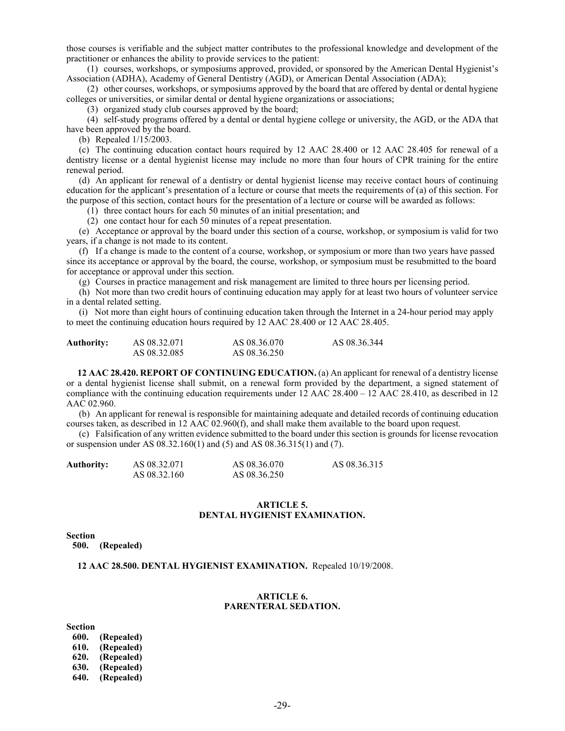those courses is verifiable and the subject matter contributes to the professional knowledge and development of the practitioner or enhances the ability to provide services to the patient:

(1) courses, workshops, or symposiums approved, provided, or sponsored by the American Dental Hygienist's Association (ADHA), Academy of General Dentistry (AGD), or American Dental Association (ADA);

(2) other courses, workshops, or symposiums approved by the board that are offered by dental or dental hygiene colleges or universities, or similar dental or dental hygiene organizations or associations;

(3) organized study club courses approved by the board;

(4) self-study programs offered by a dental or dental hygiene college or university, the AGD, or the ADA that have been approved by the board.

(b) Repealed 1/15/2003.

(c) The continuing education contact hours required by 12 AAC 28.400 or 12 AAC 28.405 for renewal of a dentistry license or a dental hygienist license may include no more than four hours of CPR training for the entire renewal period.

(d) An applicant for renewal of a dentistry or dental hygienist license may receive contact hours of continuing education for the applicant's presentation of a lecture or course that meets the requirements of (a) of this section. For the purpose of this section, contact hours for the presentation of a lecture or course will be awarded as follows:

(1) three contact hours for each 50 minutes of an initial presentation; and

(2) one contact hour for each 50 minutes of a repeat presentation.

(e) Acceptance or approval by the board under this section of a course, workshop, or symposium is valid for two years, if a change is not made to its content.

(f) If a change is made to the content of a course, workshop, or symposium or more than two years have passed since its acceptance or approval by the board, the course, workshop, or symposium must be resubmitted to the board for acceptance or approval under this section.

(g) Courses in practice management and risk management are limited to three hours per licensing period.

(h) Not more than two credit hours of continuing education may apply for at least two hours of volunteer service in a dental related setting.

(i) Not more than eight hours of continuing education taken through the Internet in a 24-hour period may apply to meet the continuing education hours required by 12 AAC 28.400 or 12 AAC 28.405.

| <b>Authority:</b> | AS 08.32.071 | AS 08.36.070 | AS 08.36.344 |
|-------------------|--------------|--------------|--------------|
|                   | AS 08.32.085 | AS 08.36.250 |              |

**12 AAC 28.420. REPORT OF CONTINUING EDUCATION.** (a) An applicant for renewal of a dentistry license or a dental hygienist license shall submit, on a renewal form provided by the department, a signed statement of compliance with the continuing education requirements under 12 AAC 28.400 – 12 AAC 28.410, as described in 12 AAC 02.960.

(b) An applicant for renewal is responsible for maintaining adequate and detailed records of continuing education courses taken, as described in 12 AAC 02.960(f), and shall make them available to the board upon request.

(c) Falsification of any written evidence submitted to the board under this section is grounds for license revocation or suspension under AS 08.32.160(1) and (5) and AS 08.36.315(1) and (7).

| <b>Authority:</b> | AS 08.32.071 | AS 08.36.070 | AS 08.36.315 |
|-------------------|--------------|--------------|--------------|
|                   | AS 08.32.160 | AS 08.36.250 |              |

# **ARTICLE 5. DENTAL HYGIENIST EXAMINATION.**

**Section**

**500. (Repealed)**

**12 AAC 28.500. DENTAL HYGIENIST EXAMINATION.** Repealed 10/19/2008.

#### **ARTICLE 6. PARENTERAL SEDATION.**

Section<br>600.

**600. (Repealed) 610. (Repealed) 620. (Repealed) 630. (Repealed) 640. (Repealed)**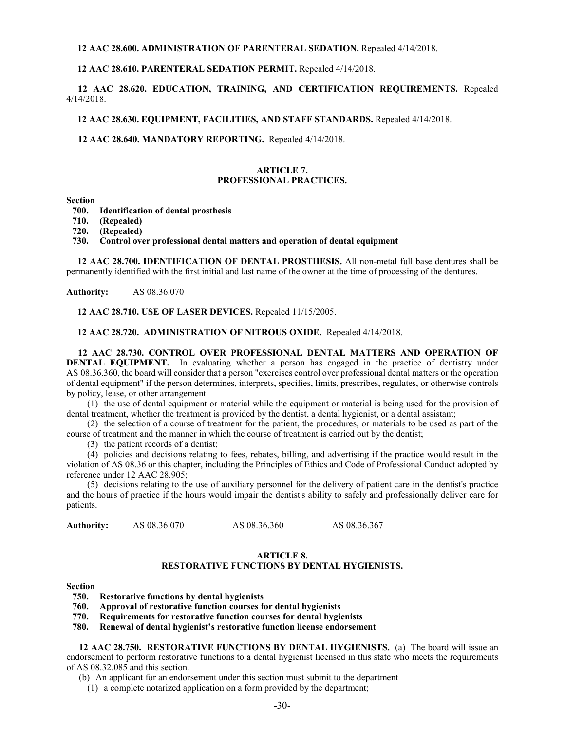#### **12 AAC 28.600. ADMINISTRATION OF PARENTERAL SEDATION.** Repealed 4/14/2018.

# **12 AAC 28.610. PARENTERAL SEDATION PERMIT.** Repealed 4/14/2018.

 **12 AAC 28.620. EDUCATION, TRAINING, AND CERTIFICATION REQUIREMENTS.** Repealed 4/14/2018.

## **12 AAC 28.630. EQUIPMENT, FACILITIES, AND STAFF STANDARDS.** Repealed 4/14/2018.

 **12 AAC 28.640. MANDATORY REPORTING.** Repealed 4/14/2018.

### **ARTICLE 7. PROFESSIONAL PRACTICES.**

#### **Section**

- **700. Identification of dental prosthesis**
- **710. (Repealed)**
- **720. (Repealed)**
- **730. Control over professional dental matters and operation of dental equipment**

**12 AAC 28.700. IDENTIFICATION OF DENTAL PROSTHESIS.** All non-metal full base dentures shall be permanently identified with the first initial and last name of the owner at the time of processing of the dentures.

**Authority:** AS 08.36.070

**12 AAC 28.710. USE OF LASER DEVICES.** Repealed 11/15/2005.

**12 AAC 28.720. ADMINISTRATION OF NITROUS OXIDE.** Repealed 4/14/2018.

 **12 AAC 28.730. CONTROL OVER PROFESSIONAL DENTAL MATTERS AND OPERATION OF DENTAL EQUIPMENT.** In evaluating whether a person has engaged in the practice of dentistry under AS 08.36.360, the board will consider that a person "exercises control over professional dental matters or the operation of dental equipment" if the person determines, interprets, specifies, limits, prescribes, regulates, or otherwise controls by policy, lease, or other arrangement

(1) the use of dental equipment or material while the equipment or material is being used for the provision of dental treatment, whether the treatment is provided by the dentist, a dental hygienist, or a dental assistant;

(2) the selection of a course of treatment for the patient, the procedures, or materials to be used as part of the course of treatment and the manner in which the course of treatment is carried out by the dentist;

(3) the patient records of a dentist;

(4) policies and decisions relating to fees, rebates, billing, and advertising if the practice would result in the violation of AS 08.36 or this chapter, including the Principles of Ethics and Code of Professional Conduct adopted by reference under 12 AAC 28.905;

(5) decisions relating to the use of auxiliary personnel for the delivery of patient care in the dentist's practice and the hours of practice if the hours would impair the dentist's ability to safely and professionally deliver care for patients.

Authority: AS 08.36.070 AS 08.36.360 AS 08.36.367

#### **ARTICLE 8.**

# **RESTORATIVE FUNCTIONS BY DENTAL HYGIENISTS.**

#### **Section**

**750. Restorative functions by dental hygienists**

**760. Approval of restorative function courses for dental hygienists**

**770. Requirements for restorative function courses for dental hygienists**

**780. Renewal of dental hygienist's restorative function license endorsement**

**12 AAC 28.750. RESTORATIVE FUNCTIONS BY DENTAL HYGIENISTS.** (a) The board will issue an endorsement to perform restorative functions to a dental hygienist licensed in this state who meets the requirements of AS 08.32.085 and this section.

(b) An applicant for an endorsement under this section must submit to the department

(1) a complete notarized application on a form provided by the department;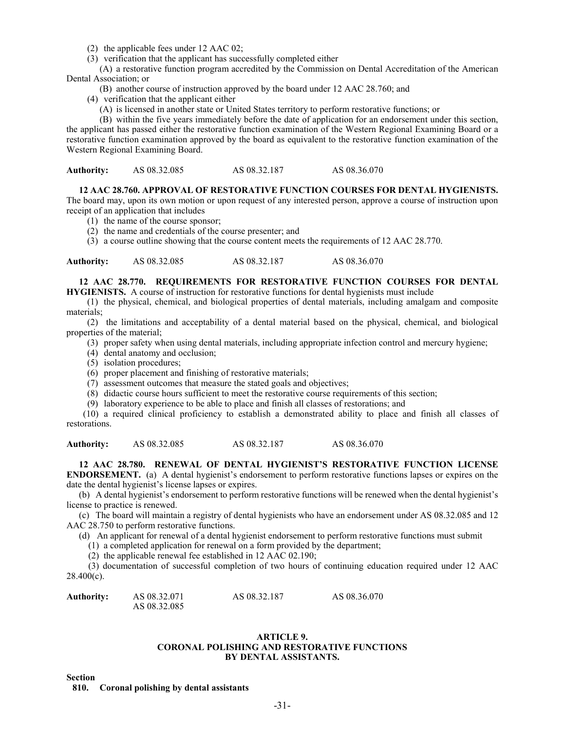- (2) the applicable fees under 12 AAC 02;
- (3) verification that the applicant has successfully completed either

(A) a restorative function program accredited by the Commission on Dental Accreditation of the American Dental Association; or

- (B) another course of instruction approved by the board under 12 AAC 28.760; and
- (4) verification that the applicant either
	- (A) is licensed in another state or United States territory to perform restorative functions; or

(B) within the five years immediately before the date of application for an endorsement under this section, the applicant has passed either the restorative function examination of the Western Regional Examining Board or a restorative function examination approved by the board as equivalent to the restorative function examination of the Western Regional Examining Board.

| <b>Authority:</b> | AS 08.32.085 | AS 08.32.187 | AS 08.36.070 |
|-------------------|--------------|--------------|--------------|
|-------------------|--------------|--------------|--------------|

#### **12 AAC 28.760. APPROVAL OF RESTORATIVE FUNCTION COURSES FOR DENTAL HYGIENISTS.**

The board may, upon its own motion or upon request of any interested person, approve a course of instruction upon receipt of an application that includes

- (1) the name of the course sponsor;
- (2) the name and credentials of the course presenter; and
- (3) a course outline showing that the course content meets the requirements of 12 AAC 28.770.

Authority: AS 08.32.085 AS 08.32.187 AS 08.36.070

# **12 AAC 28.770. REQUIREMENTS FOR RESTORATIVE FUNCTION COURSES FOR DENTAL**

**HYGIENISTS.** A course of instruction for restorative functions for dental hygienists must include

(1) the physical, chemical, and biological properties of dental materials, including amalgam and composite materials;

(2) the limitations and acceptability of a dental material based on the physical, chemical, and biological properties of the material;

- (3) proper safety when using dental materials, including appropriate infection control and mercury hygiene;
- (4) dental anatomy and occlusion;
- (5) isolation procedures;
- (6) proper placement and finishing of restorative materials;
- (7) assessment outcomes that measure the stated goals and objectives;
- (8) didactic course hours sufficient to meet the restorative course requirements of this section;
- (9) laboratory experience to be able to place and finish all classes of restorations; and

(10) a required clinical proficiency to establish a demonstrated ability to place and finish all classes of restorations.

**Authority:** AS 08.32.085 AS 08.32.187 AS 08.36.070

# **12 AAC 28.780. RENEWAL OF DENTAL HYGIENIST'S RESTORATIVE FUNCTION LICENSE**

**ENDORSEMENT.** (a) A dental hygienist's endorsement to perform restorative functions lapses or expires on the date the dental hygienist's license lapses or expires.

(b) A dental hygienist's endorsement to perform restorative functions will be renewed when the dental hygienist's license to practice is renewed.

(c) The board will maintain a registry of dental hygienists who have an endorsement under AS 08.32.085 and 12 AAC 28.750 to perform restorative functions.

(d) An applicant for renewal of a dental hygienist endorsement to perform restorative functions must submit

(1) a completed application for renewal on a form provided by the department;

(2) the applicable renewal fee established in 12 AAC 02.190;

 (3) documentation of successful completion of two hours of continuing education required under 12 AAC  $28.400(c)$ .

| <b>Authority:</b> | AS 08.32.071 | AS 08.32.187 | AS 08.36.070 |
|-------------------|--------------|--------------|--------------|
|                   | AS 08.32.085 |              |              |

# **ARTICLE 9. CORONAL POLISHING AND RESTORATIVE FUNCTIONS BY DENTAL ASSISTANTS.**

**Section**

**810. Coronal polishing by dental assistants**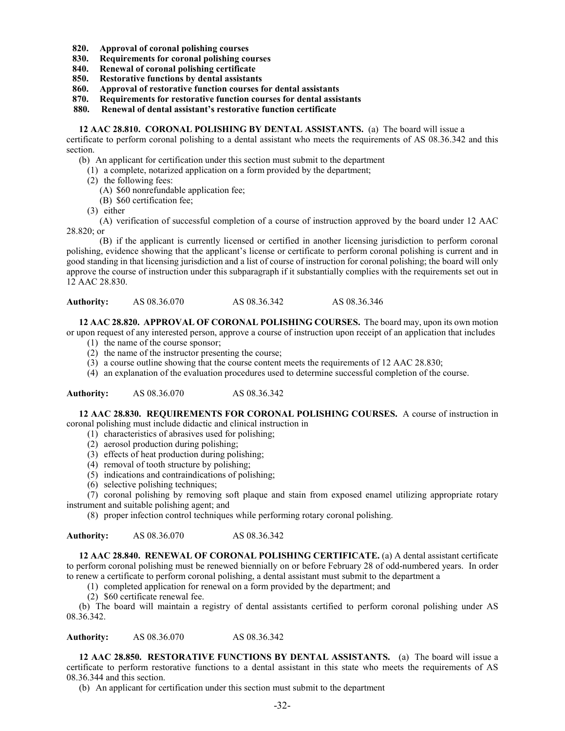- **820. Approval of coronal polishing courses**
- **830. Requirements for coronal polishing courses**
- **840. Renewal of coronal polishing certificate**
- **850. Restorative functions by dental assistants**
- **860. Approval of restorative function courses for dental assistants**
- **870. Requirements for restorative function courses for dental assistants**

 **880. Renewal of dental assistant's restorative function certificate**

**12 AAC 28.810. CORONAL POLISHING BY DENTAL ASSISTANTS.** (a) The board will issue a

certificate to perform coronal polishing to a dental assistant who meets the requirements of AS 08.36.342 and this section.

(b) An applicant for certification under this section must submit to the department

- (1) a complete, notarized application on a form provided by the department;
- (2) the following fees:
	- (A) \$60 nonrefundable application fee;
	- (B) \$60 certification fee;

(3) either

(A) verification of successful completion of a course of instruction approved by the board under 12 AAC 28.820; or

(B) if the applicant is currently licensed or certified in another licensing jurisdiction to perform coronal polishing, evidence showing that the applicant's license or certificate to perform coronal polishing is current and in good standing in that licensing jurisdiction and a list of course of instruction for coronal polishing; the board will only approve the course of instruction under this subparagraph if it substantially complies with the requirements set out in 12 AAC 28.830.

| <b>Authority:</b> | AS 08.36.070 | AS 08.36.342 | AS 08.36.346 |
|-------------------|--------------|--------------|--------------|
|-------------------|--------------|--------------|--------------|

**12 AAC 28.820. APPROVAL OF CORONAL POLISHING COURSES.** The board may, upon its own motion or upon request of any interested person, approve a course of instruction upon receipt of an application that includes

- (1) the name of the course sponsor;
- (2) the name of the instructor presenting the course;
- (3) a course outline showing that the course content meets the requirements of 12 AAC 28.830;
- (4) an explanation of the evaluation procedures used to determine successful completion of the course.

**Authority:** AS 08.36.070 AS 08.36.342

**12 AAC 28.830. REQUIREMENTS FOR CORONAL POLISHING COURSES.** A course of instruction in coronal polishing must include didactic and clinical instruction in

- (1) characteristics of abrasives used for polishing;
- (2) aerosol production during polishing;
- (3) effects of heat production during polishing;
- (4) removal of tooth structure by polishing;
- (5) indications and contraindications of polishing;
- (6) selective polishing techniques;

(7) coronal polishing by removing soft plaque and stain from exposed enamel utilizing appropriate rotary instrument and suitable polishing agent; and

(8) proper infection control techniques while performing rotary coronal polishing.

**Authority:** AS 08.36.070 AS 08.36.342

**12 AAC 28.840. RENEWAL OF CORONAL POLISHING CERTIFICATE.** (a) A dental assistant certificate to perform coronal polishing must be renewed biennially on or before February 28 of odd-numbered years. In order to renew a certificate to perform coronal polishing, a dental assistant must submit to the department a

(1) completed application for renewal on a form provided by the department; and

(2) \$60 certificate renewal fee.

(b) The board will maintain a registry of dental assistants certified to perform coronal polishing under AS 08.36.342.

**Authority:** AS 08.36.070 AS 08.36.342

**12 AAC 28.850. RESTORATIVE FUNCTIONS BY DENTAL ASSISTANTS.** (a) The board will issue a certificate to perform restorative functions to a dental assistant in this state who meets the requirements of AS 08.36.344 and this section.

(b) An applicant for certification under this section must submit to the department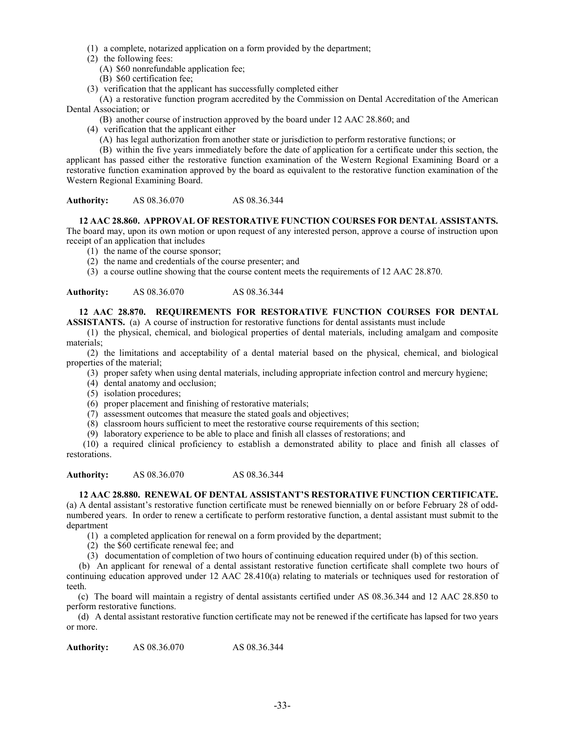- (1) a complete, notarized application on a form provided by the department;
- (2) the following fees:
	- (A) \$60 nonrefundable application fee;
	- (B) \$60 certification fee;
- (3) verification that the applicant has successfully completed either

(A) a restorative function program accredited by the Commission on Dental Accreditation of the American Dental Association; or

(B) another course of instruction approved by the board under 12 AAC 28.860; and

- (4) verification that the applicant either
	- (A) has legal authorization from another state or jurisdiction to perform restorative functions; or

(B) within the five years immediately before the date of application for a certificate under this section, the applicant has passed either the restorative function examination of the Western Regional Examining Board or a restorative function examination approved by the board as equivalent to the restorative function examination of the Western Regional Examining Board.

**Authority:** AS 08.36.070 AS 08.36.344

# **12 AAC 28.860. APPROVAL OF RESTORATIVE FUNCTION COURSES FOR DENTAL ASSISTANTS.**

The board may, upon its own motion or upon request of any interested person, approve a course of instruction upon receipt of an application that includes

- (1) the name of the course sponsor;
- (2) the name and credentials of the course presenter; and
- (3) a course outline showing that the course content meets the requirements of 12 AAC 28.870.

**Authority:** AS 08.36.070 AS 08.36.344

# **12 AAC 28.870. REQUIREMENTS FOR RESTORATIVE FUNCTION COURSES FOR DENTAL**

**ASSISTANTS.** (a) A course of instruction for restorative functions for dental assistants must include

(1) the physical, chemical, and biological properties of dental materials, including amalgam and composite materials;

(2) the limitations and acceptability of a dental material based on the physical, chemical, and biological properties of the material;

- (3) proper safety when using dental materials, including appropriate infection control and mercury hygiene;
- (4) dental anatomy and occlusion;
- (5) isolation procedures;
- (6) proper placement and finishing of restorative materials;
- (7) assessment outcomes that measure the stated goals and objectives;
- (8) classroom hours sufficient to meet the restorative course requirements of this section;
- (9) laboratory experience to be able to place and finish all classes of restorations; and

(10) a required clinical proficiency to establish a demonstrated ability to place and finish all classes of restorations.

**Authority:** AS 08.36.070 AS 08.36.344

# **12 AAC 28.880. RENEWAL OF DENTAL ASSISTANT'S RESTORATIVE FUNCTION CERTIFICATE.**

(a) A dental assistant's restorative function certificate must be renewed biennially on or before February 28 of oddnumbered years. In order to renew a certificate to perform restorative function, a dental assistant must submit to the department

- (1) a completed application for renewal on a form provided by the department;
- (2) the \$60 certificate renewal fee; and
- (3) documentation of completion of two hours of continuing education required under (b) of this section.

(b) An applicant for renewal of a dental assistant restorative function certificate shall complete two hours of continuing education approved under 12 AAC 28.410(a) relating to materials or techniques used for restoration of teeth.

 (c) The board will maintain a registry of dental assistants certified under AS 08.36.344 and 12 AAC 28.850 to perform restorative functions.

 (d) A dental assistant restorative function certificate may not be renewed if the certificate has lapsed for two years or more.

**Authority:** AS 08.36.070 AS 08.36.344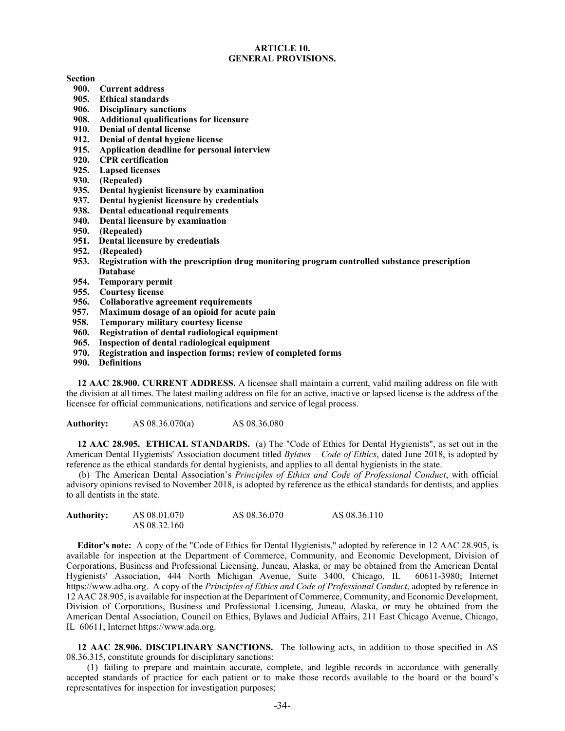#### **ARTICLE 10. GENERAL PROVISIONS.**

#### **Section**

- **900. Current address**
- **905. Ethical standards**
- **906. Disciplinary sanctions**
- **908. Additional qualifications for licensure**
- **910. Denial of dental license**
- **912. Denial of dental hygiene license**
- **915. Application deadline for personal interview**
- **920. CPR certification**
- **925. Lapsed licenses**
- **930. (Repealed)**
- **935. Dental hygienist licensure by examination**
- **937. Dental hygienist licensure by credentials**
- **938. Dental educational requirements**
- **Dental licensure by examination**
- **950. (Repealed)**
- **951. Dental licensure by credentials**
- **952. (Repealed)**
- **953. Registration with the prescription drug monitoring program controlled substance prescription Database**
- **954. Temporary permit**
- **955. Courtesy license**
- **956. Collaborative agreement requirements**
- **957. Maximum dosage of an opioid for acute pain**
- **958. Temporary military courtesy license**
- **960. Registration of dental radiological equipment**
- **965. Inspection of dental radiological equipment**
- **970. Registration and inspection forms; review of completed forms**
- **990. Definitions**

**12 AAC 28.900. CURRENT ADDRESS.** A licensee shall maintain a current, valid mailing address on file with the division at all times. The latest mailing address on file for an active, inactive or lapsed license is the address of the licensee for official communications, notifications and service of legal process.

**Authority:** AS 08.36.070(a) AS 08.36.080

**12 AAC 28.905. ETHICAL STANDARDS.** (a) The "Code of Ethics for Dental Hygienists", as set out in the American Dental Hygienists' Association document titled *Bylaws – Code of Ethics*, dated June 2018, is adopted by reference as the ethical standards for dental hygienists, and applies to all dental hygienists in the state.

(b) The American Dental Association's *Principles of Ethics and Code of Professional Conduct*, with official advisory opinions revised to November 2018, is adopted by reference as the ethical standards for dentists, and applies to all dentists in the state.

| <b>Authority:</b> | AS 08.01.070 | AS 08.36.070 | AS 08.36.110 |
|-------------------|--------------|--------------|--------------|
|                   | AS 08.32.160 |              |              |

**Editor's note:** A copy of the "Code of Ethics for Dental Hygienists," adopted by reference in 12 AAC 28.905, is available for inspection at the Department of Commerce, Community, and Economic Development, Division of Corporations, Business and Professional Licensing, Juneau, Alaska, or may be obtained from the American Dental Hygienists' Association, 444 North Michigan Avenue, Suite 3400, Chicago, IL 60611-3980; Internet https://www.adha.org. A copy of the *Principles of Ethics and Code of Professional Conduct*, adopted by reference in 12 AAC 28.905, is available for inspection at the Department of Commerce, Community, and Economic Development, Division of Corporations, Business and Professional Licensing, Juneau, Alaska, or may be obtained from the American Dental Association, Council on Ethics, Bylaws and Judicial Affairs, 211 East Chicago Avenue, Chicago, IL 60611; Internet https://www.ada.org.

**12 AAC 28.906. DISCIPLINARY SANCTIONS.** The following acts, in addition to those specified in AS 08.36.315, constitute grounds for disciplinary sanctions:

(1) failing to prepare and maintain accurate, complete, and legible records in accordance with generally accepted standards of practice for each patient or to make those records available to the board or the board's representatives for inspection for investigation purposes;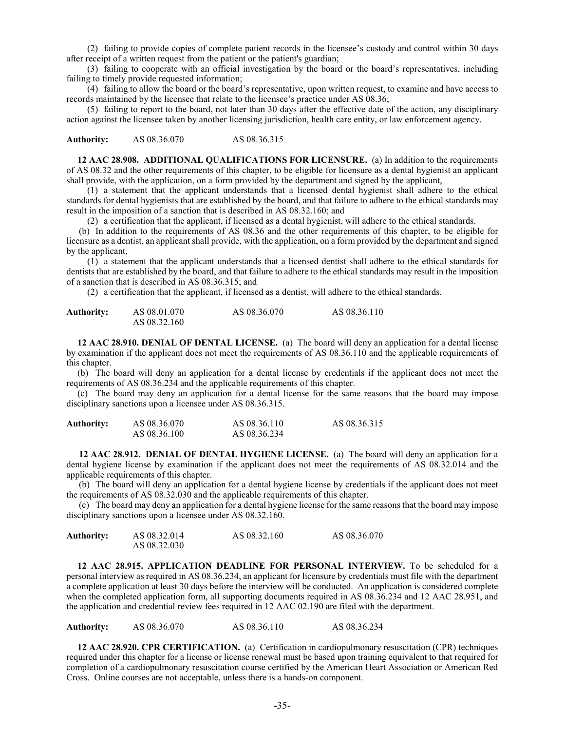(2) failing to provide copies of complete patient records in the licensee's custody and control within 30 days after receipt of a written request from the patient or the patient's guardian;

(3) failing to cooperate with an official investigation by the board or the board's representatives, including failing to timely provide requested information;

(4) failing to allow the board or the board's representative, upon written request, to examine and have access to records maintained by the licensee that relate to the licensee's practice under AS 08.36;

(5) failing to report to the board, not later than 30 days after the effective date of the action, any disciplinary action against the licensee taken by another licensing jurisdiction, health care entity, or law enforcement agency.

**Authority:** AS 08.36.070 AS 08.36.315

**12 AAC 28.908. ADDITIONAL QUALIFICATIONS FOR LICENSURE.** (a) In addition to the requirements of AS 08.32 and the other requirements of this chapter, to be eligible for licensure as a dental hygienist an applicant shall provide, with the application, on a form provided by the department and signed by the applicant,

(1) a statement that the applicant understands that a licensed dental hygienist shall adhere to the ethical standards for dental hygienists that are established by the board, and that failure to adhere to the ethical standards may result in the imposition of a sanction that is described in AS 08.32.160; and

(2) a certification that the applicant, if licensed as a dental hygienist, will adhere to the ethical standards.

(b) In addition to the requirements of AS 08.36 and the other requirements of this chapter, to be eligible for licensure as a dentist, an applicant shall provide, with the application, on a form provided by the department and signed by the applicant,

(1) a statement that the applicant understands that a licensed dentist shall adhere to the ethical standards for dentists that are established by the board, and that failure to adhere to the ethical standards may result in the imposition of a sanction that is described in AS 08.36.315; and

(2) a certification that the applicant, if licensed as a dentist, will adhere to the ethical standards.

| <b>Authority:</b> | AS 08.01.070 | AS 08.36.070 | AS 08.36.110 |
|-------------------|--------------|--------------|--------------|
|                   | AS 08.32.160 |              |              |

**12 AAC 28.910. DENIAL OF DENTAL LICENSE.** (a) The board will deny an application for a dental license by examination if the applicant does not meet the requirements of AS 08.36.110 and the applicable requirements of this chapter.

(b) The board will deny an application for a dental license by credentials if the applicant does not meet the requirements of AS 08.36.234 and the applicable requirements of this chapter.

(c) The board may deny an application for a dental license for the same reasons that the board may impose disciplinary sanctions upon a licensee under AS 08.36.315.

| Authority: | AS 08.36.070 | AS 08.36.110 | AS 08.36.315 |
|------------|--------------|--------------|--------------|
|            | AS 08.36.100 | AS 08.36.234 |              |

**12 AAC 28.912. DENIAL OF DENTAL HYGIENE LICENSE.** (a) The board will deny an application for a dental hygiene license by examination if the applicant does not meet the requirements of AS 08.32.014 and the applicable requirements of this chapter.

(b) The board will deny an application for a dental hygiene license by credentials if the applicant does not meet the requirements of AS 08.32.030 and the applicable requirements of this chapter.

(c) The board may deny an application for a dental hygiene license for the same reasons that the board may impose disciplinary sanctions upon a licensee under AS 08.32.160.

| <b>Authority:</b> | AS 08.32.014 | AS 08.32.160 | AS 08.36.070 |
|-------------------|--------------|--------------|--------------|
|                   | AS 08.32.030 |              |              |

**12 AAC 28.915. APPLICATION DEADLINE FOR PERSONAL INTERVIEW.** To be scheduled for a personal interview as required in AS 08.36.234, an applicant for licensure by credentials must file with the department a complete application at least 30 days before the interview will be conducted. An application is considered complete when the completed application form, all supporting documents required in AS 08.36.234 and 12 AAC 28.951, and the application and credential review fees required in 12 AAC 02.190 are filed with the department.

**Authority:** AS 08.36.070 AS 08.36.110 AS 08.36.234

**12 AAC 28.920. CPR CERTIFICATION.** (a) Certification in cardiopulmonary resuscitation (CPR) techniques required under this chapter for a license or license renewal must be based upon training equivalent to that required for completion of a cardiopulmonary resuscitation course certified by the American Heart Association or American Red Cross. Online courses are not acceptable, unless there is a hands-on component.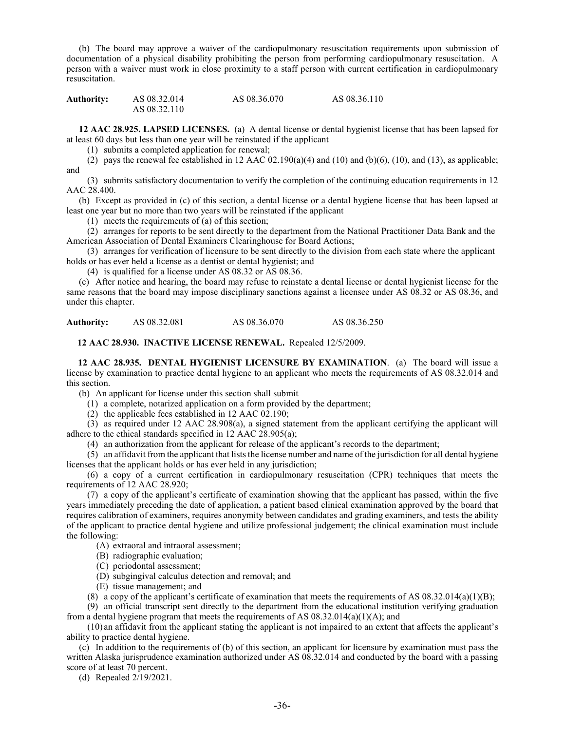(b) The board may approve a waiver of the cardiopulmonary resuscitation requirements upon submission of documentation of a physical disability prohibiting the person from performing cardiopulmonary resuscitation. A person with a waiver must work in close proximity to a staff person with current certification in cardiopulmonary resuscitation.

**Authority:** AS 08.32.014 AS 08.36.070 AS 08.36.110 AS 08.32.110

**12 AAC 28.925. LAPSED LICENSES.** (a) A dental license or dental hygienist license that has been lapsed for at least 60 days but less than one year will be reinstated if the applicant

(1) submits a completed application for renewal;

(2) pays the renewal fee established in 12 AAC  $02.190(a)(4)$  and  $(10)$  and  $(b)(6)$ ,  $(10)$ , and  $(13)$ , as applicable; and

(3) submits satisfactory documentation to verify the completion of the continuing education requirements in 12 AAC 28.400.

(b) Except as provided in (c) of this section, a dental license or a dental hygiene license that has been lapsed at least one year but no more than two years will be reinstated if the applicant

(1) meets the requirements of (a) of this section;

(2) arranges for reports to be sent directly to the department from the National Practitioner Data Bank and the American Association of Dental Examiners Clearinghouse for Board Actions;

(3) arranges for verification of licensure to be sent directly to the division from each state where the applicant holds or has ever held a license as a dentist or dental hygienist; and

(4) is qualified for a license under AS 08.32 or AS 08.36.

(c) After notice and hearing, the board may refuse to reinstate a dental license or dental hygienist license for the same reasons that the board may impose disciplinary sanctions against a licensee under AS 08.32 or AS 08.36, and under this chapter.

**Authority:** AS 08.32.081 AS 08.36.070 AS 08.36.250

**12 AAC 28.930. INACTIVE LICENSE RENEWAL.** Repealed 12/5/2009.

 **12 AAC 28.935. DENTAL HYGIENIST LICENSURE BY EXAMINATION**. (a) The board will issue a license by examination to practice dental hygiene to an applicant who meets the requirements of AS 08.32.014 and this section.

(b) An applicant for license under this section shall submit

(1) a complete, notarized application on a form provided by the department;

(2) the applicable fees established in 12 AAC 02.190;

(3) as required under 12 AAC 28.908(a), a signed statement from the applicant certifying the applicant will adhere to the ethical standards specified in 12 AAC 28.905(a);

(4) an authorization from the applicant for release of the applicant's records to the department;

(5) an affidavit from the applicant that lists the license number and name of the jurisdiction for all dental hygiene licenses that the applicant holds or has ever held in any jurisdiction;

(6) a copy of a current certification in cardiopulmonary resuscitation (CPR) techniques that meets the requirements of 12 AAC 28.920;

(7) a copy of the applicant's certificate of examination showing that the applicant has passed, within the five years immediately preceding the date of application, a patient based clinical examination approved by the board that requires calibration of examiners, requires anonymity between candidates and grading examiners, and tests the ability of the applicant to practice dental hygiene and utilize professional judgement; the clinical examination must include the following:

(A) extraoral and intraoral assessment;

(B) radiographic evaluation;

(C) periodontal assessment;

(D) subgingival calculus detection and removal; and

(E) tissue management; and

(8) a copy of the applicant's certificate of examination that meets the requirements of AS  $08.32.014(a)(1)(B)$ ;

(9) an official transcript sent directly to the department from the educational institution verifying graduation from a dental hygiene program that meets the requirements of AS  $08.32.014(a)(1)(A)$ ; and

(10) an affidavit from the applicant stating the applicant is not impaired to an extent that affects the applicant's ability to practice dental hygiene.

(c) In addition to the requirements of (b) of this section, an applicant for licensure by examination must pass the written Alaska jurisprudence examination authorized under AS 08.32.014 and conducted by the board with a passing score of at least 70 percent.

(d) Repealed 2/19/2021.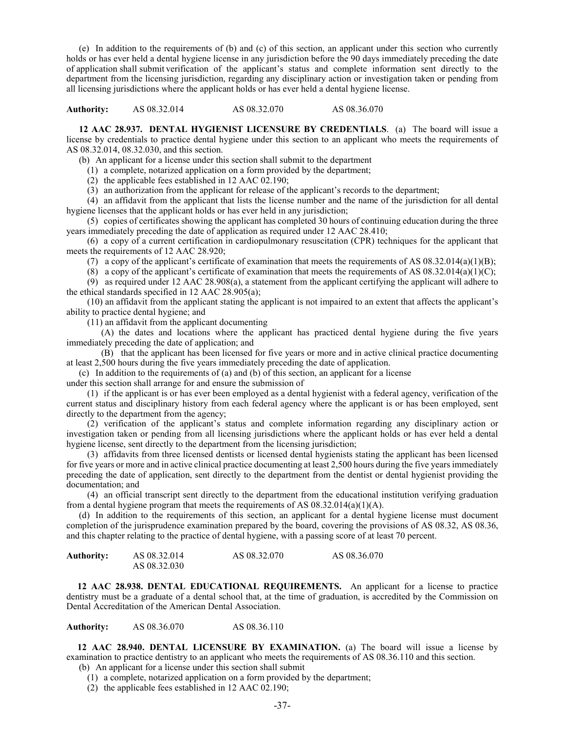(e) In addition to the requirements of (b) and (c) of this section, an applicant under this section who currently holds or has ever held a dental hygiene license in any jurisdiction before the 90 days immediately preceding the date of application shall submit verification of the applicant's status and complete information sent directly to the department from the licensing jurisdiction, regarding any disciplinary action or investigation taken or pending from all licensing jurisdictions where the applicant holds or has ever held a dental hygiene license.

**Authority:** AS 08.32.014 AS 08.32.070 AS 08.36.070

**12 AAC 28.937. DENTAL HYGIENIST LICENSURE BY CREDENTIALS**. (a) The board will issue a license by credentials to practice dental hygiene under this section to an applicant who meets the requirements of AS 08.32.014, 08.32.030, and this section.

(b) An applicant for a license under this section shall submit to the department

(1) a complete, notarized application on a form provided by the department;

(2) the applicable fees established in 12 AAC 02.190;

(3) an authorization from the applicant for release of the applicant's records to the department;

(4) an affidavit from the applicant that lists the license number and the name of the jurisdiction for all dental hygiene licenses that the applicant holds or has ever held in any jurisdiction;

(5) copies of certificates showing the applicant has completed 30 hours of continuing education during the three years immediately preceding the date of application as required under 12 AAC 28.410;

(6) a copy of a current certification in cardiopulmonary resuscitation (CPR) techniques for the applicant that meets the requirements of 12 AAC 28.920;

(7) a copy of the applicant's certificate of examination that meets the requirements of AS  $08.32.014(a)(1)(B)$ ;

(8) a copy of the applicant's certificate of examination that meets the requirements of AS  $08.32.014(a)(1)(C)$ ;

(9) as required under 12 AAC 28.908(a), a statement from the applicant certifying the applicant will adhere to the ethical standards specified in 12 AAC 28.905(a);

(10) an affidavit from the applicant stating the applicant is not impaired to an extent that affects the applicant's ability to practice dental hygiene; and

(11) an affidavit from the applicant documenting

 (A) the dates and locations where the applicant has practiced dental hygiene during the five years immediately preceding the date of application; and

 (B) that the applicant has been licensed for five years or more and in active clinical practice documenting at least 2,500 hours during the five years immediately preceding the date of application.

(c) In addition to the requirements of (a) and (b) of this section, an applicant for a license

under this section shall arrange for and ensure the submission of

(1) if the applicant is or has ever been employed as a dental hygienist with a federal agency, verification of the current status and disciplinary history from each federal agency where the applicant is or has been employed, sent directly to the department from the agency;

(2) verification of the applicant's status and complete information regarding any disciplinary action or investigation taken or pending from all licensing jurisdictions where the applicant holds or has ever held a dental hygiene license, sent directly to the department from the licensing jurisdiction;

(3) affidavits from three licensed dentists or licensed dental hygienists stating the applicant has been licensed for five years or more and in active clinical practice documenting at least 2,500 hours during the five years immediately preceding the date of application, sent directly to the department from the dentist or dental hygienist providing the documentation; and

(4) an official transcript sent directly to the department from the educational institution verifying graduation from a dental hygiene program that meets the requirements of AS  $08.32.014(a)(1)(A)$ .

(d) In addition to the requirements of this section, an applicant for a dental hygiene license must document completion of the jurisprudence examination prepared by the board, covering the provisions of AS 08.32, AS 08.36, and this chapter relating to the practice of dental hygiene, with a passing score of at least 70 percent.

| <b>Authority:</b> | AS 08.32.014 | AS 08.32.070 | AS 08.36.070 |
|-------------------|--------------|--------------|--------------|
|                   | AS 08.32.030 |              |              |

**12 AAC 28.938. DENTAL EDUCATIONAL REQUIREMENTS.** An applicant for a license to practice dentistry must be a graduate of a dental school that, at the time of graduation, is accredited by the Commission on Dental Accreditation of the American Dental Association.

**Authority:** AS 08.36.070 AS 08.36.110

**12 AAC 28.940. DENTAL LICENSURE BY EXAMINATION.** (a) The board will issue a license by examination to practice dentistry to an applicant who meets the requirements of AS 08.36.110 and this section.

(b) An applicant for a license under this section shall submit

(1) a complete, notarized application on a form provided by the department;

(2) the applicable fees established in 12 AAC 02.190;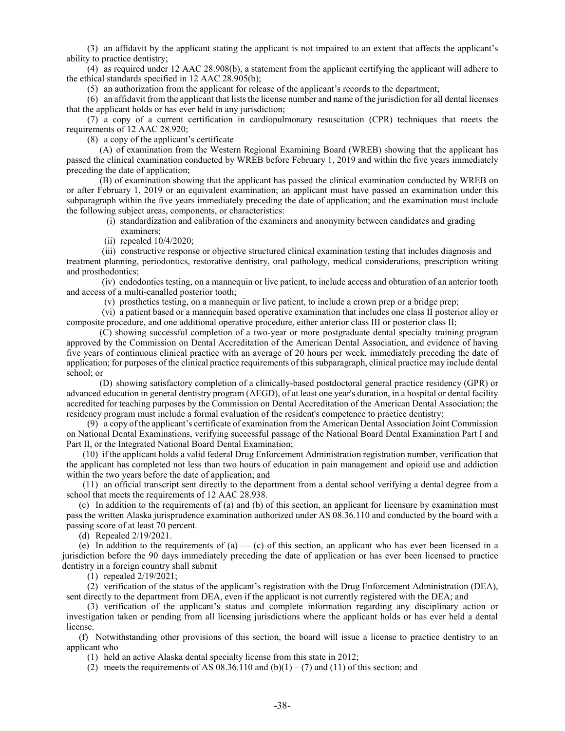(3) an affidavit by the applicant stating the applicant is not impaired to an extent that affects the applicant's ability to practice dentistry;

(4) as required under 12 AAC 28.908(b), a statement from the applicant certifying the applicant will adhere to the ethical standards specified in 12 AAC 28.905(b);

(5) an authorization from the applicant for release of the applicant's records to the department;

(6) an affidavit from the applicant that lists the license number and name of the jurisdiction for all dental licenses that the applicant holds or has ever held in any jurisdiction;

(7) a copy of a current certification in cardiopulmonary resuscitation (CPR) techniques that meets the requirements of 12 AAC 28.920;

(8) a copy of the applicant's certificate

(A) of examination from the Western Regional Examining Board (WREB) showing that the applicant has passed the clinical examination conducted by WREB before February 1, 2019 and within the five years immediately preceding the date of application;

(B) of examination showing that the applicant has passed the clinical examination conducted by WREB on or after February 1, 2019 or an equivalent examination; an applicant must have passed an examination under this subparagraph within the five years immediately preceding the date of application; and the examination must include the following subject areas, components, or characteristics:

- (i) standardization and calibration of the examiners and anonymity between candidates and grading examiners;
- (ii) repealed 10/4/2020;

(iii) constructive response or objective structured clinical examination testing that includes diagnosis and treatment planning, periodontics, restorative dentistry, oral pathology, medical considerations, prescription writing and prosthodontics;

(iv) endodontics testing, on a mannequin or live patient, to include access and obturation of an anterior tooth and access of a multi-canalled posterior tooth;

(v) prosthetics testing, on a mannequin or live patient, to include a crown prep or a bridge prep;

(vi) a patient based or a mannequin based operative examination that includes one class II posterior alloy or composite procedure, and one additional operative procedure, either anterior class III or posterior class II;

(C) showing successful completion of a two-year or more postgraduate dental specialty training program approved by the Commission on Dental Accreditation of the American Dental Association, and evidence of having five years of continuous clinical practice with an average of 20 hours per week, immediately preceding the date of application; for purposes of the clinical practice requirements of this subparagraph, clinical practice may include dental school; or

(D) showing satisfactory completion of a clinically-based postdoctoral general practice residency (GPR) or advanced education in general dentistry program (AEGD), of at least one year's duration, in a hospital or dental facility accredited for teaching purposes by the Commission on Dental Accreditation of the American Dental Association; the residency program must include a formal evaluation of the resident's competence to practice dentistry;

(9) a copy of the applicant's certificate of examination from the American Dental Association Joint Commission on National Dental Examinations, verifying successful passage of the National Board Dental Examination Part I and Part II, or the Integrated National Board Dental Examination;

 (10) if the applicant holds a valid federal Drug Enforcement Administration registration number, verification that the applicant has completed not less than two hours of education in pain management and opioid use and addiction within the two years before the date of application; and

 (11) an official transcript sent directly to the department from a dental school verifying a dental degree from a school that meets the requirements of 12 AAC 28.938.

(c) In addition to the requirements of (a) and (b) of this section, an applicant for licensure by examination must pass the written Alaska jurisprudence examination authorized under AS 08.36.110 and conducted by the board with a passing score of at least 70 percent.

(d) Repealed 2/19/2021.

(e) In addition to the requirements of  $(a)$   $-$  (c) of this section, an applicant who has ever been licensed in a jurisdiction before the 90 days immediately preceding the date of application or has ever been licensed to practice dentistry in a foreign country shall submit

(1) repealed 2/19/2021;

(2) verification of the status of the applicant's registration with the Drug Enforcement Administration (DEA), sent directly to the department from DEA, even if the applicant is not currently registered with the DEA; and

(3) verification of the applicant's status and complete information regarding any disciplinary action or investigation taken or pending from all licensing jurisdictions where the applicant holds or has ever held a dental license.

(f) Notwithstanding other provisions of this section, the board will issue a license to practice dentistry to an applicant who

(1) held an active Alaska dental specialty license from this state in 2012;

(2) meets the requirements of AS  $(0.36.110 \text{ and } (b)(1) - (7) \text{ and } (11) \text{ of this section; and})$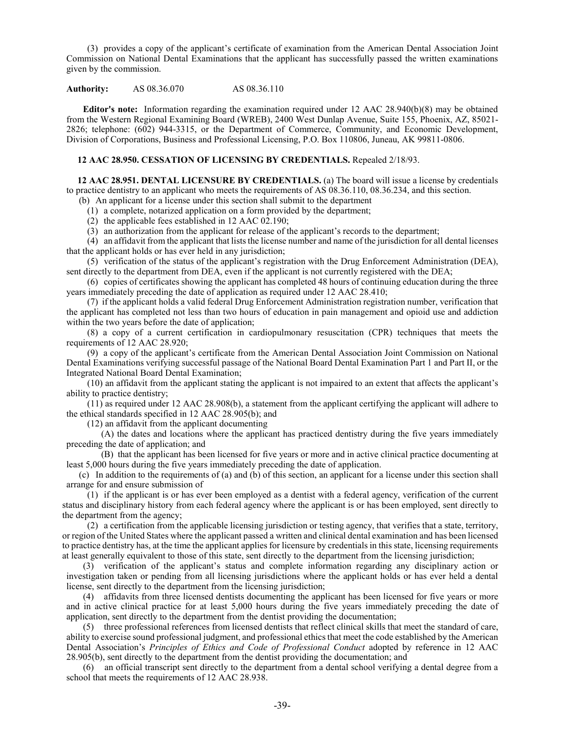(3) provides a copy of the applicant's certificate of examination from the American Dental Association Joint Commission on National Dental Examinations that the applicant has successfully passed the written examinations given by the commission.

# **Authority:** AS 08.36.070 AS 08.36.110

**Editor's note:** Information regarding the examination required under 12 AAC 28.940(b)(8) may be obtained from the Western Regional Examining Board (WREB), 2400 West Dunlap Avenue, Suite 155, Phoenix, AZ, 85021- 2826; telephone: (602) 944-3315, or the Department of Commerce, Community, and Economic Development, Division of Corporations, Business and Professional Licensing, P.O. Box 110806, Juneau, AK 99811-0806.

# **12 AAC 28.950. CESSATION OF LICENSING BY CREDENTIALS.** Repealed 2/18/93.

**12 AAC 28.951. DENTAL LICENSURE BY CREDENTIALS.** (a) The board will issue a license by credentials to practice dentistry to an applicant who meets the requirements of AS 08.36.110, 08.36.234, and this section.

(b) An applicant for a license under this section shall submit to the department

(1) a complete, notarized application on a form provided by the department;

(2) the applicable fees established in 12 AAC 02.190;

(3) an authorization from the applicant for release of the applicant's records to the department;

(4) an affidavit from the applicant that lists the license number and name of the jurisdiction for all dental licenses that the applicant holds or has ever held in any jurisdiction;

(5) verification of the status of the applicant's registration with the Drug Enforcement Administration (DEA), sent directly to the department from DEA, even if the applicant is not currently registered with the DEA;

(6) copies of certificates showing the applicant has completed 48 hours of continuing education during the three years immediately preceding the date of application as required under 12 AAC 28.410;

(7) if the applicant holds a valid federal Drug Enforcement Administration registration number, verification that the applicant has completed not less than two hours of education in pain management and opioid use and addiction within the two years before the date of application;

(8) a copy of a current certification in cardiopulmonary resuscitation (CPR) techniques that meets the requirements of 12 AAC 28.920;

(9) a copy of the applicant's certificate from the American Dental Association Joint Commission on National Dental Examinations verifying successful passage of the National Board Dental Examination Part 1 and Part II, or the Integrated National Board Dental Examination;

(10) an affidavit from the applicant stating the applicant is not impaired to an extent that affects the applicant's ability to practice dentistry;

(11) as required under 12 AAC 28.908(b), a statement from the applicant certifying the applicant will adhere to the ethical standards specified in 12 AAC 28.905(b); and

(12) an affidavit from the applicant documenting

 (A) the dates and locations where the applicant has practiced dentistry during the five years immediately preceding the date of application; and

 (B) that the applicant has been licensed for five years or more and in active clinical practice documenting at least 5,000 hours during the five years immediately preceding the date of application.

(c) In addition to the requirements of (a) and (b) of this section, an applicant for a license under this section shall arrange for and ensure submission of

(1) if the applicant is or has ever been employed as a dentist with a federal agency, verification of the current status and disciplinary history from each federal agency where the applicant is or has been employed, sent directly to the department from the agency;

(2) a certification from the applicable licensing jurisdiction or testing agency, that verifies that a state, territory, or region of the United States where the applicant passed a written and clinical dental examination and has been licensed to practice dentistry has, at the time the applicant applies for licensure by credentials in this state, licensing requirements at least generally equivalent to those of this state, sent directly to the department from the licensing jurisdiction;

(3) verification of the applicant's status and complete information regarding any disciplinary action or investigation taken or pending from all licensing jurisdictions where the applicant holds or has ever held a dental license, sent directly to the department from the licensing jurisdiction;

(4) affidavits from three licensed dentists documenting the applicant has been licensed for five years or more and in active clinical practice for at least 5,000 hours during the five years immediately preceding the date of application, sent directly to the department from the dentist providing the documentation;

(5) three professional references from licensed dentists that reflect clinical skills that meet the standard of care, ability to exercise sound professional judgment, and professional ethics that meet the code established by the American Dental Association's *Principles of Ethics and Code of Professional Conduct* adopted by reference in 12 AAC 28.905(b), sent directly to the department from the dentist providing the documentation; and

(6) an official transcript sent directly to the department from a dental school verifying a dental degree from a school that meets the requirements of 12 AAC 28.938.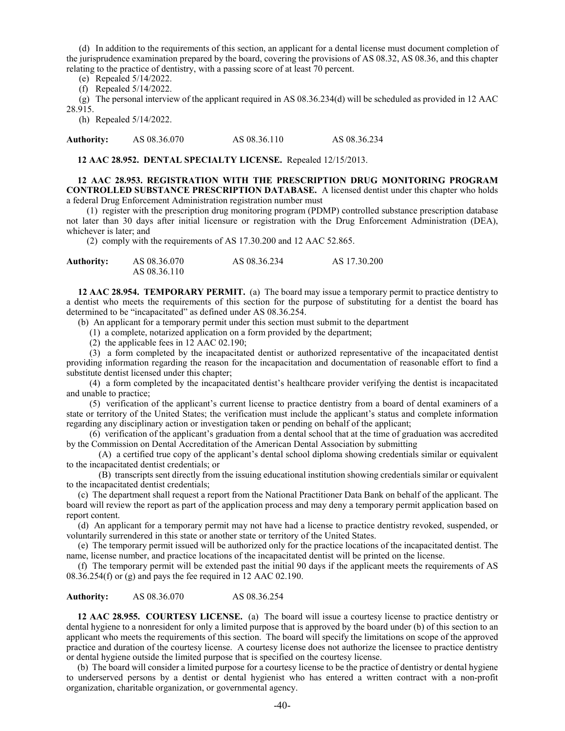(d) In addition to the requirements of this section, an applicant for a dental license must document completion of the jurisprudence examination prepared by the board, covering the provisions of AS 08.32, AS 08.36, and this chapter relating to the practice of dentistry, with a passing score of at least 70 percent.

(e) Repealed 5/14/2022.

(f) Repealed 5/14/2022.

(g) The personal interview of the applicant required in AS 08.36.234(d) will be scheduled as provided in 12 AAC 28.915.

(h) Repealed 5/14/2022.

**Authority:** AS 08.36.070 AS 08.36.110 AS 08.36.234

**12 AAC 28.952. DENTAL SPECIALTY LICENSE.** Repealed 12/15/2013.

**12 AAC 28.953. REGISTRATION WITH THE PRESCRIPTION DRUG MONITORING PROGRAM CONTROLLED SUBSTANCE PRESCRIPTION DATABASE.** A licensed dentist under this chapter who holds a federal Drug Enforcement Administration registration number must

 (1) register with the prescription drug monitoring program (PDMP) controlled substance prescription database not later than 30 days after initial licensure or registration with the Drug Enforcement Administration (DEA), whichever is later; and

(2) comply with the requirements of AS 17.30.200 and 12 AAC 52.865.

| <b>Authority:</b> | AS 08.36.070 | AS 08.36.234 | AS 17.30.200 |
|-------------------|--------------|--------------|--------------|
|                   | AS 08.36.110 |              |              |

 **12 AAC 28.954. TEMPORARY PERMIT.** (a) The board may issue a temporary permit to practice dentistry to a dentist who meets the requirements of this section for the purpose of substituting for a dentist the board has determined to be "incapacitated" as defined under AS 08.36.254.

(b) An applicant for a temporary permit under this section must submit to the department

(1) a complete, notarized application on a form provided by the department;

(2) the applicable fees in 12 AAC 02.190;

 (3) a form completed by the incapacitated dentist or authorized representative of the incapacitated dentist providing information regarding the reason for the incapacitation and documentation of reasonable effort to find a substitute dentist licensed under this chapter;

 (4) a form completed by the incapacitated dentist's healthcare provider verifying the dentist is incapacitated and unable to practice;

 (5) verification of the applicant's current license to practice dentistry from a board of dental examiners of a state or territory of the United States; the verification must include the applicant's status and complete information regarding any disciplinary action or investigation taken or pending on behalf of the applicant;

 (6) verification of the applicant's graduation from a dental school that at the time of graduation was accredited by the Commission on Dental Accreditation of the American Dental Association by submitting

 (A) a certified true copy of the applicant's dental school diploma showing credentials similar or equivalent to the incapacitated dentist credentials; or

 (B) transcripts sent directly from the issuing educational institution showing credentials similar or equivalent to the incapacitated dentist credentials;

 (c) The department shall request a report from the National Practitioner Data Bank on behalf of the applicant. The board will review the report as part of the application process and may deny a temporary permit application based on report content.

 (d) An applicant for a temporary permit may not have had a license to practice dentistry revoked, suspended, or voluntarily surrendered in this state or another state or territory of the United States.

 (e) The temporary permit issued will be authorized only for the practice locations of the incapacitated dentist. The name, license number, and practice locations of the incapacitated dentist will be printed on the license.

 (f) The temporary permit will be extended past the initial 90 days if the applicant meets the requirements of AS 08.36.254(f) or (g) and pays the fee required in 12 AAC 02.190.

**Authority:** AS 08.36.070 AS 08.36.254

**12 AAC 28.955. COURTESY LICENSE.** (a) The board will issue a courtesy license to practice dentistry or dental hygiene to a nonresident for only a limited purpose that is approved by the board under (b) of this section to an applicant who meets the requirements of this section. The board will specify the limitations on scope of the approved practice and duration of the courtesy license. A courtesy license does not authorize the licensee to practice dentistry or dental hygiene outside the limited purpose that is specified on the courtesy license.

(b) The board will consider a limited purpose for a courtesy license to be the practice of dentistry or dental hygiene to underserved persons by a dentist or dental hygienist who has entered a written contract with a non-profit organization, charitable organization, or governmental agency.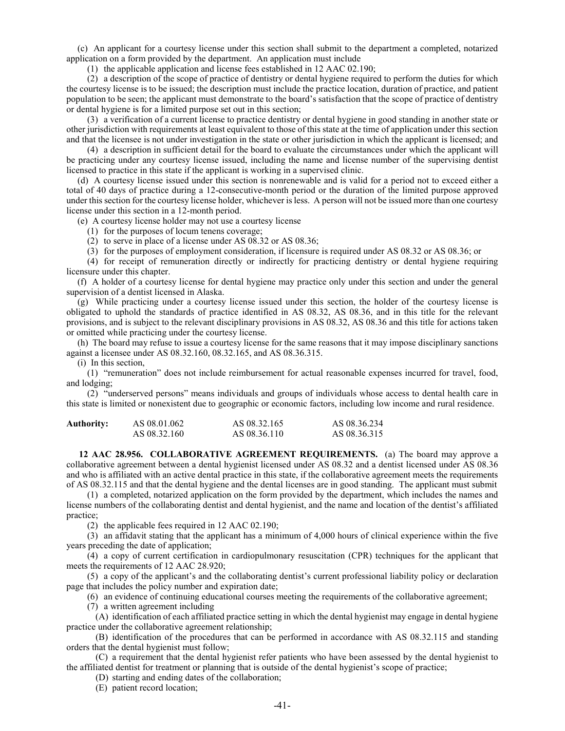(c) An applicant for a courtesy license under this section shall submit to the department a completed, notarized application on a form provided by the department. An application must include

(1) the applicable application and license fees established in 12 AAC 02.190;

(2) a description of the scope of practice of dentistry or dental hygiene required to perform the duties for which the courtesy license is to be issued; the description must include the practice location, duration of practice, and patient population to be seen; the applicant must demonstrate to the board's satisfaction that the scope of practice of dentistry or dental hygiene is for a limited purpose set out in this section;

(3) a verification of a current license to practice dentistry or dental hygiene in good standing in another state or other jurisdiction with requirements at least equivalent to those of this state at the time of application under this section and that the licensee is not under investigation in the state or other jurisdiction in which the applicant is licensed; and

(4) a description in sufficient detail for the board to evaluate the circumstances under which the applicant will be practicing under any courtesy license issued, including the name and license number of the supervising dentist licensed to practice in this state if the applicant is working in a supervised clinic.

(d) A courtesy license issued under this section is nonrenewable and is valid for a period not to exceed either a total of 40 days of practice during a 12-consecutive-month period or the duration of the limited purpose approved under this section for the courtesy license holder, whichever is less. A person will not be issued more than one courtesy license under this section in a 12-month period.

(e) A courtesy license holder may not use a courtesy license

- (1) for the purposes of locum tenens coverage;
- (2) to serve in place of a license under AS 08.32 or AS 08.36;
- (3) for the purposes of employment consideration, if licensure is required under AS 08.32 or AS 08.36; or

(4) for receipt of remuneration directly or indirectly for practicing dentistry or dental hygiene requiring licensure under this chapter.

(f) A holder of a courtesy license for dental hygiene may practice only under this section and under the general supervision of a dentist licensed in Alaska.

(g) While practicing under a courtesy license issued under this section, the holder of the courtesy license is obligated to uphold the standards of practice identified in AS 08.32, AS 08.36, and in this title for the relevant provisions, and is subject to the relevant disciplinary provisions in AS 08.32, AS 08.36 and this title for actions taken or omitted while practicing under the courtesy license.

(h) The board may refuse to issue a courtesy license for the same reasons that it may impose disciplinary sanctions against a licensee under AS 08.32.160, 08.32.165, and AS 08.36.315.

(i) In this section,

(1) "remuneration" does not include reimbursement for actual reasonable expenses incurred for travel, food, and lodging;

(2) "underserved persons" means individuals and groups of individuals whose access to dental health care in this state is limited or nonexistent due to geographic or economic factors, including low income and rural residence.

| Authority: | AS 08.01.062 | AS 08.32.165 | AS 08.36.234 |
|------------|--------------|--------------|--------------|
|            | AS 08.32.160 | AS 08.36.110 | AS 08.36.315 |

**12 AAC 28.956. COLLABORATIVE AGREEMENT REQUIREMENTS.** (a) The board may approve a collaborative agreement between a dental hygienist licensed under AS 08.32 and a dentist licensed under AS 08.36 and who is affiliated with an active dental practice in this state, if the collaborative agreement meets the requirements of AS 08.32.115 and that the dental hygiene and the dental licenses are in good standing. The applicant must submit

(1) a completed, notarized application on the form provided by the department, which includes the names and license numbers of the collaborating dentist and dental hygienist, and the name and location of the dentist's affiliated practice;

(2) the applicable fees required in 12 AAC 02.190;

(3) an affidavit stating that the applicant has a minimum of 4,000 hours of clinical experience within the five years preceding the date of application;

(4) a copy of current certification in cardiopulmonary resuscitation (CPR) techniques for the applicant that meets the requirements of 12 AAC 28.920;

(5) a copy of the applicant's and the collaborating dentist's current professional liability policy or declaration page that includes the policy number and expiration date;

(6) an evidence of continuing educational courses meeting the requirements of the collaborative agreement;

(7) a written agreement including

(A) identification of each affiliated practice setting in which the dental hygienist may engage in dental hygiene practice under the collaborative agreement relationship;

(B) identification of the procedures that can be performed in accordance with AS 08.32.115 and standing orders that the dental hygienist must follow;

(C) a requirement that the dental hygienist refer patients who have been assessed by the dental hygienist to the affiliated dentist for treatment or planning that is outside of the dental hygienist's scope of practice;

(D) starting and ending dates of the collaboration;

(E) patient record location;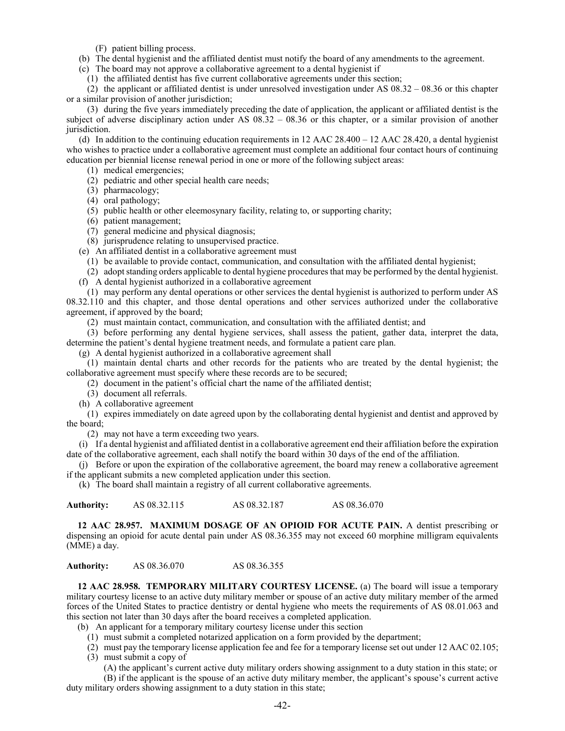(F) patient billing process.

(b) The dental hygienist and the affiliated dentist must notify the board of any amendments to the agreement.

(c) The board may not approve a collaborative agreement to a dental hygienist if

(1) the affiliated dentist has five current collaborative agreements under this section;

(2) the applicant or affiliated dentist is under unresolved investigation under AS 08.32 – 08.36 or this chapter or a similar provision of another jurisdiction;

(3) during the five years immediately preceding the date of application, the applicant or affiliated dentist is the subject of adverse disciplinary action under AS 08.32 – 08.36 or this chapter, or a similar provision of another jurisdiction.

(d) In addition to the continuing education requirements in 12 AAC 28.400 – 12 AAC 28.420, a dental hygienist who wishes to practice under a collaborative agreement must complete an additional four contact hours of continuing education per biennial license renewal period in one or more of the following subject areas:

- (1) medical emergencies;
- (2) pediatric and other special health care needs;
- (3) pharmacology;
- (4) oral pathology;
- (5) public health or other eleemosynary facility, relating to, or supporting charity;
- (6) patient management;
- (7) general medicine and physical diagnosis;

(8) jurisprudence relating to unsupervised practice.

(e) An affiliated dentist in a collaborative agreement must

(1) be available to provide contact, communication, and consultation with the affiliated dental hygienist;

(2) adopt standing orders applicable to dental hygiene procedures that may be performed by the dental hygienist.

(f) A dental hygienist authorized in a collaborative agreement

(1) may perform any dental operations or other services the dental hygienist is authorized to perform under AS 08.32.110 and this chapter, and those dental operations and other services authorized under the collaborative agreement, if approved by the board;

(2) must maintain contact, communication, and consultation with the affiliated dentist; and

(3) before performing any dental hygiene services, shall assess the patient, gather data, interpret the data, determine the patient's dental hygiene treatment needs, and formulate a patient care plan.

(g) A dental hygienist authorized in a collaborative agreement shall

(1) maintain dental charts and other records for the patients who are treated by the dental hygienist; the collaborative agreement must specify where these records are to be secured;

(2) document in the patient's official chart the name of the affiliated dentist;

(3) document all referrals.

(h) A collaborative agreement

(1) expires immediately on date agreed upon by the collaborating dental hygienist and dentist and approved by the board;

(2) may not have a term exceeding two years.

(i) If a dental hygienist and affiliated dentist in a collaborative agreement end their affiliation before the expiration date of the collaborative agreement, each shall notify the board within 30 days of the end of the affiliation.

(j) Before or upon the expiration of the collaborative agreement, the board may renew a collaborative agreement if the applicant submits a new completed application under this section.

(k) The board shall maintain a registry of all current collaborative agreements.

| <b>Authority:</b> | AS 08.32.115 | AS 08.32.187 | AS 08.36.070 |
|-------------------|--------------|--------------|--------------|
|-------------------|--------------|--------------|--------------|

**12 AAC 28.957. MAXIMUM DOSAGE OF AN OPIOID FOR ACUTE PAIN.** A dentist prescribing or dispensing an opioid for acute dental pain under AS 08.36.355 may not exceed 60 morphine milligram equivalents (MME) a day.

**Authority:** AS 08.36.070 AS 08.36.355

**12 AAC 28.958. TEMPORARY MILITARY COURTESY LICENSE.** (a) The board will issue a temporary military courtesy license to an active duty military member or spouse of an active duty military member of the armed forces of the United States to practice dentistry or dental hygiene who meets the requirements of AS 08.01.063 and this section not later than 30 days after the board receives a completed application.

(b) An applicant for a temporary military courtesy license under this section

- (1) must submit a completed notarized application on a form provided by the department;
- (2) must pay the temporary license application fee and fee for a temporary license set out under 12 AAC 02.105;
- (3) must submit a copy of

(A) the applicant's current active duty military orders showing assignment to a duty station in this state; or

(B) if the applicant is the spouse of an active duty military member, the applicant's spouse's current active duty military orders showing assignment to a duty station in this state;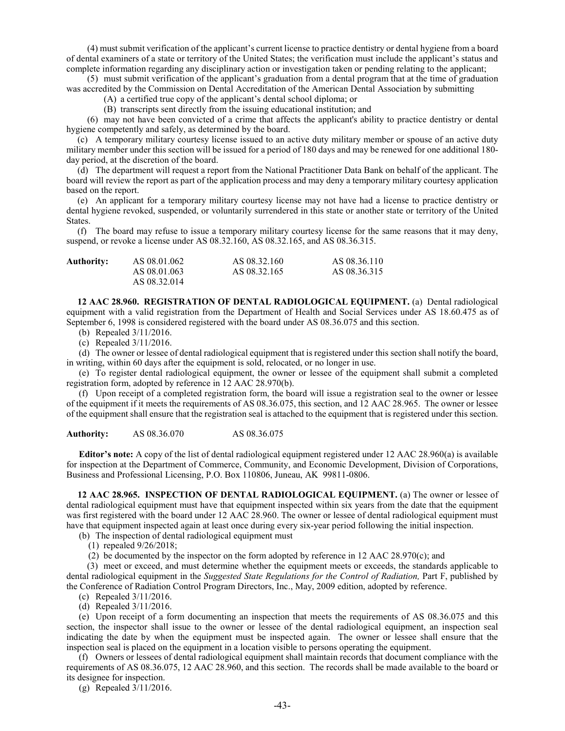(4) must submit verification of the applicant's current license to practice dentistry or dental hygiene from a board of dental examiners of a state or territory of the United States; the verification must include the applicant's status and complete information regarding any disciplinary action or investigation taken or pending relating to the applicant;

(5) must submit verification of the applicant's graduation from a dental program that at the time of graduation was accredited by the Commission on Dental Accreditation of the American Dental Association by submitting

(A) a certified true copy of the applicant's dental school diploma; or

(B) transcripts sent directly from the issuing educational institution; and

(6) may not have been convicted of a crime that affects the applicant's ability to practice dentistry or dental hygiene competently and safely, as determined by the board.

(c) A temporary military courtesy license issued to an active duty military member or spouse of an active duty military member under this section will be issued for a period of 180 days and may be renewed for one additional 180 day period, at the discretion of the board.

(d) The department will request a report from the National Practitioner Data Bank on behalf of the applicant. The board will review the report as part of the application process and may deny a temporary military courtesy application based on the report.

(e) An applicant for a temporary military courtesy license may not have had a license to practice dentistry or dental hygiene revoked, suspended, or voluntarily surrendered in this state or another state or territory of the United States.

(f) The board may refuse to issue a temporary military courtesy license for the same reasons that it may deny, suspend, or revoke a license under AS 08.32.160, AS 08.32.165, and AS 08.36.315.

| <b>Authority:</b> | AS 08.01.062 | AS 08.32.160 | AS 08.36.110 |
|-------------------|--------------|--------------|--------------|
|                   | AS 08.01.063 | AS 08.32.165 | AS 08.36.315 |
|                   | AS 08.32.014 |              |              |

**12 AAC 28.960. REGISTRATION OF DENTAL RADIOLOGICAL EQUIPMENT.** (a) Dental radiological equipment with a valid registration from the Department of Health and Social Services under AS 18.60.475 as of September 6, 1998 is considered registered with the board under AS 08.36.075 and this section.

(b) Repealed 3/11/2016.

(c) Repealed 3/11/2016.

(d) The owner or lessee of dental radiological equipment that is registered under this section shall notify the board, in writing, within 60 days after the equipment is sold, relocated, or no longer in use.

(e) To register dental radiological equipment, the owner or lessee of the equipment shall submit a completed registration form, adopted by reference in 12 AAC 28.970(b).

(f) Upon receipt of a completed registration form, the board will issue a registration seal to the owner or lessee of the equipment if it meets the requirements of AS 08.36.075, this section, and 12 AAC 28.965. The owner or lessee of the equipment shall ensure that the registration seal is attached to the equipment that is registered under this section.

**Authority:** AS 08.36.070 AS 08.36.075

**Editor's note:** A copy of the list of dental radiological equipment registered under 12 AAC 28.960(a) is available for inspection at the Department of Commerce, Community, and Economic Development, Division of Corporations, Business and Professional Licensing, P.O. Box 110806, Juneau, AK 99811-0806.

**12 AAC 28.965. INSPECTION OF DENTAL RADIOLOGICAL EQUIPMENT.** (a) The owner or lessee of dental radiological equipment must have that equipment inspected within six years from the date that the equipment was first registered with the board under 12 AAC 28.960. The owner or lessee of dental radiological equipment must have that equipment inspected again at least once during every six-year period following the initial inspection.

(b) The inspection of dental radiological equipment must

(1) repealed 9/26/2018;

(2) be documented by the inspector on the form adopted by reference in 12 AAC 28.970(c); and

(3) meet or exceed, and must determine whether the equipment meets or exceeds, the standards applicable to dental radiological equipment in the *Suggested State Regulations for the Control of Radiation,* Part F, published by the Conference of Radiation Control Program Directors, Inc., May, 2009 edition, adopted by reference.

(c) Repealed 3/11/2016.

(d) Repealed 3/11/2016.

(e) Upon receipt of a form documenting an inspection that meets the requirements of AS 08.36.075 and this section, the inspector shall issue to the owner or lessee of the dental radiological equipment, an inspection seal indicating the date by when the equipment must be inspected again. The owner or lessee shall ensure that the inspection seal is placed on the equipment in a location visible to persons operating the equipment.

(f) Owners or lessees of dental radiological equipment shall maintain records that document compliance with the requirements of AS 08.36.075, 12 AAC 28.960, and this section. The records shall be made available to the board or its designee for inspection.

(g) Repealed 3/11/2016.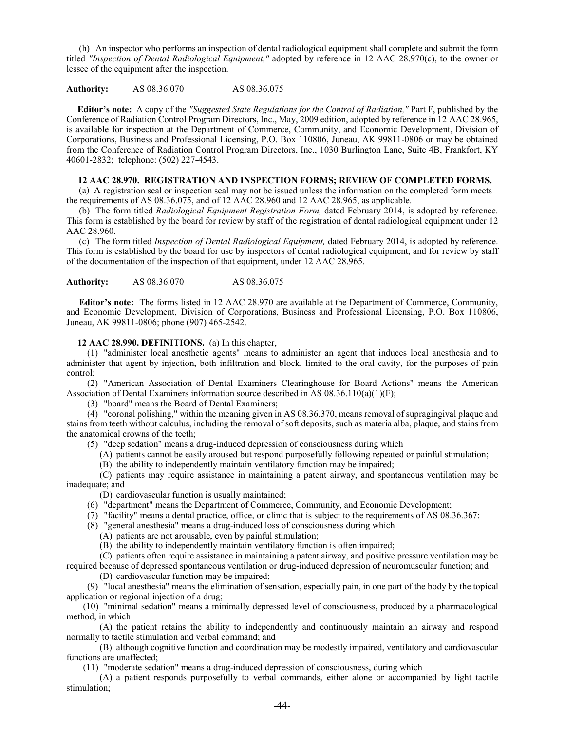(h) An inspector who performs an inspection of dental radiological equipment shall complete and submit the form titled *"Inspection of Dental Radiological Equipment,"* adopted by reference in 12 AAC 28.970(c), to the owner or lessee of the equipment after the inspection.

**Authority:** AS 08.36.070 AS 08.36.075

**Editor's note:** A copy of the *"Suggested State Regulations for the Control of Radiation,"* Part F, published by the Conference of Radiation Control Program Directors, Inc., May, 2009 edition, adopted by reference in 12 AAC 28.965, is available for inspection at the Department of Commerce, Community, and Economic Development, Division of Corporations, Business and Professional Licensing, P.O. Box 110806, Juneau, AK 99811-0806 or may be obtained from the Conference of Radiation Control Program Directors, Inc., 1030 Burlington Lane, Suite 4B, Frankfort, KY 40601-2832; telephone: (502) 227-4543.

# **12 AAC 28.970. REGISTRATION AND INSPECTION FORMS; REVIEW OF COMPLETED FORMS.**

(a) A registration seal or inspection seal may not be issued unless the information on the completed form meets the requirements of AS 08.36.075, and of 12 AAC 28.960 and 12 AAC 28.965, as applicable.

(b) The form titled *Radiological Equipment Registration Form,* dated February 2014, is adopted by reference. This form is established by the board for review by staff of the registration of dental radiological equipment under 12 AAC 28.960.

(c) The form titled *Inspection of Dental Radiological Equipment,* dated February 2014, is adopted by reference. This form is established by the board for use by inspectors of dental radiological equipment, and for review by staff of the documentation of the inspection of that equipment, under 12 AAC 28.965.

**Authority:** AS 08.36.070 AS 08.36.075

**Editor's note:** The forms listed in 12 AAC 28.970 are available at the Department of Commerce, Community, and Economic Development, Division of Corporations, Business and Professional Licensing, P.O. Box 110806, Juneau, AK 99811-0806; phone (907) 465-2542.

# **12 AAC 28.990. DEFINITIONS.** (a) In this chapter,

(1) "administer local anesthetic agents" means to administer an agent that induces local anesthesia and to administer that agent by injection, both infiltration and block, limited to the oral cavity, for the purposes of pain control;

(2) "American Association of Dental Examiners Clearinghouse for Board Actions" means the American Association of Dental Examiners information source described in AS  $08.36.110(a)(1)(F)$ ;

(3) "board" means the Board of Dental Examiners;

(4) "coronal polishing," within the meaning given in AS 08.36.370, means removal of supragingival plaque and stains from teeth without calculus, including the removal of soft deposits, such as materia alba, plaque, and stains from the anatomical crowns of the teeth;

(5) "deep sedation" means a drug-induced depression of consciousness during which

(A) patients cannot be easily aroused but respond purposefully following repeated or painful stimulation;

(B) the ability to independently maintain ventilatory function may be impaired;

(C) patients may require assistance in maintaining a patent airway, and spontaneous ventilation may be inadequate; and

(D) cardiovascular function is usually maintained;

- (6) "department" means the Department of Commerce, Community, and Economic Development;
- (7) "facility" means a dental practice, office, or clinic that is subject to the requirements of AS 08.36.367;
- (8) "general anesthesia" means a drug-induced loss of consciousness during which
	- (A) patients are not arousable, even by painful stimulation;

(B) the ability to independently maintain ventilatory function is often impaired;

(C) patients often require assistance in maintaining a patent airway, and positive pressure ventilation may be required because of depressed spontaneous ventilation or drug-induced depression of neuromuscular function; and

(D) cardiovascular function may be impaired;

(9) "local anesthesia" means the elimination of sensation, especially pain, in one part of the body by the topical application or regional injection of a drug;

(10) "minimal sedation" means a minimally depressed level of consciousness, produced by a pharmacological method, in which

(A) the patient retains the ability to independently and continuously maintain an airway and respond normally to tactile stimulation and verbal command; and

(B) although cognitive function and coordination may be modestly impaired, ventilatory and cardiovascular functions are unaffected;

(11) "moderate sedation" means a drug-induced depression of consciousness, during which

(A) a patient responds purposefully to verbal commands, either alone or accompanied by light tactile stimulation;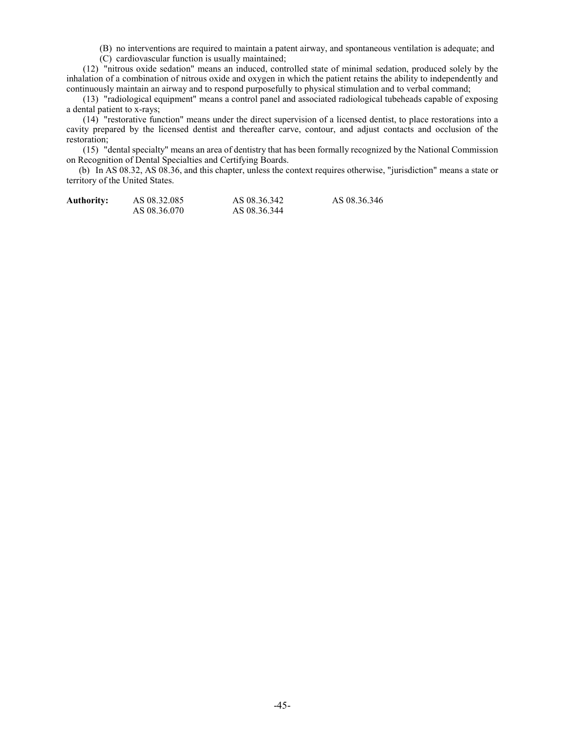(B) no interventions are required to maintain a patent airway, and spontaneous ventilation is adequate; and

(C) cardiovascular function is usually maintained;

(12) "nitrous oxide sedation" means an induced, controlled state of minimal sedation, produced solely by the inhalation of a combination of nitrous oxide and oxygen in which the patient retains the ability to independently and continuously maintain an airway and to respond purposefully to physical stimulation and to verbal command;

(13) "radiological equipment" means a control panel and associated radiological tubeheads capable of exposing a dental patient to x-rays;

(14) "restorative function" means under the direct supervision of a licensed dentist, to place restorations into a cavity prepared by the licensed dentist and thereafter carve, contour, and adjust contacts and occlusion of the restoration;

(15) "dental specialty" means an area of dentistry that has been formally recognized by the National Commission on Recognition of Dental Specialties and Certifying Boards.

(b) In AS 08.32, AS 08.36, and this chapter, unless the context requires otherwise, "jurisdiction" means a state or territory of the United States.

| <b>Authority:</b> | AS 08.32.085 | AS 08.36.342 | AS 08.36.346 |
|-------------------|--------------|--------------|--------------|
|                   | AS 08.36.070 | AS 08.36.344 |              |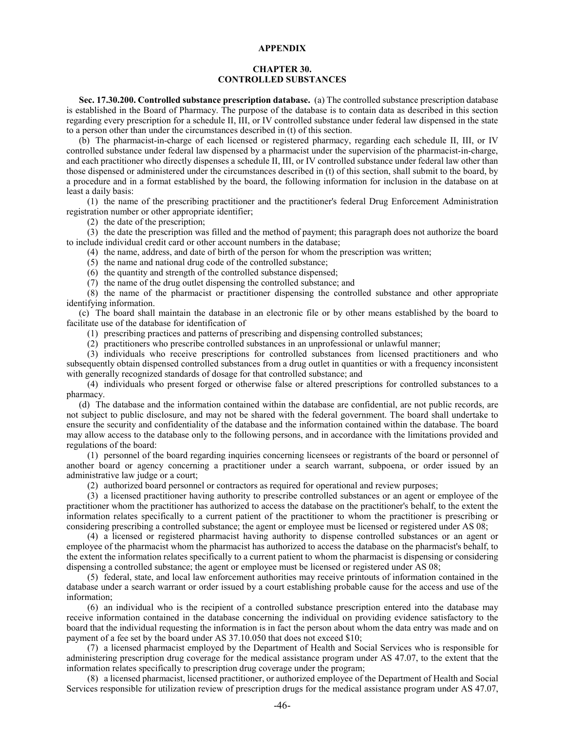#### **APPENDIX**

# **CHAPTER 30. CONTROLLED SUBSTANCES**

**Sec. 17.30.200. Controlled substance prescription database.** (a) The controlled substance prescription database is established in the Board of Pharmacy. The purpose of the database is to contain data as described in this section regarding every prescription for a schedule II, III, or IV controlled substance under federal law dispensed in the state to a person other than under the circumstances described in (t) of this section.

(b) The pharmacist-in-charge of each licensed or registered pharmacy, regarding each schedule II, III, or IV controlled substance under federal law dispensed by a pharmacist under the supervision of the pharmacist-in-charge, and each practitioner who directly dispenses a schedule II, III, or IV controlled substance under federal law other than those dispensed or administered under the circumstances described in (t) of this section, shall submit to the board, by a procedure and in a format established by the board, the following information for inclusion in the database on at least a daily basis:

(1) the name of the prescribing practitioner and the practitioner's federal Drug Enforcement Administration registration number or other appropriate identifier;

(2) the date of the prescription;

(3) the date the prescription was filled and the method of payment; this paragraph does not authorize the board to include individual credit card or other account numbers in the database;

(4) the name, address, and date of birth of the person for whom the prescription was written;

(5) the name and national drug code of the controlled substance;

(6) the quantity and strength of the controlled substance dispensed;

(7) the name of the drug outlet dispensing the controlled substance; and

(8) the name of the pharmacist or practitioner dispensing the controlled substance and other appropriate identifying information.

(c) The board shall maintain the database in an electronic file or by other means established by the board to facilitate use of the database for identification of

(1) prescribing practices and patterns of prescribing and dispensing controlled substances;

(2) practitioners who prescribe controlled substances in an unprofessional or unlawful manner;

(3) individuals who receive prescriptions for controlled substances from licensed practitioners and who subsequently obtain dispensed controlled substances from a drug outlet in quantities or with a frequency inconsistent with generally recognized standards of dosage for that controlled substance; and

(4) individuals who present forged or otherwise false or altered prescriptions for controlled substances to a pharmacy.

(d) The database and the information contained within the database are confidential, are not public records, are not subject to public disclosure, and may not be shared with the federal government. The board shall undertake to ensure the security and confidentiality of the database and the information contained within the database. The board may allow access to the database only to the following persons, and in accordance with the limitations provided and regulations of the board:

(1) personnel of the board regarding inquiries concerning licensees or registrants of the board or personnel of another board or agency concerning a practitioner under a search warrant, subpoena, or order issued by an administrative law judge or a court;

(2) authorized board personnel or contractors as required for operational and review purposes;

(3) a licensed practitioner having authority to prescribe controlled substances or an agent or employee of the practitioner whom the practitioner has authorized to access the database on the practitioner's behalf, to the extent the information relates specifically to a current patient of the practitioner to whom the practitioner is prescribing or considering prescribing a controlled substance; the agent or employee must be licensed or registered under AS 08;

(4) a licensed or registered pharmacist having authority to dispense controlled substances or an agent or employee of the pharmacist whom the pharmacist has authorized to access the database on the pharmacist's behalf, to the extent the information relates specifically to a current patient to whom the pharmacist is dispensing or considering dispensing a controlled substance; the agent or employee must be licensed or registered under AS 08;

(5) federal, state, and local law enforcement authorities may receive printouts of information contained in the database under a search warrant or order issued by a court establishing probable cause for the access and use of the information;

(6) an individual who is the recipient of a controlled substance prescription entered into the database may receive information contained in the database concerning the individual on providing evidence satisfactory to the board that the individual requesting the information is in fact the person about whom the data entry was made and on payment of a fee set by the board under AS 37.10.050 that does not exceed \$10;

(7) a licensed pharmacist employed by the Department of Health and Social Services who is responsible for administering prescription drug coverage for the medical assistance program under AS 47.07, to the extent that the information relates specifically to prescription drug coverage under the program;

(8) a licensed pharmacist, licensed practitioner, or authorized employee of the Department of Health and Social Services responsible for utilization review of prescription drugs for the medical assistance program under AS 47.07,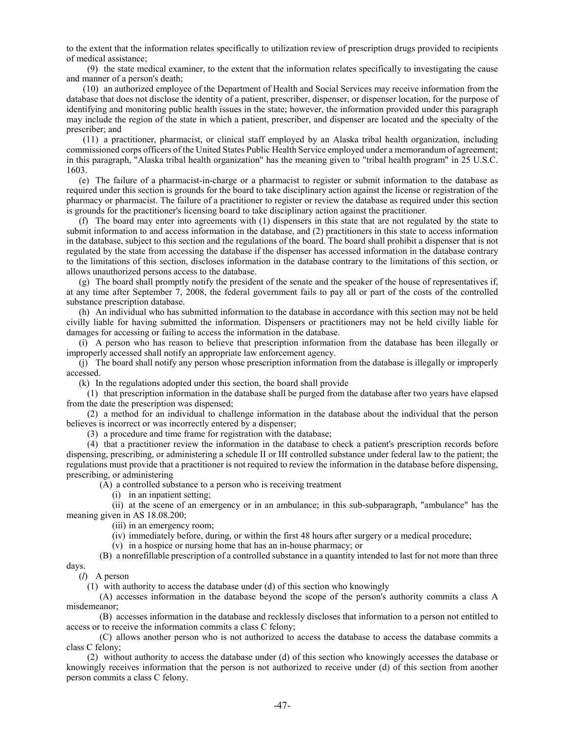to the extent that the information relates specifically to utilization review of prescription drugs provided to recipients of medical assistance;

(9) the state medical examiner, to the extent that the information relates specifically to investigating the cause and manner of a person's death;

(10) an authorized employee of the Department of Health and Social Services may receive information from the database that does not disclose the identity of a patient, prescriber, dispenser, or dispenser location, for the purpose of identifying and monitoring public health issues in the state; however, the information provided under this paragraph may include the region of the state in which a patient, prescriber, and dispenser are located and the specialty of the prescriber; and

(11) a practitioner, pharmacist, or clinical staff employed by an Alaska tribal health organization, including commissioned corps officers of the United States Public Health Service employed under a memorandum of agreement; in this paragraph, "Alaska tribal health organization" has the meaning given to "tribal health program" in 25 U.S.C. 1603.

(e) The failure of a pharmacist-in-charge or a pharmacist to register or submit information to the database as required under this section is grounds for the board to take disciplinary action against the license or registration of the pharmacy or pharmacist. The failure of a practitioner to register or review the database as required under this section is grounds for the practitioner's licensing board to take disciplinary action against the practitioner.

(f) The board may enter into agreements with (1) dispensers in this state that are not regulated by the state to submit information to and access information in the database, and (2) practitioners in this state to access information in the database, subject to this section and the regulations of the board. The board shall prohibit a dispenser that is not regulated by the state from accessing the database if the dispenser has accessed information in the database contrary to the limitations of this section, discloses information in the database contrary to the limitations of this section, or allows unauthorized persons access to the database.

(g) The board shall promptly notify the president of the senate and the speaker of the house of representatives if, at any time after September 7, 2008, the federal government fails to pay all or part of the costs of the controlled substance prescription database.

(h) An individual who has submitted information to the database in accordance with this section may not be held civilly liable for having submitted the information. Dispensers or practitioners may not be held civilly liable for damages for accessing or failing to access the information in the database.

(i) A person who has reason to believe that prescription information from the database has been illegally or improperly accessed shall notify an appropriate law enforcement agency.

(j) The board shall notify any person whose prescription information from the database is illegally or improperly accessed.

(k) In the regulations adopted under this section, the board shall provide

(1) that prescription information in the database shall be purged from the database after two years have elapsed from the date the prescription was dispensed;

(2) a method for an individual to challenge information in the database about the individual that the person believes is incorrect or was incorrectly entered by a dispenser;

(3) a procedure and time frame for registration with the database;

(4) that a practitioner review the information in the database to check a patient's prescription records before dispensing, prescribing, or administering a schedule II or III controlled substance under federal law to the patient; the regulations must provide that a practitioner is not required to review the information in the database before dispensing, prescribing, or administering

(A) a controlled substance to a person who is receiving treatment

(i) in an inpatient setting;

(ii) at the scene of an emergency or in an ambulance; in this sub-subparagraph, "ambulance" has the meaning given in AS 18.08.200;

(iii) in an emergency room;

(iv) immediately before, during, or within the first 48 hours after surgery or a medical procedure;

(v) in a hospice or nursing home that has an in-house pharmacy; or

(B) a nonrefillable prescription of a controlled substance in a quantity intended to last for not more than three days.

(*l*) A person

(1) with authority to access the database under (d) of this section who knowingly

(A) accesses information in the database beyond the scope of the person's authority commits a class A misdemeanor;

(B) accesses information in the database and recklessly discloses that information to a person not entitled to access or to receive the information commits a class C felony;

(C) allows another person who is not authorized to access the database to access the database commits a class C felony;

(2) without authority to access the database under (d) of this section who knowingly accesses the database or knowingly receives information that the person is not authorized to receive under (d) of this section from another person commits a class C felony.